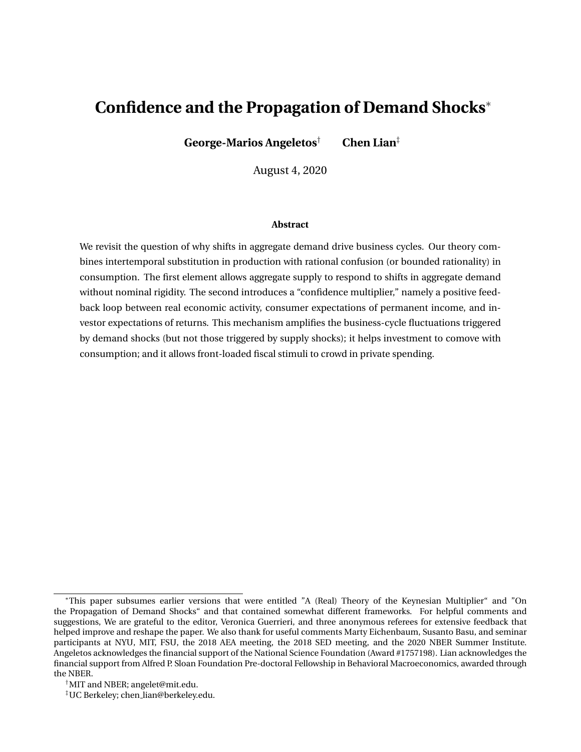# **Confidence and the Propagation of Demand Shocks**<sup>∗</sup>

**George-Marios Angeletos**† **Chen Lian**‡

August 4, 2020

#### **Abstract**

We revisit the question of why shifts in aggregate demand drive business cycles. Our theory combines intertemporal substitution in production with rational confusion (or bounded rationality) in consumption. The first element allows aggregate supply to respond to shifts in aggregate demand without nominal rigidity. The second introduces a "confidence multiplier," namely a positive feedback loop between real economic activity, consumer expectations of permanent income, and investor expectations of returns. This mechanism amplifies the business-cycle fluctuations triggered by demand shocks (but not those triggered by supply shocks); it helps investment to comove with consumption; and it allows front-loaded fiscal stimuli to crowd in private spending.

<sup>∗</sup>This paper subsumes earlier versions that were entitled "A (Real) Theory of the Keynesian Multiplier" and "On the Propagation of Demand Shocks" and that contained somewhat different frameworks. For helpful comments and suggestions, We are grateful to the editor, Veronica Guerrieri, and three anonymous referees for extensive feedback that helped improve and reshape the paper. We also thank for useful comments Marty Eichenbaum, Susanto Basu, and seminar participants at NYU, MIT, FSU, the 2018 AEA meeting, the 2018 SED meeting, and the 2020 NBER Summer Institute. Angeletos acknowledges the financial support of the National Science Foundation (Award #1757198). Lian acknowledges the financial support from Alfred P. Sloan Foundation Pre-doctoral Fellowship in Behavioral Macroeconomics, awarded through the NBER.

<sup>†</sup>MIT and NBER; angelet@mit.edu.

<sup>‡</sup>UC Berkeley; chen lian@berkeley.edu.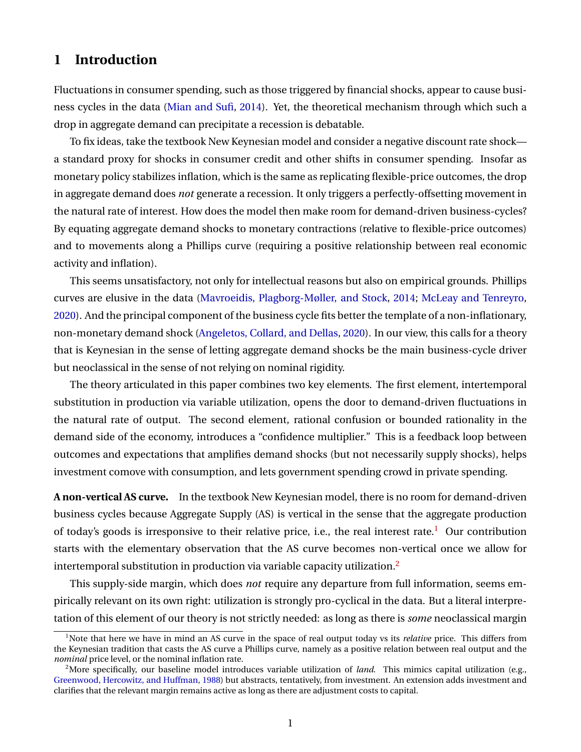# **1 Introduction**

Fluctuations in consumer spending, such as those triggered by financial shocks, appear to cause business cycles in the data [\(Mian and Sufi,](#page-59-0) [2014\)](#page-59-0). Yet, the theoretical mechanism through which such a drop in aggregate demand can precipitate a recession is debatable.

To fix ideas, take the textbook New Keynesian model and consider a negative discount rate shock a standard proxy for shocks in consumer credit and other shifts in consumer spending. Insofar as monetary policy stabilizes inflation, which is the same as replicating flexible-price outcomes, the drop in aggregate demand does *not* generate a recession. It only triggers a perfectly-offsetting movement in the natural rate of interest. How does the model then make room for demand-driven business-cycles? By equating aggregate demand shocks to monetary contractions (relative to flexible-price outcomes) and to movements along a Phillips curve (requiring a positive relationship between real economic activity and inflation).

This seems unsatisfactory, not only for intellectual reasons but also on empirical grounds. Phillips curves are elusive in the data [\(Mavroeidis, Plagborg-Møller, and Stock,](#page-59-1) [2014;](#page-59-1) [McLeay and Tenreyro,](#page-59-2) [2020\)](#page-59-2). And the principal component of the business cycle fits better the template of a non-inflationary, non-monetary demand shock [\(Angeletos, Collard, and Dellas,](#page-56-0) [2020\)](#page-56-0). In our view, this calls for a theory that is Keynesian in the sense of letting aggregate demand shocks be the main business-cycle driver but neoclassical in the sense of not relying on nominal rigidity.

The theory articulated in this paper combines two key elements. The first element, intertemporal substitution in production via variable utilization, opens the door to demand-driven fluctuations in the natural rate of output. The second element, rational confusion or bounded rationality in the demand side of the economy, introduces a "confidence multiplier." This is a feedback loop between outcomes and expectations that amplifies demand shocks (but not necessarily supply shocks), helps investment comove with consumption, and lets government spending crowd in private spending.

**A non-vertical AS curve.** In the textbook New Keynesian model, there is no room for demand-driven business cycles because Aggregate Supply (AS) is vertical in the sense that the aggregate production of today's goods is irresponsive to their relative price, i.e., the real interest rate.<sup>[1](#page-1-0)</sup> Our contribution starts with the elementary observation that the AS curve becomes non-vertical once we allow for intertemporal substitution in production via variable capacity utilization.<sup>[2](#page-1-1)</sup>

This supply-side margin, which does *not* require any departure from full information, seems empirically relevant on its own right: utilization is strongly pro-cyclical in the data. But a literal interpretation of this element of our theory is not strictly needed: as long as there is *some* neoclassical margin

<span id="page-1-0"></span><sup>&</sup>lt;sup>1</sup>Note that here we have in mind an AS curve in the space of real output today vs its *relative* price. This differs from the Keynesian tradition that casts the AS curve a Phillips curve, namely as a positive relation between real output and the *nominal* price level, or the nominal inflation rate.

<span id="page-1-1"></span><sup>2</sup>More specifically, our baseline model introduces variable utilization of *land*. This mimics capital utilization (e.g., [Greenwood, Hercowitz, and Huffman,](#page-58-0) [1988\)](#page-58-0) but abstracts, tentatively, from investment. An extension adds investment and clarifies that the relevant margin remains active as long as there are adjustment costs to capital.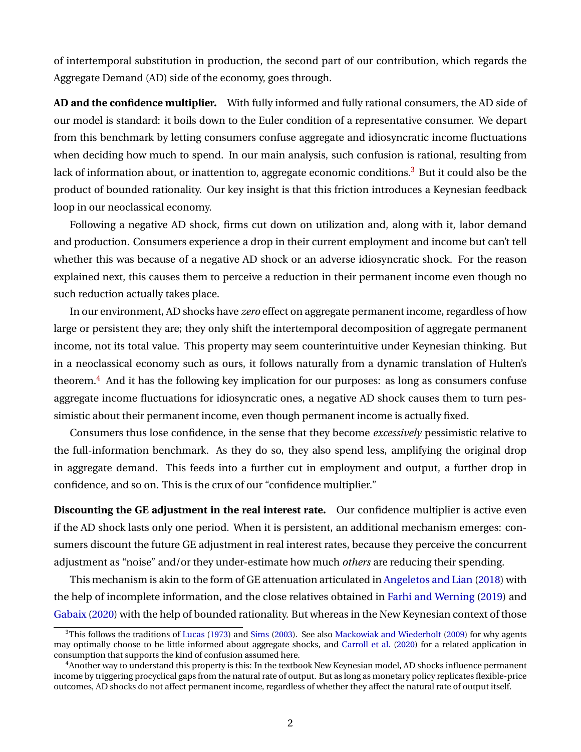of intertemporal substitution in production, the second part of our contribution, which regards the Aggregate Demand (AD) side of the economy, goes through.

**AD and the confidence multiplier.** With fully informed and fully rational consumers, the AD side of our model is standard: it boils down to the Euler condition of a representative consumer. We depart from this benchmark by letting consumers confuse aggregate and idiosyncratic income fluctuations when deciding how much to spend. In our main analysis, such confusion is rational, resulting from lack of information about, or inattention to, aggregate economic conditions.<sup>[3](#page-2-0)</sup> But it could also be the product of bounded rationality. Our key insight is that this friction introduces a Keynesian feedback loop in our neoclassical economy.

Following a negative AD shock, firms cut down on utilization and, along with it, labor demand and production. Consumers experience a drop in their current employment and income but can't tell whether this was because of a negative AD shock or an adverse idiosyncratic shock. For the reason explained next, this causes them to perceive a reduction in their permanent income even though no such reduction actually takes place.

In our environment, AD shocks have *zero* effect on aggregate permanent income, regardless of how large or persistent they are; they only shift the intertemporal decomposition of aggregate permanent income, not its total value. This property may seem counterintuitive under Keynesian thinking. But in a neoclassical economy such as ours, it follows naturally from a dynamic translation of Hulten's theorem. $<sup>4</sup>$  $<sup>4</sup>$  $<sup>4</sup>$  And it has the following key implication for our purposes: as long as consumers confuse</sup> aggregate income fluctuations for idiosyncratic ones, a negative AD shock causes them to turn pessimistic about their permanent income, even though permanent income is actually fixed.

Consumers thus lose confidence, in the sense that they become *excessively* pessimistic relative to the full-information benchmark. As they do so, they also spend less, amplifying the original drop in aggregate demand. This feeds into a further cut in employment and output, a further drop in confidence, and so on. This is the crux of our "confidence multiplier."

**Discounting the GE adjustment in the real interest rate.** Our confidence multiplier is active even if the AD shock lasts only one period. When it is persistent, an additional mechanism emerges: consumers discount the future GE adjustment in real interest rates, because they perceive the concurrent adjustment as "noise" and/or they under-estimate how much *others* are reducing their spending.

This mechanism is akin to the form of GE attenuation articulated in [Angeletos and Lian](#page-56-1) [\(2018\)](#page-56-1) with the help of incomplete information, and the close relatives obtained in [Farhi and Werning](#page-58-1) [\(2019\)](#page-58-1) and [Gabaix](#page-58-2) [\(2020\)](#page-58-2) with the help of bounded rationality. But whereas in the New Keynesian context of those

<span id="page-2-0"></span><sup>&</sup>lt;sup>3</sup>This follows the traditions of [Lucas](#page-59-3) [\(1973\)](#page-59-3) and [Sims](#page-60-0) [\(2003\)](#page-60-0). See also [Mackowiak and Wiederholt](#page-59-4) [\(2009\)](#page-59-4) for why agents may optimally choose to be little informed about aggregate shocks, and [Carroll et al.](#page-57-0) [\(2020\)](#page-57-0) for a related application in consumption that supports the kind of confusion assumed here.

<span id="page-2-1"></span><sup>4</sup>Another way to understand this property is this: In the textbook New Keynesian model, AD shocks influence permanent income by triggering procyclical gaps from the natural rate of output. But as long as monetary policy replicates flexible-price outcomes, AD shocks do not affect permanent income, regardless of whether they affect the natural rate of output itself.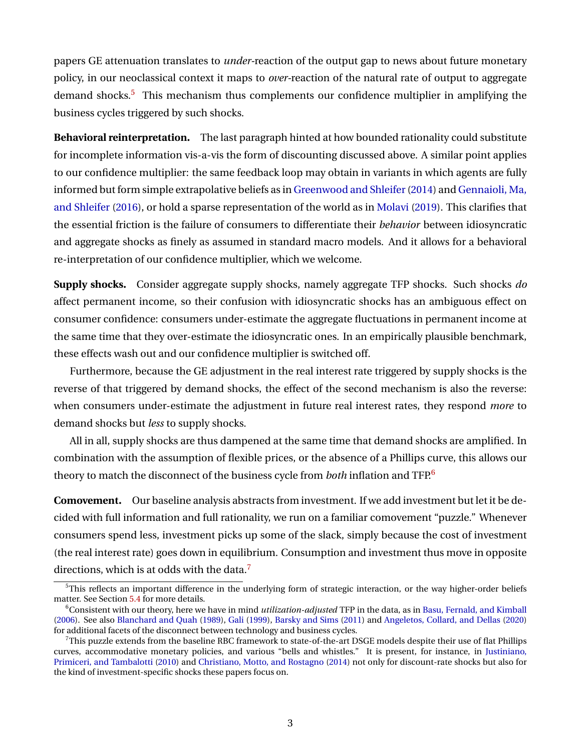papers GE attenuation translates to *under-*reaction of the output gap to news about future monetary policy, in our neoclassical context it maps to *over-*reaction of the natural rate of output to aggregate demand shocks.<sup>[5](#page-3-0)</sup> This mechanism thus complements our confidence multiplier in amplifying the business cycles triggered by such shocks.

**Behavioral reinterpretation.** The last paragraph hinted at how bounded rationality could substitute for incomplete information vis-a-vis the form of discounting discussed above. A similar point applies to our confidence multiplier: the same feedback loop may obtain in variants in which agents are fully informed but form simple extrapolative beliefs as in [Greenwood and Shleifer\(2014\)](#page-58-3) and [Gennaioli, Ma,](#page-58-4) [and Shleifer](#page-58-4) [\(2016\)](#page-58-4), or hold a sparse representation of the world as in [Molavi](#page-60-1) [\(2019\)](#page-60-1). This clarifies that the essential friction is the failure of consumers to differentiate their *behavior* between idiosyncratic and aggregate shocks as finely as assumed in standard macro models. And it allows for a behavioral re-interpretation of our confidence multiplier, which we welcome.

**Supply shocks.** Consider aggregate supply shocks, namely aggregate TFP shocks. Such shocks *do* affect permanent income, so their confusion with idiosyncratic shocks has an ambiguous effect on consumer confidence: consumers under-estimate the aggregate fluctuations in permanent income at the same time that they over-estimate the idiosyncratic ones. In an empirically plausible benchmark, these effects wash out and our confidence multiplier is switched off.

Furthermore, because the GE adjustment in the real interest rate triggered by supply shocks is the reverse of that triggered by demand shocks, the effect of the second mechanism is also the reverse: when consumers under-estimate the adjustment in future real interest rates, they respond *more* to demand shocks but *less* to supply shocks.

All in all, supply shocks are thus dampened at the same time that demand shocks are amplified. In combination with the assumption of flexible prices, or the absence of a Phillips curve, this allows our theory to match the disconnect of the business cycle from *both* inflation and TFP.[6](#page-3-1)

**Comovement.** Our baseline analysis abstracts from investment. If we add investment but let it be decided with full information and full rationality, we run on a familiar comovement "puzzle." Whenever consumers spend less, investment picks up some of the slack, simply because the cost of investment (the real interest rate) goes down in equilibrium. Consumption and investment thus move in opposite directions, which is at odds with the data.<sup>[7](#page-3-2)</sup>

<span id="page-3-0"></span> $5$ This reflects an important difference in the underlying form of strategic interaction, or the way higher-order beliefs matter. See Section [5.4](#page-20-0) for more details.

<span id="page-3-1"></span><sup>6</sup>Consistent with our theory, here we have in mind *utilization-adjusted* TFP in the data, as in [Basu, Fernald, and Kimball](#page-57-1) [\(2006\)](#page-57-1). See also [Blanchard and Quah](#page-57-2) [\(1989\)](#page-57-2), [Gali](#page-58-5) [\(1999\)](#page-58-5), [Barsky and Sims](#page-57-3) [\(2011\)](#page-57-3) and [Angeletos, Collard, and Dellas](#page-56-0) [\(2020\)](#page-56-0) for additional facets of the disconnect between technology and business cycles.

<span id="page-3-2"></span> $7$ This puzzle extends from the baseline RBC framework to state-of-the-art DSGE models despite their use of flat Phillips curves, accommodative monetary policies, and various "bells and whistles." It is present, for instance, in [Justiniano,](#page-59-5) [Primiceri, and Tambalotti](#page-59-5) [\(2010\)](#page-59-5) and [Christiano, Motto, and Rostagno](#page-57-4) [\(2014\)](#page-57-4) not only for discount-rate shocks but also for the kind of investment-specific shocks these papers focus on.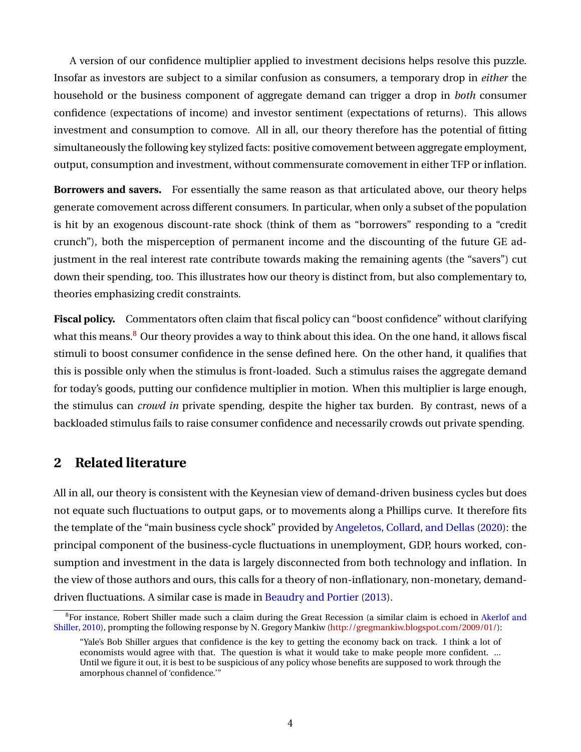A version of our confidence multiplier applied to investment decisions helps resolve this puzzle. Insofar as investors are subject to a similar confusion as consumers, a temporary drop in *either* the household or the business component of aggregate demand can trigger a drop in *both* consumer confidence (expectations of income) and investor sentiment (expectations of returns). This allows investment and consumption to comove. All in all, our theory therefore has the potential of fitting simultaneously the following key stylized facts: positive comovement between aggregate employment, output, consumption and investment, without commensurate comovement in either TFP or inflation.

**Borrowers and savers.** For essentially the same reason as that articulated above, our theory helps generate comovement across different consumers. In particular, when only a subset of the population is hit by an exogenous discount-rate shock (think of them as "borrowers" responding to a "credit crunch"), both the misperception of permanent income and the discounting of the future GE adjustment in the real interest rate contribute towards making the remaining agents (the "savers") cut down their spending, too. This illustrates how our theory is distinct from, but also complementary to, theories emphasizing credit constraints.

**Fiscal policy.** Commentators often claim that fiscal policy can "boost confidence" without clarifying what this means. $8$  Our theory provides a way to think about this idea. On the one hand, it allows fiscal stimuli to boost consumer confidence in the sense defined here. On the other hand, it qualifies that this is possible only when the stimulus is front-loaded. Such a stimulus raises the aggregate demand for today's goods, putting our confidence multiplier in motion. When this multiplier is large enough, the stimulus can *crowd in* private spending, despite the higher tax burden. By contrast, news of a backloaded stimulus fails to raise consumer confidence and necessarily crowds out private spending.

# **2 Related literature**

All in all, our theory is consistent with the Keynesian view of demand-driven business cycles but does not equate such fluctuations to output gaps, or to movements along a Phillips curve. It therefore fits the template of the "main business cycle shock" provided by [Angeletos, Collard, and Dellas](#page-56-0) [\(2020\)](#page-56-0): the principal component of the business-cycle fluctuations in unemployment, GDP, hours worked, consumption and investment in the data is largely disconnected from both technology and inflation. In the view of those authors and ours, this calls for a theory of non-inflationary, non-monetary, demanddriven fluctuations. A similar case is made in [Beaudry and Portier](#page-57-5) [\(2013\)](#page-57-5).

<span id="page-4-0"></span><sup>&</sup>lt;sup>8</sup>For instance, Robert Shiller made such a claim during the Great Recession (a similar claim is echoed in [Akerlof and](#page-56-2) [Shiller,](#page-56-2) [2010\)](#page-56-2), prompting the following response by N. Gregory Mankiw [\(http://gregmankiw.blogspot.com/2009/01/\)](http://gregmankiw.blogspot.com/2009/01/):

<sup>&</sup>quot;Yale's Bob Shiller argues that confidence is the key to getting the economy back on track. I think a lot of economists would agree with that. The question is what it would take to make people more confident. ... Until we figure it out, it is best to be suspicious of any policy whose benefits are supposed to work through the amorphous channel of 'confidence.'"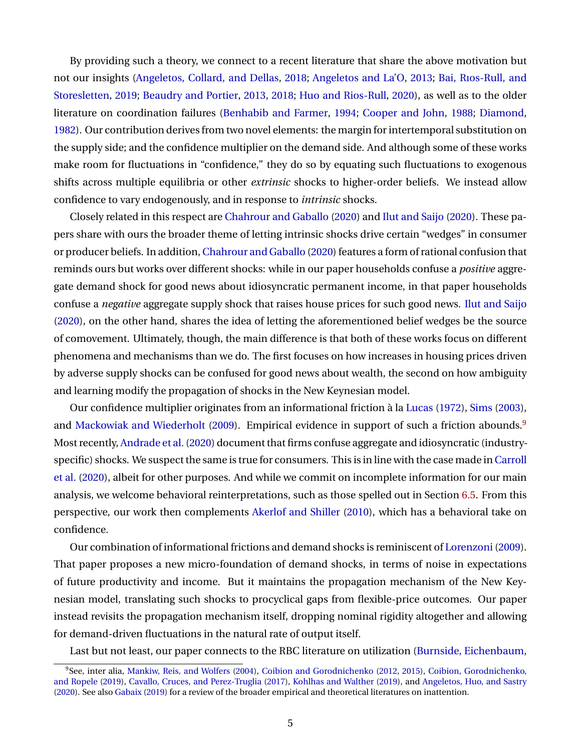By providing such a theory, we connect to a recent literature that share the above motivation but not our insights [\(Angeletos, Collard, and Dellas,](#page-56-3) [2018;](#page-56-3) [Angeletos and La'O,](#page-56-4) [2013;](#page-56-4) [Bai, Rıos-Rull, and](#page-56-5) [Storesletten,](#page-56-5) [2019;](#page-56-5) [Beaudry and Portier,](#page-57-5) [2013,](#page-57-5) [2018;](#page-57-6) [Huo and Rios-Rull,](#page-59-6) [2020\)](#page-59-6), as well as to the older literature on coordination failures [\(Benhabib and Farmer,](#page-57-7) [1994;](#page-57-7) [Cooper and John,](#page-58-6) [1988;](#page-58-6) [Diamond,](#page-58-7) [1982\)](#page-58-7). Our contribution derives from two novel elements: the margin for intertemporal substitution on the supply side; and the confidence multiplier on the demand side. And although some of these works make room for fluctuations in "confidence," they do so by equating such fluctuations to exogenous shifts across multiple equilibria or other *extrinsic* shocks to higher-order beliefs. We instead allow confidence to vary endogenously, and in response to *intrinsic* shocks.

Closely related in this respect are [Chahrour and Gaballo](#page-57-8) [\(2020\)](#page-57-8) and [Ilut and Saijo](#page-59-7) [\(2020\)](#page-59-7). These papers share with ours the broader theme of letting intrinsic shocks drive certain "wedges" in consumer or producer beliefs. In addition, [Chahrour and Gaballo](#page-57-8) [\(2020\)](#page-57-8) features a form of rational confusion that reminds ours but works over different shocks: while in our paper households confuse a *positive* aggregate demand shock for good news about idiosyncratic permanent income, in that paper households confuse a *negative* aggregate supply shock that raises house prices for such good news. [Ilut and Saijo](#page-59-7) [\(2020\)](#page-59-7), on the other hand, shares the idea of letting the aforementioned belief wedges be the source of comovement. Ultimately, though, the main difference is that both of these works focus on different phenomena and mechanisms than we do. The first focuses on how increases in housing prices driven by adverse supply shocks can be confused for good news about wealth, the second on how ambiguity and learning modify the propagation of shocks in the New Keynesian model.

Our confidence multiplier originates from an informational friction à la [Lucas](#page-59-8) [\(1972\)](#page-59-8), [Sims](#page-60-0) [\(2003\)](#page-60-0), and [Mackowiak and Wiederholt](#page-59-4) [\(2009\)](#page-59-4). Empirical evidence in support of such a friction abounds.<sup>[9](#page-5-0)</sup> Most recently, [Andrade et al.\(2020\)](#page-56-6) document that firms confuse aggregate and idiosyncratic (industryspecific) shocks. We suspect the same is true for consumers. This is in line with the case made in [Carroll](#page-57-0) [et al.](#page-57-0) [\(2020\)](#page-57-0), albeit for other purposes. And while we commit on incomplete information for our main analysis, we welcome behavioral reinterpretations, such as those spelled out in Section [6.5.](#page-31-0) From this perspective, our work then complements [Akerlof and Shiller](#page-56-2) [\(2010\)](#page-56-2), which has a behavioral take on confidence.

Our combination of informational frictions and demand shocks is reminiscent of [Lorenzoni](#page-59-9) [\(2009\)](#page-59-9). That paper proposes a new micro-foundation of demand shocks, in terms of noise in expectations of future productivity and income. But it maintains the propagation mechanism of the New Keynesian model, translating such shocks to procyclical gaps from flexible-price outcomes. Our paper instead revisits the propagation mechanism itself, dropping nominal rigidity altogether and allowing for demand-driven fluctuations in the natural rate of output itself.

Last but not least, our paper connects to the RBC literature on utilization [\(Burnside, Eichenbaum,](#page-57-9)

<span id="page-5-0"></span><sup>9</sup> See, inter alia, [Mankiw, Reis, and Wolfers](#page-59-10) [\(2004\)](#page-59-10), [Coibion and Gorodnichenko](#page-57-9) [\(2012,](#page-57-10) [2015\)](#page-58-8), [Coibion, Gorodnichenko,](#page-58-9) [and Ropele](#page-58-9) [\(2019\)](#page-58-9), [Cavallo, Cruces, and Perez-Truglia](#page-57-9) [\(2017\)](#page-57-11), [Kohlhas and Walther](#page-59-11) [\(2019\)](#page-59-11), and [Angeletos, Huo, and Sastry](#page-56-7) [\(2020\)](#page-56-7). See also [Gabaix](#page-58-10) [\(2019\) for a review of the broader empirical and theoretical literatures on inattention.](#page-57-9)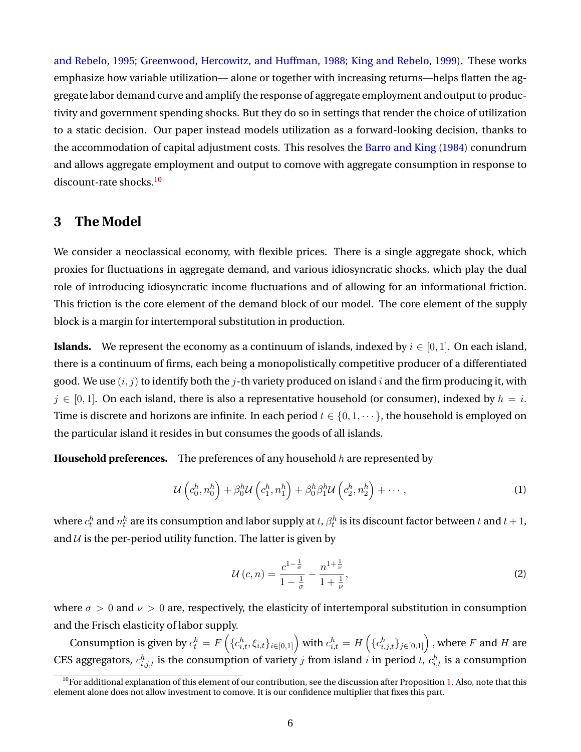[and Rebelo,](#page-57-9) [1995;](#page-57-9) [Greenwood, Hercowitz, and Huffman,](#page-58-0) [1988;](#page-58-0) [King and Rebelo,](#page-59-12) [1999\)](#page-59-12). These works emphasize how variable utilization— alone or together with increasing returns—helps flatten the aggregate labor demand curve and amplify the response of aggregate employment and output to productivity and government spending shocks. But they do so in settings that render the choice of utilization to a static decision. Our paper instead models utilization as a forward-looking decision, thanks to the accommodation of capital adjustment costs. This resolves the [Barro and King](#page-56-8) [\(1984\)](#page-56-8) conundrum and allows aggregate employment and output to comove with aggregate consumption in response to discount-rate shocks.<sup>[10](#page-6-0)</sup>

### **3 The Model**

We consider a neoclassical economy, with flexible prices. There is a single aggregate shock, which proxies for fluctuations in aggregate demand, and various idiosyncratic shocks, which play the dual role of introducing idiosyncratic income fluctuations and of allowing for an informational friction. This friction is the core element of the demand block of our model. The core element of the supply block is a margin for intertemporal substitution in production.

**Islands.** We represent the economy as a continuum of islands, indexed by  $i \in [0, 1]$ . On each island, there is a continuum of firms, each being a monopolistically competitive producer of a differentiated good. We use  $(i, j)$  to identify both the j-th variety produced on island i and the firm producing it, with  $j \in [0, 1]$ . On each island, there is also a representative household (or consumer), indexed by  $h = i$ . Time is discrete and horizons are infinite. In each period  $t \in \{0, 1, \dots\}$ , the household is employed on the particular island it resides in but consumes the goods of all islands.

**Household preferences.** The preferences of any household h are represented by

$$
\mathcal{U}\left(c_0^h, n_0^h\right) + \beta_0^h \mathcal{U}\left(c_1^h, n_1^h\right) + \beta_0^h \beta_1^h \mathcal{U}\left(c_2^h, n_2^h\right) + \cdots, \tag{1}
$$

where  $c_t^h$  and  $n_t^h$  are its consumption and labor supply at  $t$  ,  $\beta_t^h$  is its discount factor between  $t$  and  $t+1$ , and  $U$  is the per-period utility function. The latter is given by

$$
\mathcal{U}(c,n) = \frac{c^{1-\frac{1}{\sigma}}}{1-\frac{1}{\sigma}} - \frac{n^{1+\frac{1}{\nu}}}{1+\frac{1}{\nu}},
$$
\n(2)

where  $\sigma > 0$  and  $\nu > 0$  are, respectively, the elasticity of intertemporal substitution in consumption and the Frisch elasticity of labor supply.

Consumption is given by  $c^h_t = F\left(\{c^h_{i,t},\xi_{i,t}\}_{i\in[0,1]}\right)$  with  $c^h_{i,t} = H\left(\{c^h_{i,j,t}\}_{j\in[0,1]}\right),$  where  $F$  and  $H$  are CES aggregators,  $c_{i,j,t}^h$  is the consumption of variety  $j$  from island  $i$  in period  $t$ ,  $c_{i,t}^h$  is a consumption

<span id="page-6-0"></span> $10$ For additional explanation of this element of our contribution, see the discussion after Proposition [1.](#page-12-0) Also, note that this element alone does not allow investment to comove. It is our confidence multiplier that fixes this part.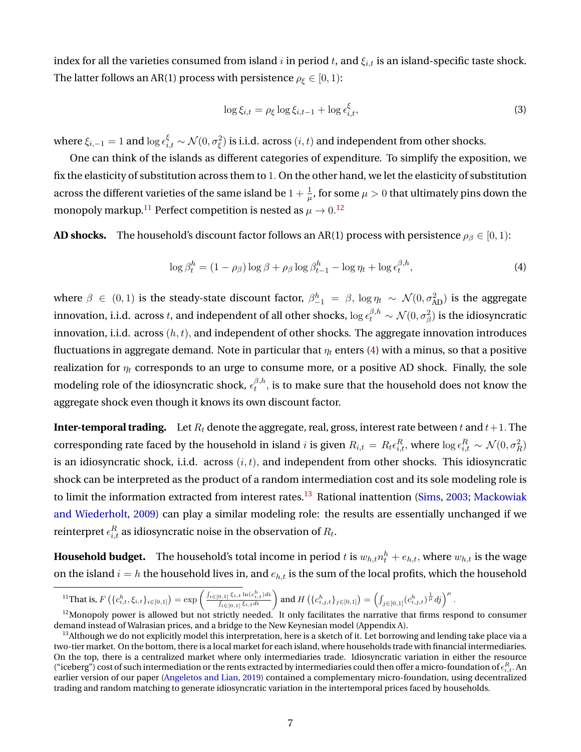index for all the varieties consumed from island i in period t, and  $\xi_{i,t}$  is an island-specific taste shock. The latter follows an AR(1) process with persistence  $\rho_{\xi} \in [0, 1)$ :

$$
\log \xi_{i,t} = \rho_{\xi} \log \xi_{i,t-1} + \log \epsilon_{i,t}^{\xi},\tag{3}
$$

where  $\xi_{i,-1}=1$  and  $\log \epsilon_{i,t}^{\xi}\sim\mathcal{N}(0,\sigma_{\xi}^2)$  is i.i.d. across  $(i,t)$  and independent from other shocks.

One can think of the islands as different categories of expenditure. To simplify the exposition, we fix the elasticity of substitution across them to 1. On the other hand, we let the elasticity of substitution across the different varieties of the same island be  $1+\frac{1}{\mu}$ , for some  $\mu>0$  that ultimately pins down the monopoly markup. $^{11}$  $^{11}$  $^{11}$  Perfect competition is nested as  $\mu \rightarrow 0.^{12}$  $\mu \rightarrow 0.^{12}$  $\mu \rightarrow 0.^{12}$ 

**AD shocks.** The household's discount factor follows an AR(1) process with persistence  $\rho_{\beta} \in [0, 1)$ :

<span id="page-7-2"></span>
$$
\log \beta_t^h = (1 - \rho_\beta) \log \beta + \rho_\beta \log \beta_{t-1}^h - \log \eta_t + \log \epsilon_t^{\beta, h},\tag{4}
$$

where  $\beta \in (0,1)$  is the steady-state discount factor,  $\beta_{-1}^h = \beta$ ,  $\log \eta_t \sim \mathcal{N}(0, \sigma_{AD}^2)$  is the aggregate innovation, i.i.d. across  $t$ , and independent of all other shocks,  $\log \epsilon_t^{\beta,h}\sim\mathcal{N}(0,\sigma_\beta^2)$  is the idiosyncratic innovation, i.i.d. across  $(h, t)$ , and independent of other shocks. The aggregate innovation introduces fluctuations in aggregate demand. Note in particular that  $\eta_t$  enters [\(4\)](#page-7-2) with a minus, so that a positive realization for  $\eta_t$  corresponds to an urge to consume more, or a positive AD shock. Finally, the sole modeling role of the idiosyncratic shock,  $\epsilon_{t}^{\beta,h}$  $t^{p,n}_{t}$ , is to make sure that the household does not know the aggregate shock even though it knows its own discount factor.

**Inter-temporal trading.** Let  $R_t$  denote the aggregate, real, gross, interest rate between t and  $t+1$ . The corresponding rate faced by the household in island  $i$  is given  $R_{i,t}=R_t\epsilon_{i,t}^R,$  where  $\log\epsilon_{i,t}^R\sim\mathcal{N}(0,\sigma_R^2)$ is an idiosyncratic shock, i.i.d. across  $(i, t)$ , and independent from other shocks. This idiosyncratic shock can be interpreted as the product of a random intermediation cost and its sole modeling role is to limit the information extracted from interest rates.<sup>[13](#page-7-3)</sup> Rational inattention [\(Sims,](#page-60-0) [2003;](#page-60-0) [Mackowiak](#page-59-4) [and Wiederholt,](#page-59-4) [2009\)](#page-59-4) can play a similar modeling role: the results are essentially unchanged if we reinterpret  $\epsilon^R_{i,t}$  as idiosyncratic noise in the observation of  $R_t.$ 

**Household budget.** The household's total income in period  $t$  is  $w_{h,t} n^h_t + e_{h,t},$  where  $w_{h,t}$  is the wage on the island  $i = h$  the household lives in, and  $e_{h,t}$  is the sum of the local profits, which the household

<span id="page-7-0"></span>
$$
{}^{11}\text{That is, } F\left(\{c_{i,t}^h, \xi_{i,t}\}_{i \in [0,1]}\right) = \exp\left(\frac{\int_{i \in [0,1]} \xi_{i,t} \ln(c_{i,t}^h) dt}{\int_{i \in [0,1]} \xi_{i,t} dt}\right) \text{ and } H\left(\{c_{i,j,t}^h\}_{j \in [0,1]}\right) = \left(\int_{j \in [0,1]} (c_{i,j,t}^h)^{\frac{1}{\mu}} df\right)^{\mu}
$$

.

<span id="page-7-1"></span><sup>&</sup>lt;sup>12</sup>Monopoly power is allowed but not strictly needed. It only facilitates the narrative that firms respond to consumer demand instead of Walrasian prices, and a bridge to the New Keynesian model (Appendix A).

<span id="page-7-3"></span> $13$ Although we do not explicitly model this interpretation, here is a sketch of it. Let borrowing and lending take place via a two-tier market. On the bottom, there is a local market for each island, where households trade with financial intermediaries. On the top, there is a centralized market where only intermediaries trade. Idiosyncratic variation in either the resource ("iceberg") cost of such intermediation or the rents extracted by intermediaries could then offer a micro-foundation of  $\epsilon^R_{i,t}.$  An earlier version of our paper [\(Angeletos and Lian,](#page-56-9) [2019\)](#page-56-9) contained a complementary micro-foundation, using decentralized trading and random matching to generate idiosyncratic variation in the intertemporal prices faced by households.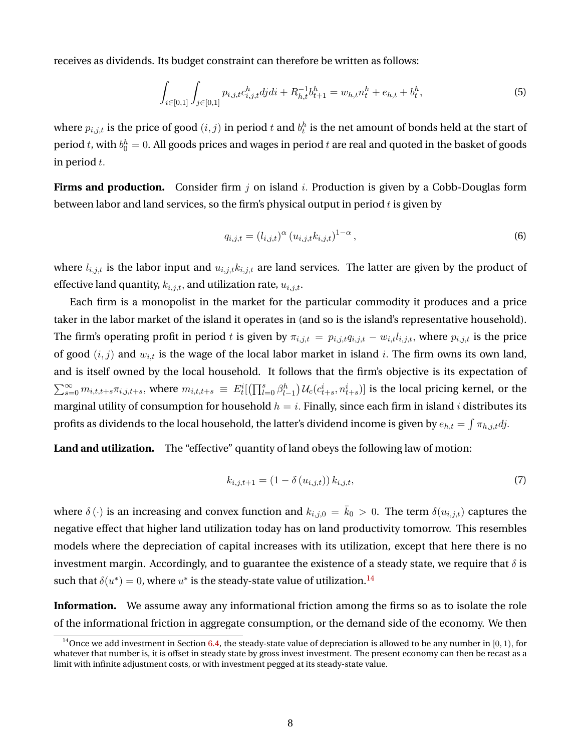receives as dividends. Its budget constraint can therefore be written as follows:

<span id="page-8-1"></span>
$$
\int_{i\in[0,1]} \int_{j\in[0,1]} p_{i,j,t} c_{i,j,t}^h djdi + R_{h,t}^{-1} b_{t+1}^h = w_{h,t} n_t^h + e_{h,t} + b_t^h,
$$
\n(5)

where  $p_{i,j,t}$  is the price of good  $(i,j)$  in period  $t$  and  $b^h_t$  is the net amount of bonds held at the start of period  $t$ , with  $b^h_0=0.$  All goods prices and wages in period  $t$  are real and quoted in the basket of goods in period  $t$ .

**Firms and production.** Consider firm j on island i. Production is given by a Cobb-Douglas form between labor and land services, so the firm's physical output in period  $t$  is given by

$$
q_{i,j,t} = (l_{i,j,t})^{\alpha} (u_{i,j,t} k_{i,j,t})^{1-\alpha},
$$
\n(6)

where  $l_{i,j,t}$  is the labor input and  $u_{i,j,t}k_{i,j,t}$  are land services. The latter are given by the product of effective land quantity,  $k_{i,j,t}$ , and utilization rate,  $u_{i,j,t}$ .

Each firm is a monopolist in the market for the particular commodity it produces and a price taker in the labor market of the island it operates in (and so is the island's representative household). The firm's operating profit in period t is given by  $\pi_{i,j,t} = p_{i,j,t}q_{i,j,t} - w_{i,t}l_{i,j,t}$ , where  $p_{i,j,t}$  is the price of good  $(i, j)$  and  $w_{i,t}$  is the wage of the local labor market in island i. The firm owns its own land, and is itself owned by the local household. It follows that the firm's objective is its expectation of  $\sum_{s=0}^{\infty} m_{i,t,t+s} \pi_{i,j,t+s}$ , where  $m_{i,t,t+s} \equiv E_t^i[(\prod_{l=0}^s \beta_{l-1}^h) \mathcal{U}_c(c_{t+s}^i, n_{t+s}^i)]$  is the local pricing kernel, or the marginal utility of consumption for household  $h = i$ . Finally, since each firm in island *i* distributes its profits as dividends to the local household, the latter's dividend income is given by  $e_{h,t}=\int \pi_{h,j,t}dj.$ 

**Land and utilization.** The "effective" quantity of land obeys the following law of motion:

<span id="page-8-2"></span>
$$
k_{i,j,t+1} = (1 - \delta(u_{i,j,t})) k_{i,j,t}, \tag{7}
$$

where  $\delta(\cdot)$  is an increasing and convex function and  $k_{i,j,0} = \bar{k}_0 > 0$ . The term  $\delta(u_{i,j,t})$  captures the negative effect that higher land utilization today has on land productivity tomorrow. This resembles models where the depreciation of capital increases with its utilization, except that here there is no investment margin. Accordingly, and to guarantee the existence of a steady state, we require that  $\delta$  is such that  $\delta(u^*)=0$ , where  $u^*$  is the steady-state value of utilization.<sup>[14](#page-8-0)</sup>

**Information.** We assume away any informational friction among the firms so as to isolate the role of the informational friction in aggregate consumption, or the demand side of the economy. We then

<span id="page-8-0"></span><sup>&</sup>lt;sup>14</sup>Once we add investment in Section [6.4,](#page-29-0) the steady-state value of depreciation is allowed to be any number in [0, 1), for whatever that number is, it is offset in steady state by gross invest investment. The present economy can then be recast as a limit with infinite adjustment costs, or with investment pegged at its steady-state value.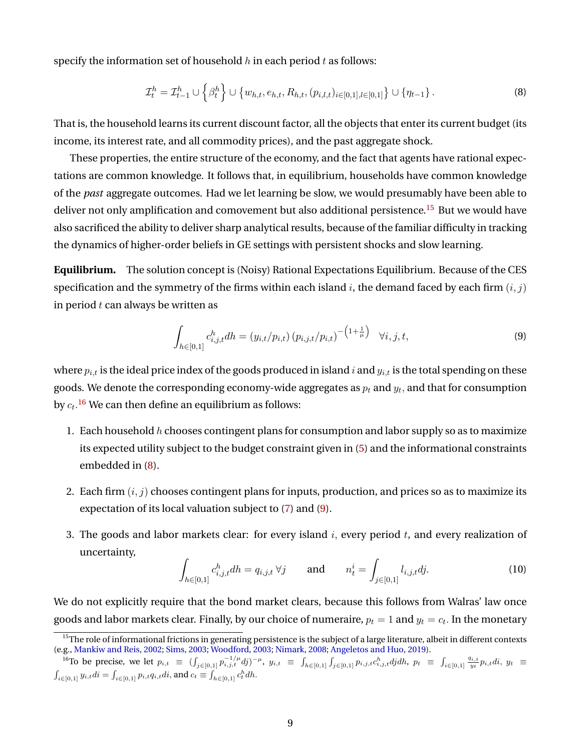specify the information set of household  $h$  in each period  $t$  as follows:

<span id="page-9-2"></span>
$$
\mathcal{I}_t^h = \mathcal{I}_{t-1}^h \cup \left\{ \beta_t^h \right\} \cup \left\{ w_{h,t}, e_{h,t}, R_{h,t}, (p_{i,l,t})_{i \in [0,1], l \in [0,1]} \right\} \cup \left\{ \eta_{t-1} \right\}.
$$
 (8)

That is, the household learns its current discount factor, all the objects that enter its current budget (its income, its interest rate, and all commodity prices), and the past aggregate shock.

These properties, the entire structure of the economy, and the fact that agents have rational expectations are common knowledge. It follows that, in equilibrium, households have common knowledge of the *past* aggregate outcomes. Had we let learning be slow, we would presumably have been able to deliver not only amplification and comovement but also additional persistence.<sup>[15](#page-9-0)</sup> But we would have also sacrificed the ability to deliver sharp analytical results, because of the familiar difficulty in tracking the dynamics of higher-order beliefs in GE settings with persistent shocks and slow learning.

**Equilibrium.** The solution concept is (Noisy) Rational Expectations Equilibrium. Because of the CES specification and the symmetry of the firms within each island i, the demand faced by each firm  $(i, j)$ in period  $t$  can always be written as

<span id="page-9-3"></span>
$$
\int_{h \in [0,1]} c_{i,j,t}^h dh = (y_{i,t}/p_{i,t}) (p_{i,j,t}/p_{i,t})^{-\left(1 + \frac{1}{\mu}\right)} \quad \forall i, j, t,
$$
\n(9)

where  $p_{i,t}$  is the ideal price index of the goods produced in island i and  $y_{i,t}$  is the total spending on these goods. We denote the corresponding economy-wide aggregates as  $p_t$  and  $y_t,$  and that for consumption by  $c_t.^\mathbf{16}$  $c_t.^\mathbf{16}$  $c_t.^\mathbf{16}$  We can then define an equilibrium as follows:

- 1. Each household  $h$  chooses contingent plans for consumption and labor supply so as to maximize its expected utility subject to the budget constraint given in [\(5\)](#page-8-1) and the informational constraints embedded in [\(8\)](#page-9-2).
- 2. Each firm  $(i, j)$  chooses contingent plans for inputs, production, and prices so as to maximize its expectation of its local valuation subject to [\(7\)](#page-8-2) and [\(9\)](#page-9-3).
- 3. The goods and labor markets clear: for every island  $i$ , every period  $t$ , and every realization of uncertainty,

$$
\int_{h \in [0,1]} c_{i,j,t}^h dh = q_{i,j,t} \,\forall j \qquad \text{and} \qquad n_t^i = \int_{j \in [0,1]} l_{i,j,t} dj. \tag{10}
$$

We do not explicitly require that the bond market clears, because this follows from Walras' law once goods and labor markets clear. Finally, by our choice of numeraire,  $p_t = 1$  and  $y_t = c_t.$  In the monetary

<span id="page-9-0"></span><sup>&</sup>lt;sup>15</sup>The role of informational frictions in generating persistence is the subject of a large literature, albeit in different contexts (e.g., [Mankiw and Reis,](#page-59-13) [2002;](#page-59-13) [Sims,](#page-60-0) [2003;](#page-60-0) [Woodford,](#page-60-2) [2003;](#page-60-2) [Nimark,](#page-60-3) [2008;](#page-60-3) [Angeletos and Huo,](#page-56-10) [2019\)](#page-56-10).

<span id="page-9-1"></span><sup>&</sup>lt;sup>16</sup>To be precise, we let  $p_{i,t} \equiv (\int_{j \in [0,1]} p_{i,j,t}^{-1/\mu} dj)^{-\mu}$ ,  $y_{i,t} \equiv \int_{h \in [0,1]} \int_{j \in [0,1]} p_{i,j,t} c_{i,j,t}^h dj dh$ ,  $p_t \equiv \int_{i \in [0,1]} \frac{q_{i,t}}{y_t} p_{i,t} di$ ,  $y_t \equiv \frac{1}{2}$  $\int_{i\in[0,1]} y_{i,t}di = \int_{i\in[0,1]} p_{i,t}q_{i,t}di$ , and  $c_t \equiv \int_{h\in[0,1]} c_t^h dh$ .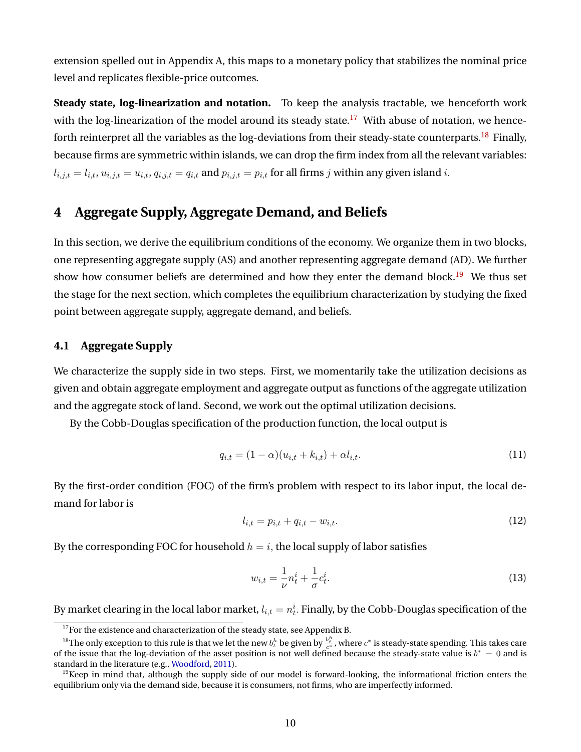extension spelled out in Appendix A, this maps to a monetary policy that stabilizes the nominal price level and replicates flexible-price outcomes.

**Steady state, log-linearization and notation.** To keep the analysis tractable, we henceforth work with the log-linearization of the model around its steady state.<sup>[17](#page-10-0)</sup> With abuse of notation, we hence-forth reinterpret all the variables as the log-deviations from their steady-state counterparts.<sup>[18](#page-10-1)</sup> Finally, because firms are symmetric within islands, we can drop the firm index from all the relevant variables:  $l_{i,j,t} = l_{i,t}, u_{i,j,t} = u_{i,t}, q_{i,j,t} = q_{i,t}$  and  $p_{i,j,t} = p_{i,t}$  for all firms j within any given island i.

# <span id="page-10-4"></span>**4 Aggregate Supply, Aggregate Demand, and Beliefs**

In this section, we derive the equilibrium conditions of the economy. We organize them in two blocks, one representing aggregate supply (AS) and another representing aggregate demand (AD). We further show how consumer beliefs are determined and how they enter the demand block.<sup>[19](#page-10-2)</sup> We thus set the stage for the next section, which completes the equilibrium characterization by studying the fixed point between aggregate supply, aggregate demand, and beliefs.

### **4.1 Aggregate Supply**

We characterize the supply side in two steps. First, we momentarily take the utilization decisions as given and obtain aggregate employment and aggregate output as functions of the aggregate utilization and the aggregate stock of land. Second, we work out the optimal utilization decisions.

By the Cobb-Douglas specification of the production function, the local output is

<span id="page-10-6"></span>
$$
q_{i,t} = (1 - \alpha)(u_{i,t} + k_{i,t}) + \alpha l_{i,t}.
$$
\n(11)

By the first-order condition (FOC) of the firm's problem with respect to its labor input, the local demand for labor is

<span id="page-10-3"></span>
$$
l_{i,t} = p_{i,t} + q_{i,t} - w_{i,t}.
$$
 (12)

By the corresponding FOC for household  $h = i$ , the local supply of labor satisfies

<span id="page-10-5"></span>
$$
w_{i,t} = \frac{1}{\nu} n_t^i + \frac{1}{\sigma} c_t^i.
$$
\n<sup>(13)</sup>

# By market clearing in the local labor market,  $l_{i,t} = n^i_t$ . Finally, by the Cobb-Douglas specification of the

<span id="page-10-1"></span><span id="page-10-0"></span><sup>&</sup>lt;sup>17</sup>For the existence and characterization of the steady state, see Appendix B.

 $^{18}$ The only exception to this rule is that we let the new  $b_t^h$  be given by  $\frac{b_t^h}{c^*}$ , where  $c^*$  is steady-state spending. This takes care of the issue that the log-deviation of the asset position is not well defined because the steady-state value is  $b^* = 0$  and is standard in the literature (e.g., [Woodford,](#page-60-4) [2011\)](#page-60-4).

<span id="page-10-2"></span> $19$ Keep in mind that, although the supply side of our model is forward-looking, the informational friction enters the equilibrium only via the demand side, because it is consumers, not firms, who are imperfectly informed.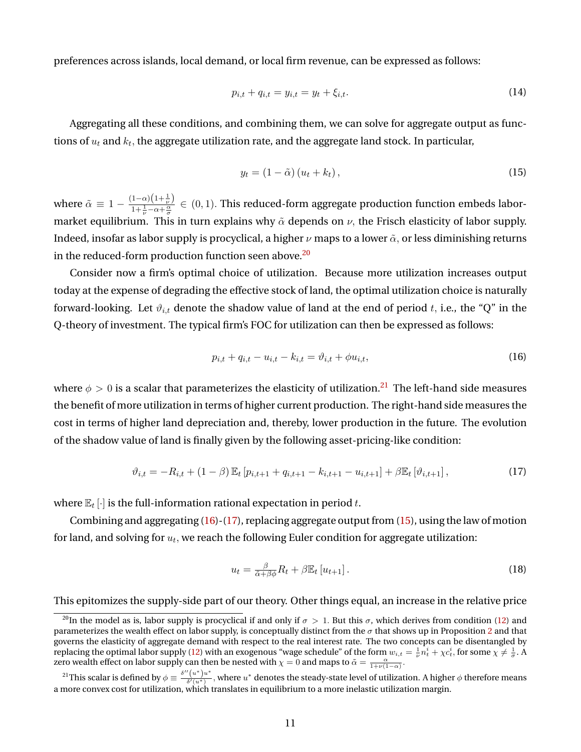preferences across islands, local demand, or local firm revenue, can be expressed as follows:

<span id="page-11-5"></span>
$$
p_{i,t} + q_{i,t} = y_{i,t} = y_t + \xi_{i,t}.
$$
\n(14)

Aggregating all these conditions, and combining them, we can solve for aggregate output as functions of  $u_t$  and  $k_t,$  the aggregate utilization rate, and the aggregate land stock. In particular,

<span id="page-11-4"></span>
$$
y_t = (1 - \tilde{\alpha}) \left( u_t + k_t \right), \tag{15}
$$

where  $\tilde{\alpha} \equiv 1 - \frac{(1-\alpha)(1+\frac{1}{\nu})}{1+\frac{1}{\alpha}-\alpha+\frac{\alpha}{2}}$  $\frac{1-\alpha}{1+\frac{1}{\nu}-\alpha+\frac{\alpha}{\sigma}} \in (0,1)$ . This reduced-form aggregate production function embeds labormarket equilibrium. This in turn explains why  $\tilde{\alpha}$  depends on  $\nu$ , the Frisch elasticity of labor supply. Indeed, insofar as labor supply is procyclical, a higher  $\nu$  maps to a lower  $\tilde{\alpha}$ , or less diminishing returns in the reduced-form production function seen above.<sup>[20](#page-11-0)</sup>

Consider now a firm's optimal choice of utilization. Because more utilization increases output today at the expense of degrading the effective stock of land, the optimal utilization choice is naturally forward-looking. Let  $\vartheta_{i,t}$  denote the shadow value of land at the end of period t, i.e., the "Q" in the Q-theory of investment. The typical firm's FOC for utilization can then be expressed as follows:

<span id="page-11-2"></span>
$$
p_{i,t} + q_{i,t} - u_{i,t} - k_{i,t} = \vartheta_{i,t} + \varphi u_{i,t},
$$
\n(16)

where  $\phi > 0$  is a scalar that parameterizes the elasticity of utilization.<sup>[21](#page-11-1)</sup> The left-hand side measures the benefit of more utilization in terms of higher current production. The right-hand side measures the cost in terms of higher land depreciation and, thereby, lower production in the future. The evolution of the shadow value of land is finally given by the following asset-pricing-like condition:

<span id="page-11-3"></span>
$$
\vartheta_{i,t} = -R_{i,t} + (1-\beta) \mathbb{E}_t \left[ p_{i,t+1} + q_{i,t+1} - k_{i,t+1} - u_{i,t+1} \right] + \beta \mathbb{E}_t \left[ \vartheta_{i,t+1} \right], \tag{17}
$$

where  $\mathbb{E}_t\left[\cdot\right]$  is the full-information rational expectation in period  $t$ .

Combining and aggregating  $(16)-(17)$  $(16)-(17)$  $(16)-(17)$ , replacing aggregate output from  $(15)$ , using the law of motion for land, and solving for  $u_t$ , we reach the following Euler condition for aggregate utilization:

$$
u_t = \frac{\beta}{\tilde{\alpha} + \beta \phi} R_t + \beta \mathbb{E}_t \left[ u_{t+1} \right]. \tag{18}
$$

This epitomizes the supply-side part of our theory. Other things equal, an increase in the relative price

<span id="page-11-0"></span><sup>&</sup>lt;sup>20</sup>In the model as is, labor supply is procyclical if and only if  $\sigma > 1$ . But this  $\sigma$ , which derives from condition [\(12\)](#page-10-3) and parameterizes the wealth effect on labor supply, is conceptually distinct from the  $\sigma$  that shows up in Proposition [2](#page-14-0) and that governs the elasticity of aggregate demand with respect to the real interest rate. The two concepts can be disentangled by replacing the optimal labor supply [\(12\)](#page-10-3) with an exogenous "wage schedule" of the form  $w_{i,t}=\frac{1}{\nu}n_t^i+\chi c_t^i$ , for some  $\chi\neq\frac{1}{\sigma}.$  A zero wealth effect on labor supply can then be nested with  $\chi=0$  and maps to  $\tilde{\alpha}=\frac{\alpha}{1+\nu(1-\alpha)}$ .

<span id="page-11-1"></span><sup>&</sup>lt;sup>21</sup>This scalar is defined by  $\phi \equiv \frac{\delta''(u^*)u^*}{\delta'(u^*)}$  $\frac{(u^r)^u}{\delta'(u^*)}$ , where  $u^*$  denotes the steady-state level of utilization. A higher  $\phi$  therefore means a more convex cost for utilization, which translates in equilibrium to a more inelastic utilization margin.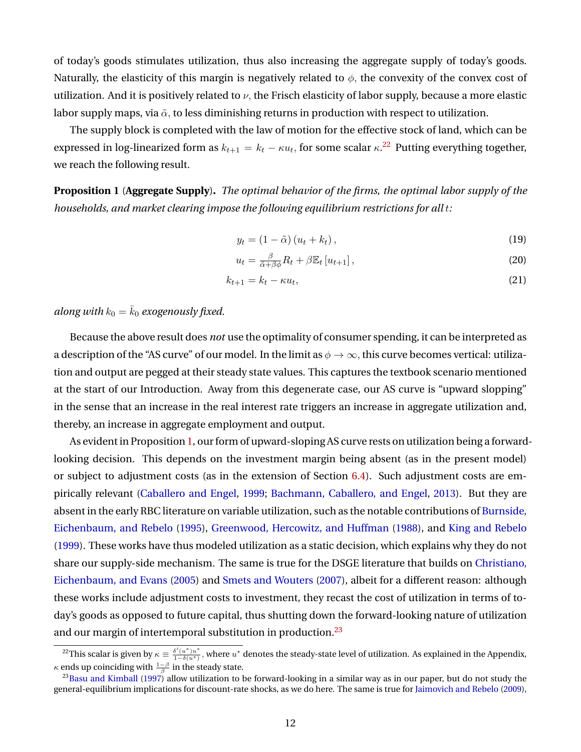of today's goods stimulates utilization, thus also increasing the aggregate supply of today's goods. Naturally, the elasticity of this margin is negatively related to  $\phi$ , the convexity of the convex cost of utilization. And it is positively related to  $\nu$ , the Frisch elasticity of labor supply, because a more elastic labor supply maps, via  $\tilde{\alpha}$ , to less diminishing returns in production with respect to utilization.

The supply block is completed with the law of motion for the effective stock of land, which can be expressed in log-linearized form as  $k_{t+1} = k_t - \kappa u_t$ , for some scalar  $\kappa$ <sup>[22](#page-12-1)</sup> Putting everything together, we reach the following result.

<span id="page-12-0"></span>**Proposition 1** (**Aggregate Supply**)**.** *The optimal behavior of the firms, the optimal labor supply of the households, and market clearing impose the following equilibrium restrictions for all* t*:*

<span id="page-12-5"></span><span id="page-12-4"></span><span id="page-12-3"></span>
$$
y_t = (1 - \tilde{\alpha}) (u_t + k_t), \qquad (19)
$$

$$
u_t = \frac{\beta}{\tilde{\alpha} + \beta \phi} R_t + \beta \mathbb{E}_t \left[ u_{t+1} \right],\tag{20}
$$

$$
k_{t+1} = k_t - \kappa u_t,\tag{21}
$$

*along with*  $k_0 = \bar{k}_0$  *exogenously fixed.* 

Because the above result does *not* use the optimality of consumer spending, it can be interpreted as a description of the "AS curve" of our model. In the limit as  $\phi \to \infty$ , this curve becomes vertical: utilization and output are pegged at their steady state values. This captures the textbook scenario mentioned at the start of our Introduction. Away from this degenerate case, our AS curve is "upward slopping" in the sense that an increase in the real interest rate triggers an increase in aggregate utilization and, thereby, an increase in aggregate employment and output.

As evident in Proposition [1,](#page-12-0) our form of upward-sloping AS curve rests on utilization being a forwardlooking decision. This depends on the investment margin being absent (as in the present model) or subject to adjustment costs (as in the extension of Section [6.4\)](#page-29-0). Such adjustment costs are empirically relevant [\(Caballero and Engel,](#page-57-12) [1999;](#page-57-12) [Bachmann, Caballero, and Engel,](#page-56-11) [2013\)](#page-56-11). But they are absent in the early RBC literature on variable utilization, such as the notable contributions of [Burnside,](#page-57-9) [Eichenbaum, and Rebelo](#page-57-9) [\(1995\)](#page-57-9), [Greenwood, Hercowitz, and Huffman](#page-58-0) [\(1988\)](#page-58-0), and [King and Rebelo](#page-59-12) [\(1999\)](#page-59-12). These works have thus modeled utilization as a static decision, which explains why they do not share our supply-side mechanism. The same is true for the DSGE literature that builds on [Christiano,](#page-57-13) [Eichenbaum, and Evans](#page-57-13) [\(2005\)](#page-57-13) and [Smets and Wouters](#page-60-5) [\(2007\)](#page-60-5), albeit for a different reason: although these works include adjustment costs to investment, they recast the cost of utilization in terms of today's goods as opposed to future capital, thus shutting down the forward-looking nature of utilization and our margin of intertemporal substitution in production.[23](#page-12-2)

<span id="page-12-1"></span><sup>&</sup>lt;sup>22</sup>This scalar is given by  $\kappa \equiv \frac{\delta'(u^*)u^*}{1-\delta(u^*)}$  $\frac{\delta'(u^*)_u^*}{1-\delta(u^*)}$ , where  $u^*$  denotes the steady-state level of utilization. As explained in the Appendix,  $\kappa$  ends up coinciding with  $\frac{1-\beta}{\beta}$  in the steady state.

<span id="page-12-2"></span> $^{23}$ [Basu and Kimball](#page-57-14) [\(1997\)](#page-57-14) allow utilization to be forward-looking in a similar way as in our paper, but do not study the general-equilibrium implications for discount-rate shocks, as we do here. The same is true for [Jaimovich and Rebelo](#page-59-14) [\(2009\)](#page-59-14),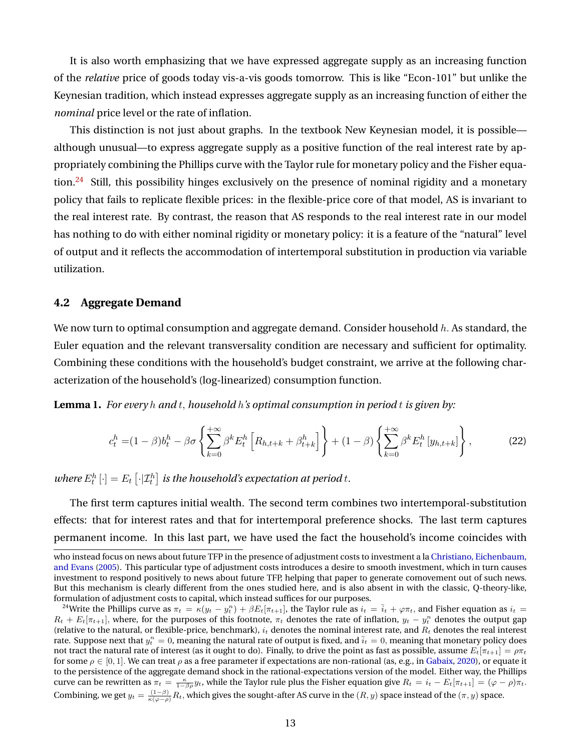It is also worth emphasizing that we have expressed aggregate supply as an increasing function of the *relative* price of goods today vis-a-vis goods tomorrow. This is like "Econ-101" but unlike the Keynesian tradition, which instead expresses aggregate supply as an increasing function of either the *nominal* price level or the rate of inflation.

This distinction is not just about graphs. In the textbook New Keynesian model, it is possible although unusual—to express aggregate supply as a positive function of the real interest rate by appropriately combining the Phillips curve with the Taylor rule for monetary policy and the Fisher equa-tion.<sup>[24](#page-13-0)</sup> Still, this possibility hinges exclusively on the presence of nominal rigidity and a monetary policy that fails to replicate flexible prices: in the flexible-price core of that model, AS is invariant to the real interest rate. By contrast, the reason that AS responds to the real interest rate in our model has nothing to do with either nominal rigidity or monetary policy: it is a feature of the "natural" level of output and it reflects the accommodation of intertemporal substitution in production via variable utilization.

### **4.2 Aggregate Demand**

We now turn to optimal consumption and aggregate demand. Consider household  $h$ . As standard, the Euler equation and the relevant transversality condition are necessary and sufficient for optimality. Combining these conditions with the household's budget constraint, we arrive at the following characterization of the household's (log-linearized) consumption function.

<span id="page-13-2"></span>**Lemma 1.** *For every* h *and* t, *household* h*'s optimal consumption in period* t *is given by:*

<span id="page-13-1"></span>
$$
c_t^h = (1 - \beta)b_t^h - \beta \sigma \left\{ \sum_{k=0}^{+\infty} \beta^k E_t^h \left[ R_{h,t+k} + \beta_{t+k}^h \right] \right\} + (1 - \beta) \left\{ \sum_{k=0}^{+\infty} \beta^k E_t^h \left[ y_{h,t+k} \right] \right\},
$$
 (22)

where  $E_t^h[\cdot]=E_t\left[\cdot|\mathcal{I}_t^h\right]$  is the household's expectation at period  $t.$ 

The first term captures initial wealth. The second term combines two intertemporal-substitution effects: that for interest rates and that for intertemporal preference shocks. The last term captures permanent income. In this last part, we have used the fact the household's income coincides with

who instead focus on news about future TFP in the presence of adjustment costs to investment a la [Christiano, Eichenbaum,](#page-57-13) [and Evans](#page-57-13) [\(2005\)](#page-57-13). This particular type of adjustment costs introduces a desire to smooth investment, which in turn causes investment to respond positively to news about future TFP, helping that paper to generate comovement out of such news. But this mechanism is clearly different from the ones studied here, and is also absent in with the classic, Q-theory-like, formulation of adjustment costs to capital, which instead suffices for our purposes.

<span id="page-13-0"></span><sup>&</sup>lt;sup>24</sup>Write the Phillips curve as  $\pi_t = \kappa(y_t - y_t^n) + \beta E_t[\pi_{t+1}]$ , the Taylor rule as  $i_t = \bar{i}_t + \varphi \pi_t$ , and Fisher equation as  $i_t =$  $R_t + E_t[\pi_{t+1}]$ , where, for the purposes of this footnote,  $\pi_t$  denotes the rate of inflation,  $y_t - y_t^n$  denotes the output gap (relative to the natural, or flexible-price, benchmark),  $i_t$  denotes the nominal interest rate, and  $R_t$  denotes the real interest rate. Suppose next that  $y_t^n=0$ , meaning the natural rate of output is fixed, and  $\bar{i}_t=0,$  meaning that monetary policy does not tract the natural rate of interest (as it ought to do). Finally, to drive the point as fast as possible, assume  $E_t[\pi_{t+1}] = \rho \pi_t$ for some  $\rho \in [0, 1]$ . We can treat  $\rho$  as a free parameter if expectations are non-rational (as, e.g., in [Gabaix,](#page-58-2) [2020\)](#page-58-2), or equate it to the persistence of the aggregate demand shock in the rational-expectations version of the model. Either way, the Phillips curve can be rewritten as  $\pi_t = \frac{\kappa}{1-\beta \rho} y_t$ , while the Taylor rule plus the Fisher equation give  $R_t = i_t - E_t[\pi_{t+1}] = (\varphi - \rho)\pi_t$ . Combining, we get  $y_t = \frac{(1-\beta)}{\kappa(\varphi-\rho)}R_t$ , which gives the sought-after AS curve in the  $(R, y)$  space instead of the  $(\pi, y)$  space.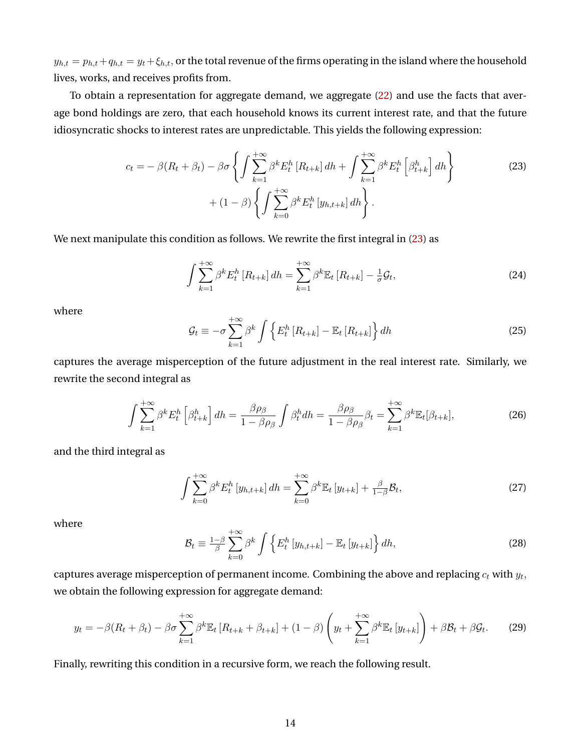$y_{h,t} = p_{h,t} + q_{h,t} = y_t + \xi_{h,t}$ , or the total revenue of the firms operating in the island where the household lives, works, and receives profits from.

To obtain a representation for aggregate demand, we aggregate [\(22\)](#page-13-1) and use the facts that average bond holdings are zero, that each household knows its current interest rate, and that the future idiosyncratic shocks to interest rates are unpredictable. This yields the following expression:

$$
c_t = -\beta(R_t + \beta_t) - \beta \sigma \left\{ \int \sum_{k=1}^{+\infty} \beta^k E_t^h \left[ R_{t+k} \right] dh + \int \sum_{k=1}^{+\infty} \beta^k E_t^h \left[ \beta_{t+k}^h \right] dh \right\} + (1 - \beta) \left\{ \int \sum_{k=0}^{+\infty} \beta^k E_t^h \left[ y_{h,t+k} \right] dh \right\}.
$$
 (23)

We next manipulate this condition as follows. We rewrite the first integral in [\(23\)](#page-14-1) as

<span id="page-14-1"></span>
$$
\int \sum_{k=1}^{+\infty} \beta^k E_t^h \left[ R_{t+k} \right] dh = \sum_{k=1}^{+\infty} \beta^k \mathbb{E}_t \left[ R_{t+k} \right] - \frac{1}{\sigma} \mathcal{G}_t,
$$
\n(24)

where

<span id="page-14-2"></span>
$$
\mathcal{G}_t \equiv -\sigma \sum_{k=1}^{+\infty} \beta^k \int \left\{ E_t^h \left[ R_{t+k} \right] - \mathbb{E}_t \left[ R_{t+k} \right] \right\} dh \tag{25}
$$

captures the average misperception of the future adjustment in the real interest rate. Similarly, we rewrite the second integral as

$$
\int \sum_{k=1}^{+\infty} \beta^k E_t^h \left[ \beta_{t+k}^h \right] dh = \frac{\beta \rho_\beta}{1 - \beta \rho_\beta} \int \beta_t^h dh = \frac{\beta \rho_\beta}{1 - \beta \rho_\beta} \beta_t = \sum_{k=1}^{+\infty} \beta^k \mathbb{E}_t [\beta_{t+k}], \tag{26}
$$

and the third integral as

$$
\int \sum_{k=0}^{+\infty} \beta^k E_t^h \left[ y_{h,t+k} \right] dh = \sum_{k=0}^{+\infty} \beta^k \mathbb{E}_t \left[ y_{t+k} \right] + \frac{\beta}{1-\beta} \mathcal{B}_t,
$$
\n(27)

where

<span id="page-14-3"></span>
$$
\mathcal{B}_{t} \equiv \frac{1-\beta}{\beta} \sum_{k=0}^{+\infty} \beta^{k} \int \left\{ E_{t}^{h} \left[ y_{h,t+k} \right] - \mathbb{E}_{t} \left[ y_{t+k} \right] \right\} dh,
$$
\n(28)

captures average misperception of permanent income. Combining the above and replacing  $c_t$  with  $y_t,$ we obtain the following expression for aggregate demand:

<span id="page-14-4"></span>
$$
y_t = -\beta (R_t + \beta_t) - \beta \sigma \sum_{k=1}^{+\infty} \beta^k \mathbb{E}_t \left[ R_{t+k} + \beta_{t+k} \right] + (1 - \beta) \left( y_t + \sum_{k=1}^{+\infty} \beta^k \mathbb{E}_t \left[ y_{t+k} \right] \right) + \beta \mathcal{B}_t + \beta \mathcal{G}_t. \tag{29}
$$

<span id="page-14-0"></span>Finally, rewriting this condition in a recursive form, we reach the following result.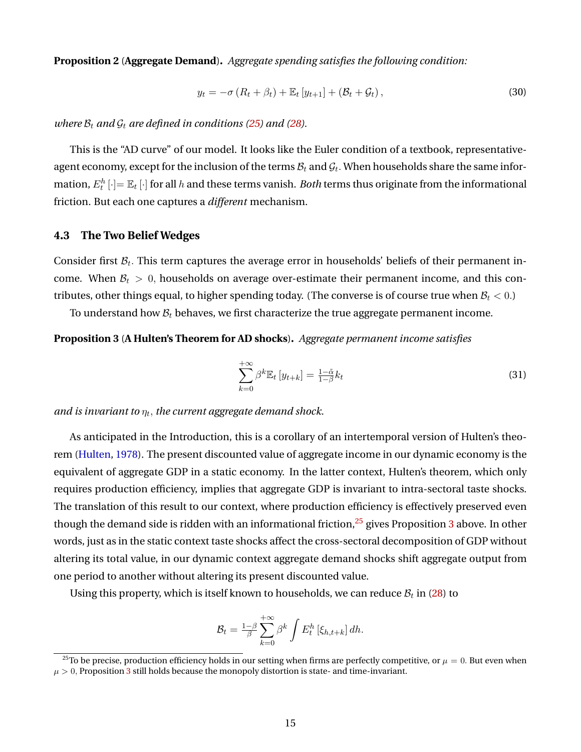**Proposition 2** (**Aggregate Demand**)**.** *Aggregate spending satisfies the following condition:*

<span id="page-15-2"></span>
$$
y_t = -\sigma (R_t + \beta_t) + \mathbb{E}_t [y_{t+1}] + (\mathcal{B}_t + \mathcal{G}_t),
$$
\n(30)

*where*  $B_t$  *and*  $G_t$  *are defined in conditions [\(25\)](#page-14-2) and [\(28\)](#page-14-3).* 

This is the "AD curve" of our model. It looks like the Euler condition of a textbook, representativeagent economy, except for the inclusion of the terms  $\mathcal{B}_t$  and  $\mathcal{G}_t$ . When households share the same information,  $E_t^h\left[\cdot\right]=\mathbb{E}_t\left[\cdot\right]$  for all  $h$  and these terms vanish. *Both* terms thus originate from the informational friction. But each one captures a *different* mechanism.

### **4.3 The Two Belief Wedges**

Consider first  $\mathcal{B}_t$ . This term captures the average error in households' beliefs of their permanent income. When  $\mathcal{B}_t > 0$ , households on average over-estimate their permanent income, and this contributes, other things equal, to higher spending today. (The converse is of course true when  $\mathcal{B}_t < 0$ .)

To understand how  $B_t$  behaves, we first characterize the true aggregate permanent income.

### <span id="page-15-1"></span>**Proposition 3** (**A Hulten's Theorem for AD shocks**)**.** *Aggregate permanent income satisfies*

<span id="page-15-3"></span>
$$
\sum_{k=0}^{+\infty} \beta^k \mathbb{E}_t \left[ y_{t+k} \right] = \frac{1-\tilde{\alpha}}{1-\beta} k_t \tag{31}
$$

and is invariant to  $\eta_t,$  the current aggregate demand shock.

As anticipated in the Introduction, this is a corollary of an intertemporal version of Hulten's theorem [\(Hulten,](#page-59-15) [1978\)](#page-59-15). The present discounted value of aggregate income in our dynamic economy is the equivalent of aggregate GDP in a static economy. In the latter context, Hulten's theorem, which only requires production efficiency, implies that aggregate GDP is invariant to intra-sectoral taste shocks. The translation of this result to our context, where production efficiency is effectively preserved even though the demand side is ridden with an informational friction, $25$  gives Proposition [3](#page-15-1) above. In other words, just as in the static context taste shocks affect the cross-sectoral decomposition of GDP without altering its total value, in our dynamic context aggregate demand shocks shift aggregate output from one period to another without altering its present discounted value.

Using this property, which is itself known to households, we can reduce  $\mathcal{B}_t$  in [\(28\)](#page-14-3) to

$$
\mathcal{B}_t = \frac{1-\beta}{\beta} \sum_{k=0}^{+\infty} \beta^k \int E_t^h \left[ \xi_{h,t+k} \right] dh.
$$

<span id="page-15-0"></span><sup>&</sup>lt;sup>25</sup>To be precise, production efficiency holds in our setting when firms are perfectly competitive, or  $\mu = 0$ . But even when  $\mu > 0$ , Proposition [3](#page-15-1) still holds because the monopoly distortion is state- and time-invariant.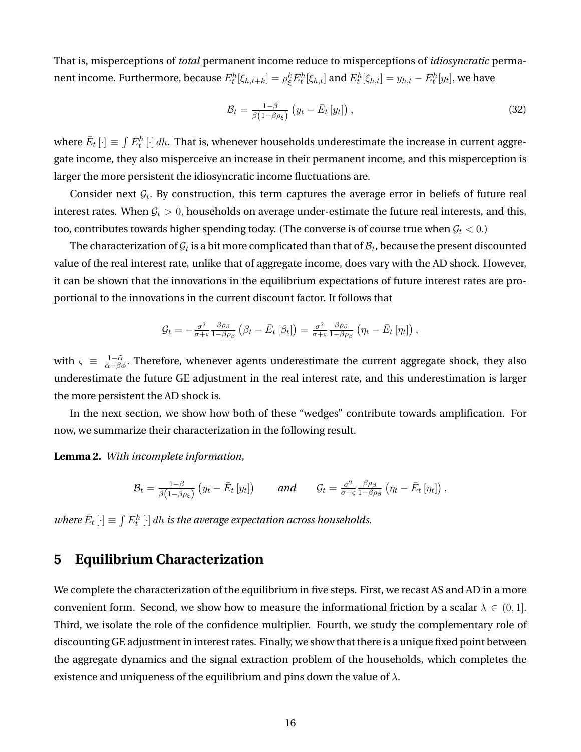That is, misperceptions of *total* permanent income reduce to misperceptions of *idiosyncratic* permanent income. Furthermore, because  $E^h_t[\xi_{h,t+k}] = \rho^k_{\xi} E^h_t[\xi_{h,t}]$  and  $E^h_t[\xi_{h,t}] = y_{h,t} - E^h_t[y_t]$ , we have

<span id="page-16-2"></span>
$$
\mathcal{B}_{t} = \frac{1-\beta}{\beta(1-\beta\rho_{\xi})} \left( y_{t} - \bar{E}_{t} \left[ y_{t} \right] \right), \tag{32}
$$

,

where  $\bar{E}_t\left[\cdot\right]\equiv\int E_t^h\left[\cdot\right]dh.$  That is, whenever households underestimate the increase in current aggregate income, they also misperceive an increase in their permanent income, and this misperception is larger the more persistent the idiosyncratic income fluctuations are.

Consider next  $\mathcal{G}_t$ . By construction, this term captures the average error in beliefs of future real interest rates. When  $G_t > 0$ , households on average under-estimate the future real interests, and this, too, contributes towards higher spending today. (The converse is of course true when  $\mathcal{G}_t < 0$ .)

The characterization of  $\mathcal{G}_t$  is a bit more complicated than that of  $\mathcal{B}_t$ , because the present discounted value of the real interest rate, unlike that of aggregate income, does vary with the AD shock. However, it can be shown that the innovations in the equilibrium expectations of future interest rates are proportional to the innovations in the current discount factor. It follows that

$$
\mathcal{G}_t = -\frac{\sigma^2}{\sigma + \varsigma} \frac{\beta \rho_\beta}{1 - \beta \rho_\beta} \left( \beta_t - \bar{E}_t \left[ \beta_t \right] \right) = \frac{\sigma^2}{\sigma + \varsigma} \frac{\beta \rho_\beta}{1 - \beta \rho_\beta} \left( \eta_t - \bar{E}_t \left[ \eta_t \right] \right),
$$

with  $\zeta \equiv \frac{1-\tilde{\alpha}}{\tilde{\alpha}+\beta\phi}$ . Therefore, whenever agents underestimate the current aggregate shock, they also underestimate the future GE adjustment in the real interest rate, and this underestimation is larger the more persistent the AD shock is.

In the next section, we show how both of these "wedges" contribute towards amplification. For now, we summarize their characterization in the following result.

<span id="page-16-1"></span>**Lemma 2.** *With incomplete information,*

$$
\mathcal{B}_t = \frac{1-\beta}{\beta(1-\beta\rho_{\xi})} \left( y_t - \bar{E}_t \left[ y_t \right] \right) \qquad \text{and} \qquad \mathcal{G}_t = \frac{\sigma^2}{\sigma + \varsigma} \frac{\beta \rho_{\beta}}{1-\beta\rho_{\beta}} \left( \eta_t - \bar{E}_t \left[ \eta_t \right] \right)
$$

where  $\bar{E}_t$   $[\cdot] \equiv \int E_t^h[\cdot] dh$  is the average expectation across households.

# <span id="page-16-0"></span>**5 Equilibrium Characterization**

We complete the characterization of the equilibrium in five steps. First, we recast AS and AD in a more convenient form. Second, we show how to measure the informational friction by a scalar  $\lambda \in (0,1]$ . Third, we isolate the role of the confidence multiplier. Fourth, we study the complementary role of discounting GE adjustment in interest rates. Finally, we show that there is a unique fixed point between the aggregate dynamics and the signal extraction problem of the households, which completes the existence and uniqueness of the equilibrium and pins down the value of  $\lambda$ .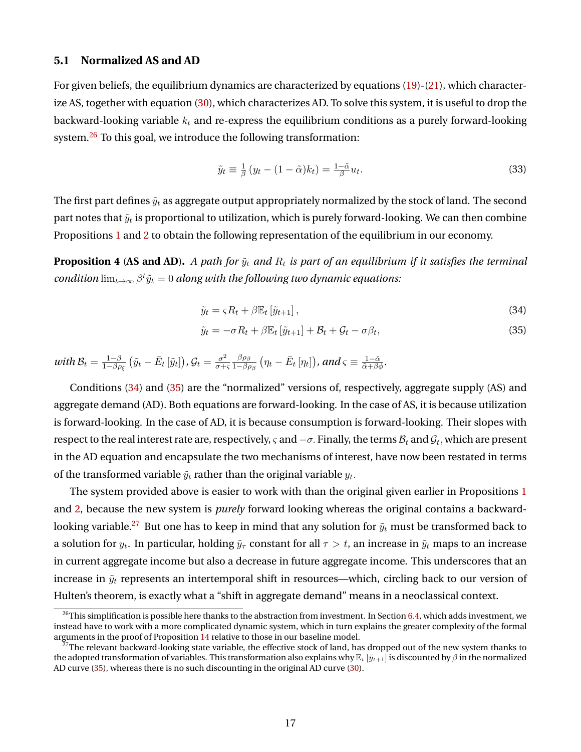#### **5.1 Normalized AS and AD**

For given beliefs, the equilibrium dynamics are characterized by equations [\(19\)](#page-12-3)-[\(21\)](#page-12-4), which characterize AS, together with equation [\(30\)](#page-15-2), which characterizes AD. To solve this system, it is useful to drop the backward-looking variable  $k_t$  and re-express the equilibrium conditions as a purely forward-looking system.<sup>[26](#page-17-0)</sup> To this goal, we introduce the following transformation:

<span id="page-17-5"></span>
$$
\tilde{y}_t \equiv \frac{1}{\beta} \left( y_t - (1 - \tilde{\alpha}) k_t \right) = \frac{1 - \tilde{\alpha}}{\beta} u_t.
$$
\n(33)

The first part defines  $\tilde{y}_t$  as aggregate output appropriately normalized by the stock of land. The second part notes that  $\tilde{y}_t$  is proportional to utilization, which is purely forward-looking. We can then combine Propositions [1](#page-12-0) and [2](#page-14-0) to obtain the following representation of the equilibrium in our economy.

<span id="page-17-4"></span>**Proposition 4** (AS and AD). *A path for*  $\tilde{y}_t$  *and*  $R_t$  *is part of an equilibrium if it satisfies the terminal*  $condition \, \lim_{t \to \infty} \beta^t \tilde{y}_t = 0$  along with the following two dynamic equations:

<span id="page-17-2"></span><span id="page-17-1"></span>
$$
\tilde{y}_t = \varsigma R_t + \beta \mathbb{E}_t \left[ \tilde{y}_{t+1} \right],\tag{34}
$$

$$
\tilde{y}_t = -\sigma R_t + \beta \mathbb{E}_t \left[ \tilde{y}_{t+1} \right] + \mathcal{B}_t + \mathcal{G}_t - \sigma \beta_t, \tag{35}
$$

 $with$   $\mathcal{B}_t = \frac{1-\beta}{1-\beta\rho}$  $\frac{1-\beta}{1-\beta\rho_{\xi}}\left(\tilde{y}_{t}-\bar{E}_{t}\left[\tilde{y}_{t}\right]\right)$ ,  $\mathcal{G}_{t}=\frac{\sigma^{2}}{\sigma +}$  $\sigma + \varsigma$ βρ<sup>β</sup>  $\frac{\beta \rho_\beta}{1-\beta \rho_\beta}\left(\eta_t-\bar{E}_t\left[\eta_t\right]\right)$  , and  $\varsigma\equiv\frac{1-\tilde{\alpha}}{\tilde{\alpha}+\beta \phi}.$ 

Conditions [\(34\)](#page-17-1) and [\(35\)](#page-17-2) are the "normalized" versions of, respectively, aggregate supply (AS) and aggregate demand (AD). Both equations are forward-looking. In the case of AS, it is because utilization is forward-looking. In the case of AD, it is because consumption is forward-looking. Their slopes with respect to the real interest rate are, respectively,  $\varsigma$  and  $-\sigma$ . Finally, the terms  $\mathcal{B}_t$  and  $\mathcal{G}_t$ , which are present in the AD equation and encapsulate the two mechanisms of interest, have now been restated in terms of the transformed variable  $\tilde{y}_t$  rather than the original variable  $y_t.$ 

The system provided above is easier to work with than the original given earlier in Propositions [1](#page-12-0) and [2,](#page-14-0) because the new system is *purely* forward looking whereas the original contains a backward-looking variable.<sup>[27](#page-17-3)</sup> But one has to keep in mind that any solution for  $\tilde{y}_t$  must be transformed back to a solution for  $y_t.$  In particular, holding  $\tilde y_\tau$  constant for all  $\tau>t$ , an increase in  $\tilde y_t$  maps to an increase in current aggregate income but also a decrease in future aggregate income. This underscores that an increase in  $\tilde{y}_t$  represents an intertemporal shift in resources—which, circling back to our version of Hulten's theorem, is exactly what a "shift in aggregate demand" means in a neoclassical context.

<span id="page-17-0"></span> $^{26}$ This simplification is possible here thanks to the abstraction from investment. In Section [6.4,](#page-29-0) which adds investment, we instead have to work with a more complicated dynamic system, which in turn explains the greater complexity of the formal arguments in the proof of Proposition [14](#page-30-0) relative to those in our baseline model.

<span id="page-17-3"></span> $^{27}$ The relevant backward-looking state variable, the effective stock of land, has dropped out of the new system thanks to the adopted transformation of variables. This transformation also explains why  $\mathbb{E}_t$   $[\tilde{y}_{t+1}]$  is discounted by  $\beta$  in the normalized AD curve [\(35\)](#page-17-2), whereas there is no such discounting in the original AD curve [\(30\)](#page-15-2).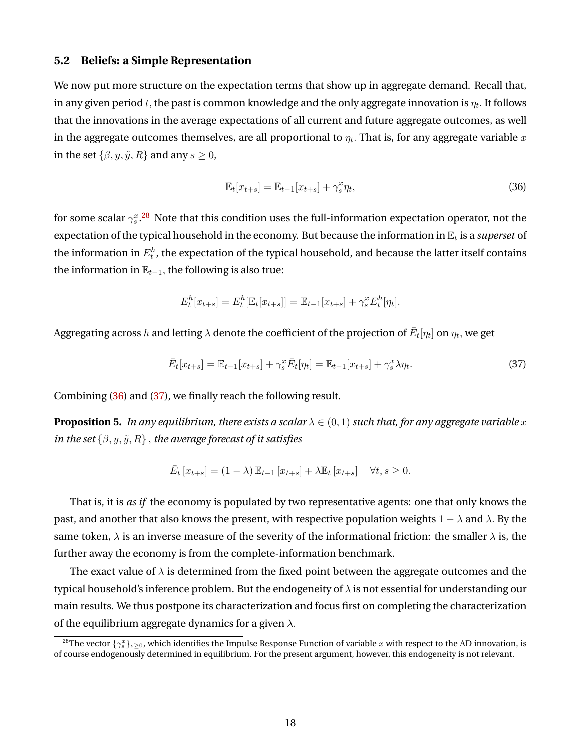#### **5.2 Beliefs: a Simple Representation**

We now put more structure on the expectation terms that show up in aggregate demand. Recall that, in any given period  $t,$  the past is common knowledge and the only aggregate innovation is  $\eta_t.$  It follows that the innovations in the average expectations of all current and future aggregate outcomes, as well in the aggregate outcomes themselves, are all proportional to  $\eta_t.$  That is, for any aggregate variable  $x$ in the set  $\{\beta, y, \tilde{y}, R\}$  and any  $s \geq 0$ ,

<span id="page-18-1"></span>
$$
\mathbb{E}_t[x_{t+s}] = \mathbb{E}_{t-1}[x_{t+s}] + \gamma_s^x \eta_t,\tag{36}
$$

for some scalar  $\gamma_s^x.^{28}$  $\gamma_s^x.^{28}$  $\gamma_s^x.^{28}$  Note that this condition uses the full-information expectation operator, not the expectation of the typical household in the economy. But because the information in  $\mathbb{E}_t$  is a *superset* of the information in  $E_t^h$ , the expectation of the typical household, and because the latter itself contains the information in  $\mathbb{E}_{t-1}$ , the following is also true:

$$
E_t^h[x_{t+s}] = E_t^h[\mathbb{E}_t[x_{t+s}]] = \mathbb{E}_{t-1}[x_{t+s}] + \gamma_s^x E_t^h[\eta_t].
$$

Aggregating across  $h$  and letting  $\lambda$  denote the coefficient of the projection of  $\bar{E}_t[\eta_t]$  on  $\eta_t,$  we get

<span id="page-18-2"></span>
$$
\bar{E}_t[x_{t+s}] = \mathbb{E}_{t-1}[x_{t+s}] + \gamma_s^x \bar{E}_t[\eta_t] = \mathbb{E}_{t-1}[x_{t+s}] + \gamma_s^x \lambda \eta_t.
$$
\n(37)

<span id="page-18-3"></span>Combining [\(36\)](#page-18-1) and [\(37\)](#page-18-2), we finally reach the following result.

**Proposition 5.** *In any equilibrium, there exists a scalar*  $\lambda \in (0,1)$  *such that, for any aggregate variable* x *in the set*  $\{\beta, y, \tilde{y}, R\}$ , *the average forecast of it satisfies* 

$$
\bar{E}_t\left[x_{t+s}\right] = (1-\lambda)\mathbb{E}_{t-1}\left[x_{t+s}\right] + \lambda \mathbb{E}_t\left[x_{t+s}\right] \quad \forall t, s \ge 0.
$$

That is, it is *as if* the economy is populated by two representative agents: one that only knows the past, and another that also knows the present, with respective population weights  $1 - \lambda$  and  $\lambda$ . By the same token,  $\lambda$  is an inverse measure of the severity of the informational friction: the smaller  $\lambda$  is, the further away the economy is from the complete-information benchmark.

The exact value of  $\lambda$  is determined from the fixed point between the aggregate outcomes and the typical household's inference problem. But the endogeneity of  $\lambda$  is not essential for understanding our main results. We thus postpone its characterization and focus first on completing the characterization of the equilibrium aggregate dynamics for a given  $\lambda$ .

<span id="page-18-0"></span> $^{28}$ The vector  $\{\gamma^x_s\}_{s\ge0}$ , which identifies the Impulse Response Function of variable  $x$  with respect to the AD innovation, is of course endogenously determined in equilibrium. For the present argument, however, this endogeneity is not relevant.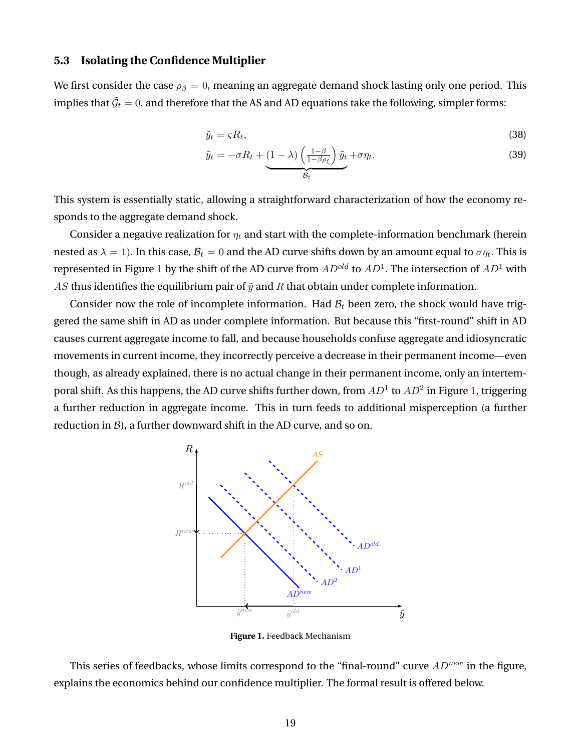#### **5.3 Isolating the Confidence Multiplier**

We first consider the case  $\rho_{\beta} = 0$ , meaning an aggregate demand shock lasting only one period. This implies that  $\tilde{\mathcal{G}}_t=0,$  and therefore that the AS and AD equations take the following, simpler forms:

$$
\tilde{y}_t = \varsigma R_t,\tag{38}
$$

<span id="page-19-3"></span><span id="page-19-2"></span>
$$
\tilde{y}_t = -\sigma R_t + \underbrace{(1-\lambda)\left(\frac{1-\beta}{1-\beta\rho_{\xi}}\right)\tilde{y}_t}_{\mathcal{B}_t} + \sigma \eta_t.
$$
\n(39)

This system is essentially static, allowing a straightforward characterization of how the economy responds to the aggregate demand shock.

Consider a negative realization for  $\eta_t$  and start with the complete-information benchmark (herein nested as  $\lambda=1$ ). In this case,  $\mathcal{B}_t=0$  and the AD curve shifts down by an amount equal to  $\sigma\eta_t.$  This is represented in Figure [1](#page-19-0) by the shift of the AD curve from  $AD^{old}$  to  $AD^1$  . The intersection of  $AD^1$  with AS thus identifies the equilibrium pair of  $\tilde{y}$  and R that obtain under complete information.

Consider now the role of incomplete information. Had  $B_t$  been zero, the shock would have triggered the same shift in AD as under complete information. But because this "first-round" shift in AD causes current aggregate income to fall, and because households confuse aggregate and idiosyncratic movements in current income, they incorrectly perceive a decrease in their permanent income—even though, as already explained, there is no actual change in their permanent income, only an intertemporal shift. As this happens, the AD curve shifts further down, from  $AD^1$  to  $AD^2$  in Figure [1,](#page-19-0) triggering a further reduction in aggregate income. This in turn feeds to additional misperception (a further reduction in  $\beta$ ), a further downward shift in the AD curve, and so on.

<span id="page-19-0"></span>

**Figure 1.** Feedback Mechanism

<span id="page-19-1"></span>This series of feedbacks, whose limits correspond to the "final-round" curve  $AD^{new}$  in the figure, explains the economics behind our confidence multiplier. The formal result is offered below.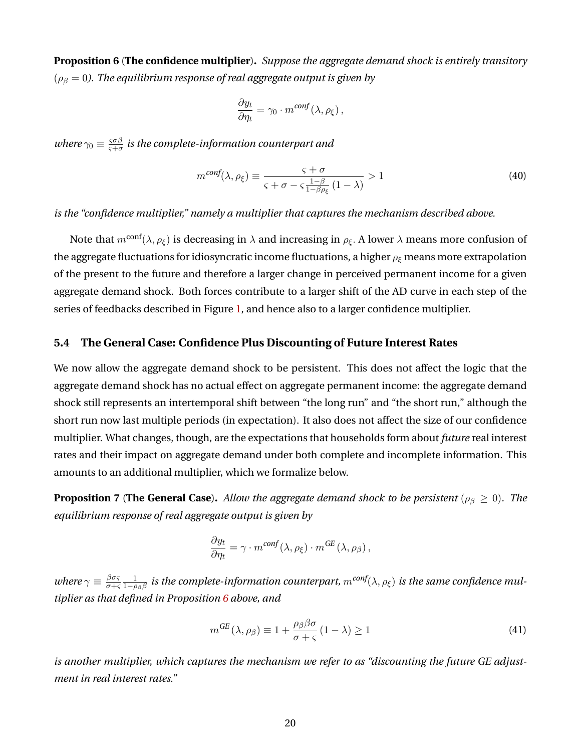**Proposition 6** (**The confidence multiplier**)**.** *Suppose the aggregate demand shock is entirely transitory*  $(\rho_{\beta} = 0)$ . The equilibrium response of real aggregate output is given by

$$
\frac{\partial y_t}{\partial \eta_t} = \gamma_0 \cdot m^{conf}(\lambda, \rho_{\xi}),
$$

*where*  $\gamma_0 \equiv \frac{\varsigma \sigma \beta}{\varsigma + \sigma}$  $\frac{\zeta\sigma\beta}{\zeta+\sigma}$  is the complete-information counterpart and

$$
m^{\text{conf}}(\lambda, \rho_{\xi}) \equiv \frac{\varsigma + \sigma}{\varsigma + \sigma - \varsigma \frac{1-\beta}{1-\beta\rho_{\xi}}(1-\lambda)} > 1
$$
\n(40)

*is the "confidence multiplier," namely a multiplier that captures the mechanism described above.*

Note that  $m^{\text{conf}}(\lambda, \rho_{\xi})$  is decreasing in  $\lambda$  and increasing in  $\rho_{\xi}$ . A lower  $\lambda$  means more confusion of the aggregate fluctuations for idiosyncratic income fluctuations, a higher  $\rho_{\xi}$  means more extrapolation of the present to the future and therefore a larger change in perceived permanent income for a given aggregate demand shock. Both forces contribute to a larger shift of the AD curve in each step of the series of feedbacks described in Figure [1,](#page-19-0) and hence also to a larger confidence multiplier.

### <span id="page-20-0"></span>**5.4 The General Case: Confidence Plus Discounting of Future Interest Rates**

We now allow the aggregate demand shock to be persistent. This does not affect the logic that the aggregate demand shock has no actual effect on aggregate permanent income: the aggregate demand shock still represents an intertemporal shift between "the long run" and "the short run," although the short run now last multiple periods (in expectation). It also does not affect the size of our confidence multiplier. What changes, though, are the expectations that households form about *future* real interest rates and their impact on aggregate demand under both complete and incomplete information. This amounts to an additional multiplier, which we formalize below.

<span id="page-20-2"></span>**Proposition 7** (**The General Case**). Allow the aggregate demand shock to be persistent ( $\rho_{\beta} \ge 0$ ). The *equilibrium response of real aggregate output is given by*

$$
\frac{\partial y_t}{\partial \eta_t} = \gamma \cdot m^{\text{conf}}(\lambda, \rho_\xi) \cdot m^{\text{GE}}(\lambda, \rho_\beta),
$$

*where*  $\gamma \equiv \frac{\beta \sigma \varsigma}{\sigma + \varsigma}$  $\overline{\sigma + }$  $\frac{1}{1-\rho_\beta\beta}$  is the complete-information counterpart,  $m^{conf}(\lambda,\rho_\xi)$  is the same confidence mul*tiplier as that defined in Proposition [6](#page-19-1) above, and*

<span id="page-20-1"></span>
$$
m^{GE}(\lambda, \rho_{\beta}) \equiv 1 + \frac{\rho_{\beta}\beta\sigma}{\sigma + \varsigma} (1 - \lambda) \ge 1
$$
\n(41)

*is another multiplier, which captures the mechanism we refer to as "discounting the future GE adjustment in real interest rates."*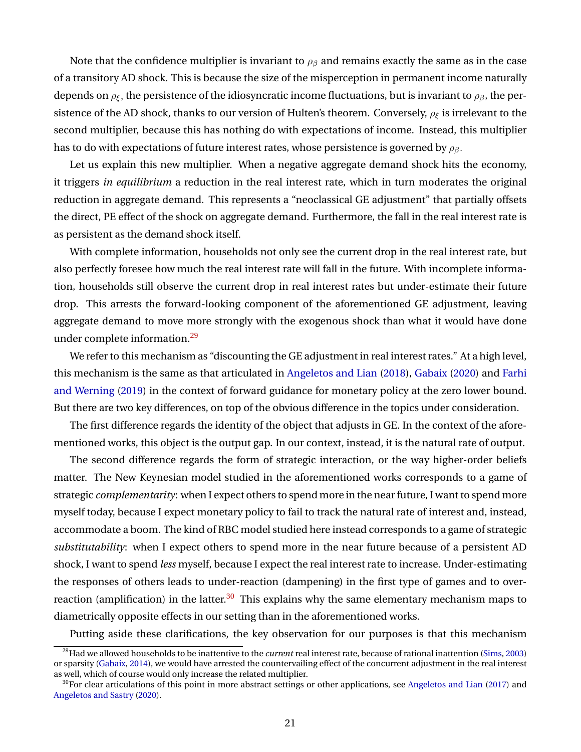Note that the confidence multiplier is invariant to  $\rho_{\beta}$  and remains exactly the same as in the case of a transitory AD shock. This is because the size of the misperception in permanent income naturally depends on  $\rho_{\xi}$ , the persistence of the idiosyncratic income fluctuations, but is invariant to  $\rho_{\beta}$ , the persistence of the AD shock, thanks to our version of Hulten's theorem. Conversely,  $\rho_{\xi}$  is irrelevant to the second multiplier, because this has nothing do with expectations of income. Instead, this multiplier has to do with expectations of future interest rates, whose persistence is governed by  $\rho_{\beta}$ .

Let us explain this new multiplier. When a negative aggregate demand shock hits the economy, it triggers *in equilibrium* a reduction in the real interest rate, which in turn moderates the original reduction in aggregate demand. This represents a "neoclassical GE adjustment" that partially offsets the direct, PE effect of the shock on aggregate demand. Furthermore, the fall in the real interest rate is as persistent as the demand shock itself.

With complete information, households not only see the current drop in the real interest rate, but also perfectly foresee how much the real interest rate will fall in the future. With incomplete information, households still observe the current drop in real interest rates but under-estimate their future drop. This arrests the forward-looking component of the aforementioned GE adjustment, leaving aggregate demand to move more strongly with the exogenous shock than what it would have done under complete information.<sup>[29](#page-21-0)</sup>

We refer to this mechanism as "discounting the GE adjustment in real interest rates." At a high level, this mechanism is the same as that articulated in [Angeletos and Lian](#page-56-1) [\(2018\)](#page-56-1), [Gabaix](#page-58-2) [\(2020\)](#page-58-2) and [Farhi](#page-58-1) [and Werning](#page-58-1) [\(2019\)](#page-58-1) in the context of forward guidance for monetary policy at the zero lower bound. But there are two key differences, on top of the obvious difference in the topics under consideration.

The first difference regards the identity of the object that adjusts in GE. In the context of the aforementioned works, this object is the output gap. In our context, instead, it is the natural rate of output.

The second difference regards the form of strategic interaction, or the way higher-order beliefs matter. The New Keynesian model studied in the aforementioned works corresponds to a game of strategic *complementarity*: when I expect others to spend more in the near future, I want to spend more myself today, because I expect monetary policy to fail to track the natural rate of interest and, instead, accommodate a boom. The kind of RBC model studied here instead corresponds to a game of strategic *substitutability*: when I expect others to spend more in the near future because of a persistent AD shock, I want to spend *less* myself, because I expect the real interest rate to increase. Under-estimating the responses of others leads to under-reaction (dampening) in the first type of games and to over-reaction (amplification) in the latter.<sup>[30](#page-21-1)</sup> This explains why the same elementary mechanism maps to diametrically opposite effects in our setting than in the aforementioned works.

Putting aside these clarifications, the key observation for our purposes is that this mechanism

<span id="page-21-0"></span><sup>29</sup>Had we allowed households to be inattentive to the *current* real interest rate, because of rational inattention [\(Sims,](#page-60-0) [2003\)](#page-60-0) or sparsity [\(Gabaix,](#page-58-11) [2014\)](#page-58-11), we would have arrested the countervailing effect of the concurrent adjustment in the real interest as well, which of course would only increase the related multiplier.

<span id="page-21-1"></span> $30$ For clear articulations of this point in more abstract settings or other applications, see [Angeletos and Lian](#page-56-12) [\(2017\)](#page-56-12) and [Angeletos and Sastry](#page-56-13) [\(2020\)](#page-56-13).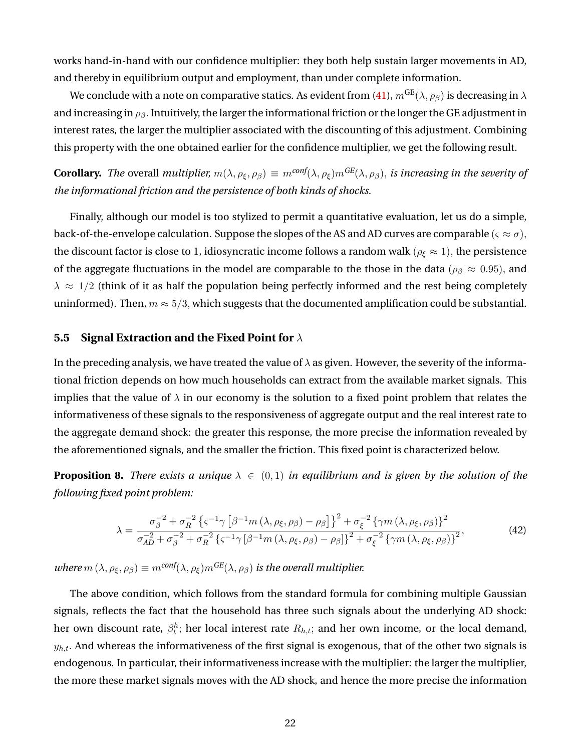works hand-in-hand with our confidence multiplier: they both help sustain larger movements in AD, and thereby in equilibrium output and employment, than under complete information.

We conclude with a note on comparative statics. As evident from [\(41\)](#page-20-1),  $m^{GE}(\lambda, \rho_B)$  is decreasing in  $\lambda$ and increasing in  $\rho_{\beta}$ . Intuitively, the larger the informational friction or the longer the GE adjustment in interest rates, the larger the multiplier associated with the discounting of this adjustment. Combining this property with the one obtained earlier for the confidence multiplier, we get the following result.

**Corollary.** *The* overall *multiplier,*  $m(\lambda, \rho_{\xi}, \rho_{\beta}) \equiv m^{conf}(\lambda, \rho_{\xi}) m^{GE}(\lambda, \rho_{\beta})$ , *is increasing in the severity of the informational friction and the persistence of both kinds of shocks.*

Finally, although our model is too stylized to permit a quantitative evaluation, let us do a simple, back-of-the-envelope calculation. Suppose the slopes of the AS and AD curves are comparable ( $\varsigma \approx \sigma$ ), the discount factor is close to 1, idiosyncratic income follows a random walk ( $\rho_f \approx 1$ ), the persistence of the aggregate fluctuations in the model are comparable to the those in the data ( $\rho_\beta \approx 0.95$ ), and  $\lambda \approx 1/2$  (think of it as half the population being perfectly informed and the rest being completely uninformed). Then,  $m \approx 5/3$ , which suggests that the documented amplification could be substantial.

#### **5.5 Signal Extraction and the Fixed Point for** λ

In the preceding analysis, we have treated the value of  $\lambda$  as given. However, the severity of the informational friction depends on how much households can extract from the available market signals. This implies that the value of  $\lambda$  in our economy is the solution to a fixed point problem that relates the informativeness of these signals to the responsiveness of aggregate output and the real interest rate to the aggregate demand shock: the greater this response, the more precise the information revealed by the aforementioned signals, and the smaller the friction. This fixed point is characterized below.

<span id="page-22-1"></span>**Proposition 8.** *There exists a unique*  $\lambda \in (0,1)$  *in equilibrium and is given by the solution of the following fixed point problem:*

<span id="page-22-0"></span>
$$
\lambda = \frac{\sigma_{\beta}^{-2} + \sigma_{R}^{-2} \left\{ \varsigma^{-1} \gamma \left[ \beta^{-1} m \left( \lambda, \rho_{\xi}, \rho_{\beta} \right) - \rho_{\beta} \right] \right\}^{2} + \sigma_{\xi}^{-2} \left\{ \gamma m \left( \lambda, \rho_{\xi}, \rho_{\beta} \right) \right\}^{2}}{\sigma_{AD}^{-2} + \sigma_{\beta}^{-2} + \sigma_{R}^{-2} \left\{ \varsigma^{-1} \gamma \left[ \beta^{-1} m \left( \lambda, \rho_{\xi}, \rho_{\beta} \right) - \rho_{\beta} \right] \right\}^{2} + \sigma_{\xi}^{-2} \left\{ \gamma m \left( \lambda, \rho_{\xi}, \rho_{\beta} \right) \right\}^{2}},\tag{42}
$$

*where*  $m(\lambda, \rho_{\xi}, \rho_{\beta}) \equiv m^{conf}(\lambda, \rho_{\xi}) m^{GE}(\lambda, \rho_{\beta})$  *is the overall multiplier.* 

The above condition, which follows from the standard formula for combining multiple Gaussian signals, reflects the fact that the household has three such signals about the underlying AD shock: her own discount rate,  $\beta^h_t;$  her local interest rate  $R_{h,t};$  and her own income, or the local demand,  $y_{h,t}$ . And whereas the informativeness of the first signal is exogenous, that of the other two signals is endogenous. In particular, their informativeness increase with the multiplier: the larger the multiplier, the more these market signals moves with the AD shock, and hence the more precise the information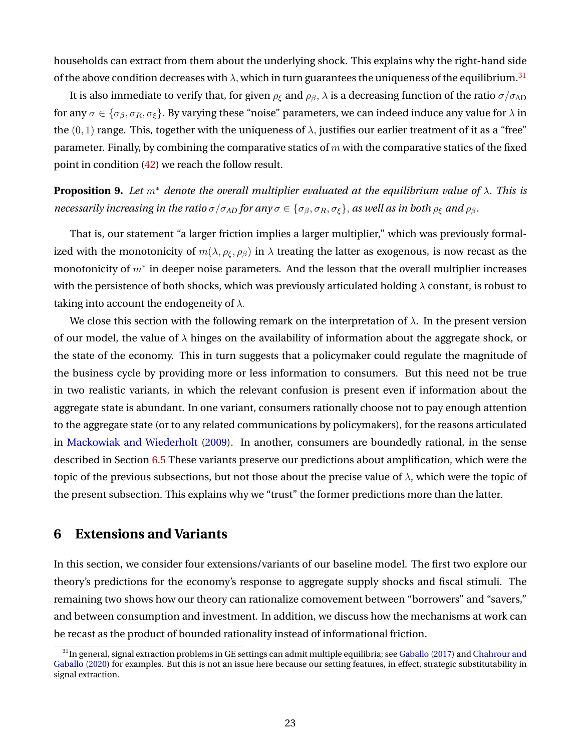households can extract from them about the underlying shock. This explains why the right-hand side of the above condition decreases with  $\lambda$ , which in turn guarantees the uniqueness of the equilibrium.<sup>[31](#page-23-0)</sup>

It is also immediate to verify that, for given  $\rho_{\epsilon}$  and  $\rho_{\beta}$ ,  $\lambda$  is a decreasing function of the ratio  $\sigma/\sigma_{AD}$ for any  $\sigma \in {\sigma_\beta, \sigma_R, \sigma_\xi}$ . By varying these "noise" parameters, we can indeed induce any value for  $\lambda$  in the  $(0, 1)$  range. This, together with the uniqueness of  $\lambda$ , justifies our earlier treatment of it as a "free" parameter. Finally, by combining the comparative statics of m with the comparative statics of the fixed point in condition [\(42\)](#page-22-0) we reach the follow result.

<span id="page-23-1"></span>**Proposition 9.** *Let* m<sup>∗</sup> *denote the overall multiplier evaluated at the equilibrium value of* λ. *This is necessarily increasing in the ratio*  $\sigma/\sigma_{AD}$  *for any*  $\sigma \in {\sigma_{\beta}, \sigma_R, \sigma_{\xi}}$ *, as well as in both*  $\rho_{\xi}$  *and*  $\rho_{\beta}$ *.* 

That is, our statement "a larger friction implies a larger multiplier," which was previously formalized with the monotonicity of  $m(\lambda, \rho_{\xi}, \rho_{\beta})$  in  $\lambda$  treating the latter as exogenous, is now recast as the monotonicity of  $m^*$  in deeper noise parameters. And the lesson that the overall multiplier increases with the persistence of both shocks, which was previously articulated holding  $\lambda$  constant, is robust to taking into account the endogeneity of  $\lambda$ .

We close this section with the following remark on the interpretation of  $\lambda$ . In the present version of our model, the value of  $\lambda$  hinges on the availability of information about the aggregate shock, or the state of the economy. This in turn suggests that a policymaker could regulate the magnitude of the business cycle by providing more or less information to consumers. But this need not be true in two realistic variants, in which the relevant confusion is present even if information about the aggregate state is abundant. In one variant, consumers rationally choose not to pay enough attention to the aggregate state (or to any related communications by policymakers), for the reasons articulated in [Mackowiak and Wiederholt](#page-59-4) [\(2009\)](#page-59-4). In another, consumers are boundedly rational, in the sense described in Section [6.5](#page-31-0) These variants preserve our predictions about amplification, which were the topic of the previous subsections, but not those about the precise value of  $\lambda$ , which were the topic of the present subsection. This explains why we "trust" the former predictions more than the latter.

# **6 Extensions and Variants**

In this section, we consider four extensions/variants of our baseline model. The first two explore our theory's predictions for the economy's response to aggregate supply shocks and fiscal stimuli. The remaining two shows how our theory can rationalize comovement between "borrowers" and "savers," and between consumption and investment. In addition, we discuss how the mechanisms at work can be recast as the product of bounded rationality instead of informational friction.

<span id="page-23-0"></span> $31$ In general, signal extraction problems in GE settings can admit multiple equilibria; see [Gaballo](#page-58-12) [\(2017\)](#page-58-12) and [Chahrour and](#page-57-8) [Gaballo](#page-57-8) [\(2020\)](#page-57-8) for examples. But this is not an issue here because our setting features, in effect, strategic substitutability in signal extraction.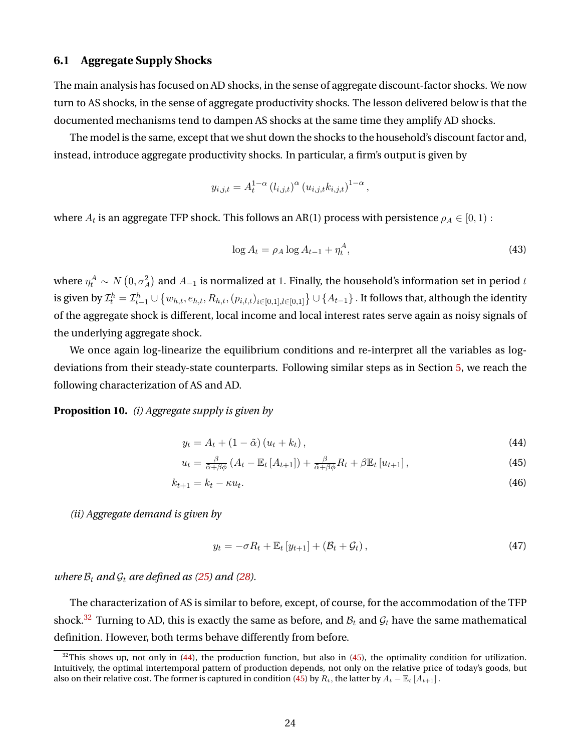### <span id="page-24-3"></span>**6.1 Aggregate Supply Shocks**

The main analysis has focused on AD shocks, in the sense of aggregate discount-factor shocks. We now turn to AS shocks, in the sense of aggregate productivity shocks. The lesson delivered below is that the documented mechanisms tend to dampen AS shocks at the same time they amplify AD shocks.

The model is the same, except that we shut down the shocks to the household's discount factor and, instead, introduce aggregate productivity shocks. In particular, a firm's output is given by

$$
y_{i,j,t} = A_t^{1-\alpha} (l_{i,j,t})^{\alpha} (u_{i,j,t} k_{i,j,t})^{1-\alpha},
$$

where  $A_t$  is an aggregate TFP shock. This follows an AR(1) process with persistence  $\rho_A \in [0,1)$  :

$$
\log A_t = \rho_A \log A_{t-1} + \eta_t^A,\tag{43}
$$

where  $\eta_t^A\sim N\left(0,\sigma^2_A\right)$  and  $A_{-1}$  is normalized at 1. Finally, the household's information set in period  $t$ is given by  $\mathcal{I}_t^h=\mathcal{I}_{t-1}^h\cup\big\{w_{h,t},e_{h,t},R_{h,t},(p_{i,l,t})_{i\in[0,1],l\in[0,1]}\big\}\cup\{A_{t-1}\}$  . It follows that, although the identity of the aggregate shock is different, local income and local interest rates serve again as noisy signals of the underlying aggregate shock.

We once again log-linearize the equilibrium conditions and re-interpret all the variables as logdeviations from their steady-state counterparts. Following similar steps as in Section [5,](#page-16-0) we reach the following characterization of AS and AD.

<span id="page-24-4"></span>**Proposition 10.** *(i) Aggregate supply is given by*

$$
y_t = A_t + (1 - \tilde{\alpha}) \left( u_t + k_t \right), \tag{44}
$$

$$
u_t = \frac{\beta}{\tilde{\alpha} + \beta \phi} \left( A_t - \mathbb{E}_t \left[ A_{t+1} \right] \right) + \frac{\beta}{\tilde{\alpha} + \beta \phi} R_t + \beta \mathbb{E}_t \left[ u_{t+1} \right],\tag{45}
$$

$$
k_{t+1} = k_t - \kappa u_t. \tag{46}
$$

*(ii) Aggregate demand is given by*

<span id="page-24-6"></span><span id="page-24-5"></span><span id="page-24-2"></span><span id="page-24-1"></span>
$$
y_t = -\sigma R_t + \mathbb{E}_t \left[ y_{t+1} \right] + \left( \mathcal{B}_t + \mathcal{G}_t \right), \tag{47}
$$

*where*  $B_t$  *and*  $G_t$  *are defined as [\(25\)](#page-14-2) and [\(28\)](#page-14-3).* 

The characterization of AS is similar to before, except, of course, for the accommodation of the TFP shock.<sup>[32](#page-24-0)</sup> Turning to AD, this is exactly the same as before, and  $B_t$  and  $G_t$  have the same mathematical definition. However, both terms behave differently from before.

<span id="page-24-0"></span> $32$ This shows up, not only in [\(44\)](#page-24-1), the production function, but also in [\(45\)](#page-24-2), the optimality condition for utilization. Intuitively, the optimal intertemporal pattern of production depends, not only on the relative price of today's goods, but also on their relative cost. The former is captured in condition [\(45\)](#page-24-2) by  $R_t$ , the latter by  $A_t - \mathbb{E}_t [A_{t+1}]$ .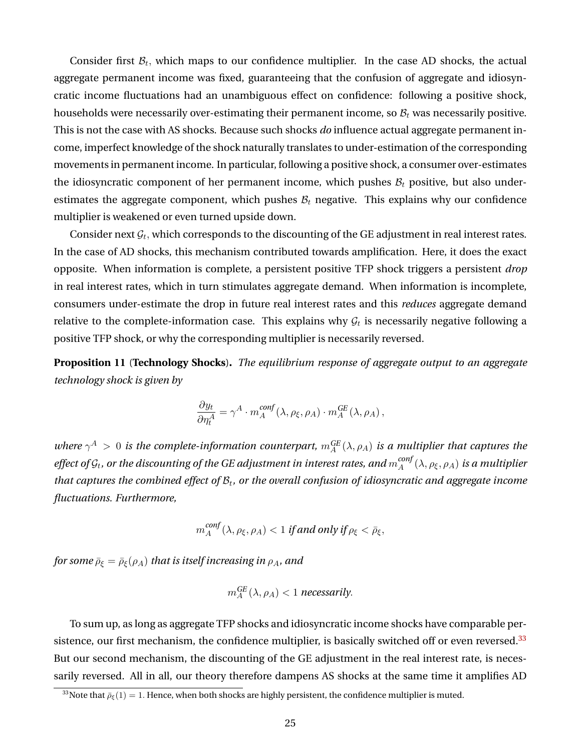Consider first  $\mathcal{B}_t$ , which maps to our confidence multiplier. In the case AD shocks, the actual aggregate permanent income was fixed, guaranteeing that the confusion of aggregate and idiosyncratic income fluctuations had an unambiguous effect on confidence: following a positive shock, households were necessarily over-estimating their permanent income, so  $B_t$  was necessarily positive. This is not the case with AS shocks. Because such shocks *do* influence actual aggregate permanent income, imperfect knowledge of the shock naturally translates to under-estimation of the corresponding movements in permanent income. In particular, following a positive shock, a consumer over-estimates the idiosyncratic component of her permanent income, which pushes  $B_t$  positive, but also underestimates the aggregate component, which pushes  $B_t$  negative. This explains why our confidence multiplier is weakened or even turned upside down.

Consider next  $\mathcal{G}_t$ , which corresponds to the discounting of the GE adjustment in real interest rates. In the case of AD shocks, this mechanism contributed towards amplification. Here, it does the exact opposite. When information is complete, a persistent positive TFP shock triggers a persistent *drop* in real interest rates, which in turn stimulates aggregate demand. When information is incomplete, consumers under-estimate the drop in future real interest rates and this *reduces* aggregate demand relative to the complete-information case. This explains why  $\mathcal{G}_t$  is necessarily negative following a positive TFP shock, or why the corresponding multiplier is necessarily reversed.

<span id="page-25-1"></span>**Proposition 11** (**Technology Shocks**)**.** *The equilibrium response of aggregate output to an aggregate technology shock is given by*

$$
\frac{\partial y_t}{\partial \eta_t^A} = \gamma^A \cdot m_A^{conf}(\lambda, \rho_{\xi}, \rho_A) \cdot m_A^{GE}(\lambda, \rho_A),
$$

where  $\gamma^A > 0$  is the complete-information counterpart,  $m_A^{GE}(\lambda, \rho_A)$  is a multiplier that captures the effect of  $\mathcal{G}_t$ , or the discounting of the GE adjustment in interest rates, and  $m_A^{conf}$  $_{A}^{conj}\left( \lambda,\rho_{\xi},\rho_{A}\right)$  is a multiplier  $t$ hat captures the combined effect of  $\mathcal{B}_t$ , or the overall confusion of idiosyncratic and aggregate income *fluctuations. Furthermore,*

$$
m_A^{\text{conf}}(\lambda, \rho_{\xi}, \rho_A) < 1 \text{ if and only if } \rho_{\xi} < \bar{\rho}_{\xi},
$$

*for some*  $\bar{\rho}_{\xi} = \bar{\rho}_{\xi}(\rho_A)$  *that is itself increasing in*  $\rho_A$ *, and* 

$$
m_A^{GE}(\lambda, \rho_A) < 1
$$
 necessarily.

To sum up, as long as aggregate TFP shocks and idiosyncratic income shocks have comparable persistence, our first mechanism, the confidence multiplier, is basically switched off or even reversed. $33$ But our second mechanism, the discounting of the GE adjustment in the real interest rate, is necessarily reversed. All in all, our theory therefore dampens AS shocks at the same time it amplifies AD

<span id="page-25-0"></span><sup>&</sup>lt;sup>33</sup>Note that  $\bar{\rho}_{\epsilon}(1) = 1$ . Hence, when both shocks are highly persistent, the confidence multiplier is muted.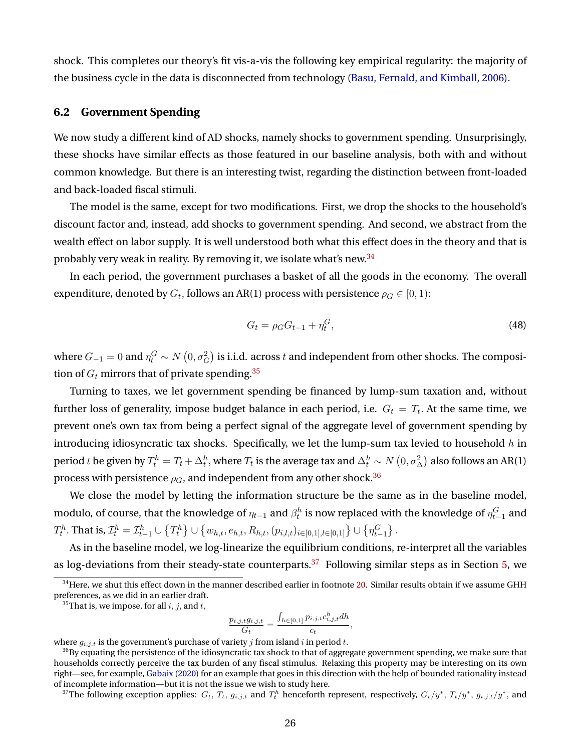shock. This completes our theory's fit vis-a-vis the following key empirical regularity: the majority of the business cycle in the data is disconnected from technology [\(Basu, Fernald, and Kimball,](#page-57-1) [2006\)](#page-57-1).

### **6.2 Government Spending**

We now study a different kind of AD shocks, namely shocks to government spending. Unsurprisingly, these shocks have similar effects as those featured in our baseline analysis, both with and without common knowledge. But there is an interesting twist, regarding the distinction between front-loaded and back-loaded fiscal stimuli.

The model is the same, except for two modifications. First, we drop the shocks to the household's discount factor and, instead, add shocks to government spending. And second, we abstract from the wealth effect on labor supply. It is well understood both what this effect does in the theory and that is probably very weak in reality. By removing it, we isolate what's new.<sup>[34](#page-26-0)</sup>

In each period, the government purchases a basket of all the goods in the economy. The overall expenditure, denoted by  $G_t$ , follows an AR(1) process with persistence  $\rho_G \in [0,1)$ :

<span id="page-26-4"></span>
$$
G_t = \rho_G G_{t-1} + \eta_t^G,\tag{48}
$$

where  $G_{-1}=0$  and  $\eta^G_t\sim N\left(0,\sigma^2_G\right)$  is i.i.d. across  $t$  and independent from other shocks. The composition of  $G_t$  mirrors that of private spending.<sup>[35](#page-26-1)</sup>

Turning to taxes, we let government spending be financed by lump-sum taxation and, without further loss of generality, impose budget balance in each period, i.e.  $\,G_t \,=\, T_t.$  At the same time, we prevent one's own tax from being a perfect signal of the aggregate level of government spending by introducing idiosyncratic tax shocks. Specifically, we let the lump-sum tax levied to household  $h$  in period  $t$  be given by  $T_t^h=T_t+\Delta_t^h,$  where  $T_t$  is the average tax and  $\Delta_t^h\sim N\left(0,\sigma_\Delta^2\right)$  also follows an AR(1) process with persistence  $\rho_G$ , and independent from any other shock.<sup>[36](#page-26-2)</sup>

We close the model by letting the information structure be the same as in the baseline model, modulo, of course, that the knowledge of  $\eta_{t-1}$  and  $\beta^h_t$  is now replaced with the knowledge of  $\eta^G_{t-1}$  and  $T^h_t$ . That is,  $\mathcal{I}^h_t = \mathcal{I}^h_{t-1} \cup \{T^h_t\} \cup \{w_{h,t}, e_{h,t}, R_{h,t}, (p_{i,l,t})_{i \in [0,1], l \in [0,1]}\} \cup \{\eta^G_{t-1}\}$ .

As in the baseline model, we log-linearize the equilibrium conditions, re-interpret all the variables as log-deviations from their steady-state counterparts.<sup>[37](#page-26-3)</sup> Following similar steps as in Section [5,](#page-16-0) we

$$
\frac{p_{i,j,t}g_{i,j,t}}{G_t} = \frac{\int_{h \in [0,1]} p_{i,j,t}c_{i,j,t}^h dh}{c_t},
$$

where  $g_{i,j,t}$  is the government's purchase of variety  $j$  from island  $i$  in period  $t$ .

<span id="page-26-3"></span><sup>37</sup>The following exception applies:  $G_t, T_t, g_{i,j,t}$  and  $T_t^h$  henceforth represent, respectively,  $G_t/y^*, T_t/y^*, g_{i,j,t}/y^*,$  and

<span id="page-26-0"></span><sup>&</sup>lt;sup>34</sup>Here, we shut this effect down in the manner described earlier in footnote [20.](#page-11-0) Similar results obtain if we assume GHH preferences, as we did in an earlier draft.

<span id="page-26-1"></span><sup>&</sup>lt;sup>35</sup>That is, we impose, for all  $i, j$ , and  $t$ ,

<span id="page-26-2"></span> $36$ By equating the persistence of the idiosyncratic tax shock to that of aggregate government spending, we make sure that households correctly perceive the tax burden of any fiscal stimulus. Relaxing this property may be interesting on its own right—see, for example, [Gabaix](#page-58-2) [\(2020\)](#page-58-2) for an example that goes in this direction with the help of bounded rationality instead of incomplete information—but it is not the issue we wish to study here.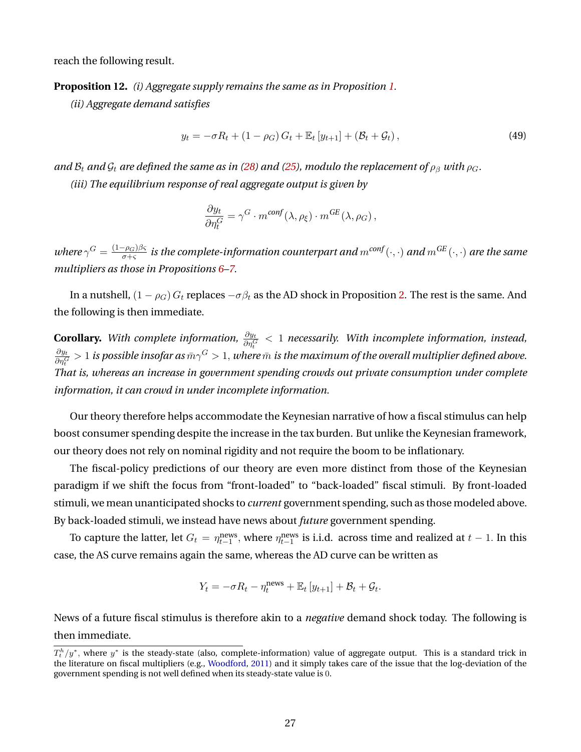<span id="page-27-0"></span>reach the following result.

**Proposition 12.** *(i) Aggregate supply remains the same as in Proposition [1.](#page-12-0) (ii) Aggregate demand satisfies*

<span id="page-27-1"></span>
$$
y_t = -\sigma R_t + (1 - \rho_G) G_t + \mathbb{E}_t \left[ y_{t+1} \right] + (\mathcal{B}_t + \mathcal{G}_t), \tag{49}
$$

*and*  $B_t$  *and*  $G_t$  *are defined the same as in [\(28\)](#page-14-3) and [\(25\)](#page-14-2), modulo the replacement of*  $\rho_\beta$  *with*  $\rho_G$ *. (iii) The equilibrium response of real aggregate output is given by*

$$
\frac{\partial y_t}{\partial \eta_t^G} = \gamma^G \cdot m^{conf}(\lambda, \rho_\xi) \cdot m^{GE}(\lambda, \rho_G),
$$

*where*  $\gamma^G = \frac{(1-\rho_G)\beta_S}{\sigma + c}$ σ+ς *is the complete-information counterpart and* <sup>m</sup>*conf* (·, ·) *and* <sup>m</sup>*GE* (·, ·) *are the same multipliers as those in Propositions [6–](#page-19-1)[7.](#page-20-2)*

In a nutshell,  $(1 - \rho_G) G_t$  replaces  $-\sigma \beta_t$  as the AD shock in Proposition [2.](#page-14-0) The rest is the same. And the following is then immediate.

**Corollary.** With complete information,  $\frac{\partial y_t}{\partial \eta_t^G}$  < 1 necessarily. With incomplete information, instead,  $\partial y_t$  $\frac{\partial y_t}{\partial \eta_t^G}>1$  is possible insofar as  $\bar{m}\gamma^G>1,$  where  $\bar{m}$  is the maximum of the overall multiplier defined above. *That is, whereas an increase in government spending crowds out private consumption under complete information, it can crowd in under incomplete information.*

Our theory therefore helps accommodate the Keynesian narrative of how a fiscal stimulus can help boost consumer spending despite the increase in the tax burden. But unlike the Keynesian framework, our theory does not rely on nominal rigidity and not require the boom to be inflationary.

The fiscal-policy predictions of our theory are even more distinct from those of the Keynesian paradigm if we shift the focus from "front-loaded" to "back-loaded" fiscal stimuli. By front-loaded stimuli, we mean unanticipated shocks to *current* government spending, such as those modeled above. By back-loaded stimuli, we instead have news about *future* government spending.

To capture the latter, let  $G_t = \eta_{t-1}^{\text{news}},$  where  $\eta_{t-1}^{\text{news}}$  is i.i.d. across time and realized at  $t-1$ . In this case, the AS curve remains again the same, whereas the AD curve can be written as

$$
Y_t = -\sigma R_t - \eta_t^{\text{news}} + \mathbb{E}_t \left[ y_{t+1} \right] + \mathcal{B}_t + \mathcal{G}_t.
$$

News of a future fiscal stimulus is therefore akin to a *negative* demand shock today. The following is then immediate.

 $T^h_t/y^*$ , where  $y^*$  is the steady-state (also, complete-information) value of aggregate output. This is a standard trick in the literature on fiscal multipliers (e.g., [Woodford,](#page-60-4) [2011\)](#page-60-4) and it simply takes care of the issue that the log-deviation of the government spending is not well defined when its steady-state value is 0.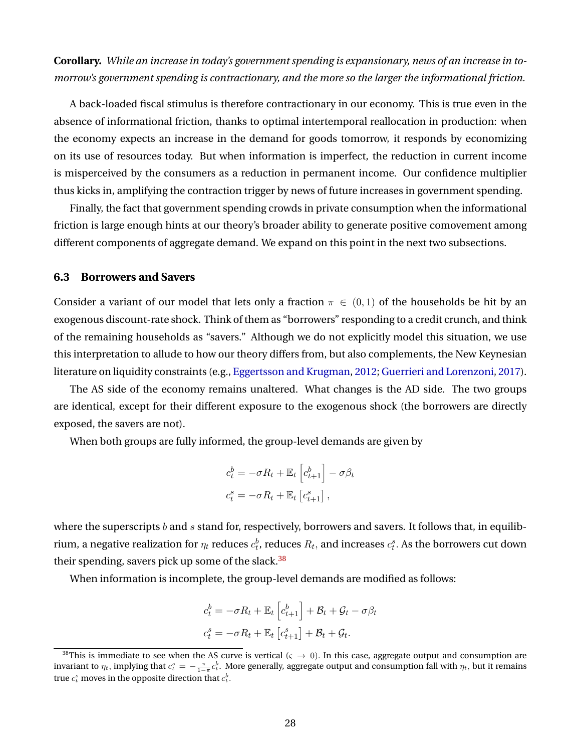**Corollary.** *While an increase in today's government spending is expansionary, news of an increase in tomorrow's government spending is contractionary, and the more so the larger the informational friction.*

A back-loaded fiscal stimulus is therefore contractionary in our economy. This is true even in the absence of informational friction, thanks to optimal intertemporal reallocation in production: when the economy expects an increase in the demand for goods tomorrow, it responds by economizing on its use of resources today. But when information is imperfect, the reduction in current income is misperceived by the consumers as a reduction in permanent income. Our confidence multiplier thus kicks in, amplifying the contraction trigger by news of future increases in government spending.

Finally, the fact that government spending crowds in private consumption when the informational friction is large enough hints at our theory's broader ability to generate positive comovement among different components of aggregate demand. We expand on this point in the next two subsections.

### **6.3 Borrowers and Savers**

Consider a variant of our model that lets only a fraction  $\pi \in (0,1)$  of the households be hit by an exogenous discount-rate shock. Think of them as "borrowers" responding to a credit crunch, and think of the remaining households as "savers." Although we do not explicitly model this situation, we use this interpretation to allude to how our theory differs from, but also complements, the New Keynesian literature on liquidity constraints (e.g., [Eggertsson and Krugman,](#page-58-13) [2012;](#page-58-13) [Guerrieri and Lorenzoni,](#page-58-14) [2017\)](#page-58-14).

The AS side of the economy remains unaltered. What changes is the AD side. The two groups are identical, except for their different exposure to the exogenous shock (the borrowers are directly exposed, the savers are not).

When both groups are fully informed, the group-level demands are given by

$$
c_t^b = -\sigma R_t + \mathbb{E}_t \left[ c_{t+1}^b \right] - \sigma \beta_t
$$
  

$$
c_t^s = -\sigma R_t + \mathbb{E}_t \left[ c_{t+1}^s \right],
$$

where the superscripts  $b$  and  $s$  stand for, respectively, borrowers and savers. It follows that, in equilibrium, a negative realization for  $\eta_t$  reduces  $c_t^b$ , reduces  $R_t$ , and increases  $c_t^s$ . As the borrowers cut down their spending, savers pick up some of the slack.<sup>[38](#page-28-0)</sup>

When information is incomplete, the group-level demands are modified as follows:

$$
c_t^b = -\sigma R_t + \mathbb{E}_t \left[ c_{t+1}^b \right] + \mathcal{B}_t + \mathcal{G}_t - \sigma \beta_t
$$
  

$$
c_t^s = -\sigma R_t + \mathbb{E}_t \left[ c_{t+1}^s \right] + \mathcal{B}_t + \mathcal{G}_t.
$$

<span id="page-28-0"></span><sup>&</sup>lt;sup>38</sup>This is immediate to see when the AS curve is vertical ( $\varsigma \to 0$ ). In this case, aggregate output and consumption are invariant to  $\eta_t$ , implying that  $c_t^s=-\frac{\pi}{1-\pi}c_t^b.$  More generally, aggregate output and consumption fall with  $\eta_t,$  but it remains true  $c_t^s$  moves in the opposite direction that  $c_t^b$ .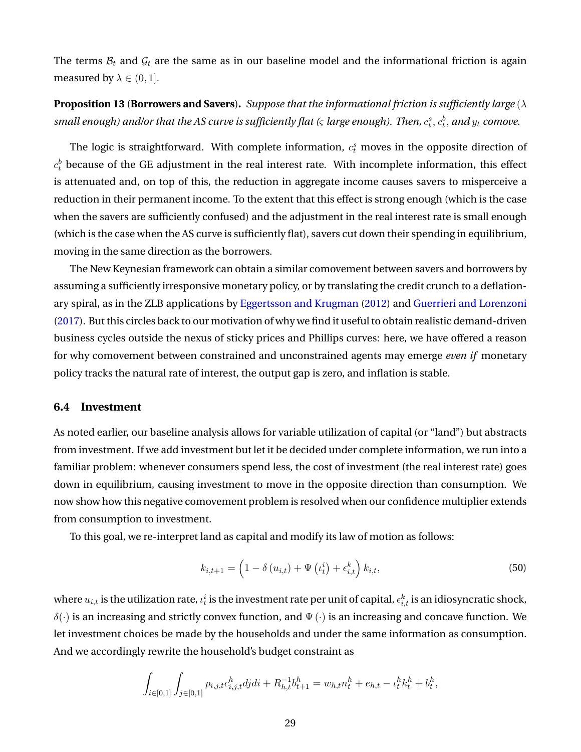The terms  $\mathcal{B}_t$  and  $\mathcal{G}_t$  are the same as in our baseline model and the informational friction is again measured by  $\lambda \in (0, 1]$ .

# <span id="page-29-1"></span>**Proposition 13** (**Borrowers and Savers**)**.** *Suppose that the informational friction is sufficiently large* (λ small enough) and/or that the AS curve is sufficiently flat ( $\varsigma$  large enough). Then,  $c^s_t, c^b_t,$  and  $y_t$  comove.

The logic is straightforward. With complete information,  $c_t^s$  moves in the opposite direction of  $c_{t}^{b}$  because of the GE adjustment in the real interest rate. With incomplete information, this effect is attenuated and, on top of this, the reduction in aggregate income causes savers to misperceive a reduction in their permanent income. To the extent that this effect is strong enough (which is the case when the savers are sufficiently confused) and the adjustment in the real interest rate is small enough (which is the case when the AS curve is sufficiently flat), savers cut down their spending in equilibrium, moving in the same direction as the borrowers.

The New Keynesian framework can obtain a similar comovement between savers and borrowers by assuming a sufficiently irresponsive monetary policy, or by translating the credit crunch to a deflationary spiral, as in the ZLB applications by [Eggertsson and Krugman](#page-58-13) [\(2012\)](#page-58-13) and [Guerrieri and Lorenzoni](#page-58-14) [\(2017\)](#page-58-14). But this circles back to our motivation of why we find it useful to obtain realistic demand-driven business cycles outside the nexus of sticky prices and Phillips curves: here, we have offered a reason for why comovement between constrained and unconstrained agents may emerge *even if* monetary policy tracks the natural rate of interest, the output gap is zero, and inflation is stable.

### <span id="page-29-0"></span>**6.4 Investment**

As noted earlier, our baseline analysis allows for variable utilization of capital (or "land") but abstracts from investment. If we add investment but let it be decided under complete information, we run into a familiar problem: whenever consumers spend less, the cost of investment (the real interest rate) goes down in equilibrium, causing investment to move in the opposite direction than consumption. We now show how this negative comovement problem is resolved when our confidence multiplier extends from consumption to investment.

To this goal, we re-interpret land as capital and modify its law of motion as follows:

<span id="page-29-2"></span>
$$
k_{i,t+1} = \left(1 - \delta\left(u_{i,t}\right) + \Psi\left(\iota_t^i\right) + \epsilon_{i,t}^k\right)k_{i,t},\tag{50}
$$

where  $u_{i,t}$  is the utilization rate,  $\iota_t^i$  is the investment rate per unit of capital,  $\epsilon_{i,t}^k$  is an idiosyncratic shock, δ(·) is an increasing and strictly convex function, and  $\Psi(\cdot)$  is an increasing and concave function. We let investment choices be made by the households and under the same information as consumption. And we accordingly rewrite the household's budget constraint as

$$
\int_{i\in[0,1]} \int_{j\in[0,1]} p_{i,j,t} c_{i,j,t}^h dj dt + R_{h,t}^{-1} b_{t+1}^h = w_{h,t} n_t^h + e_{h,t} - u_t^h k_t^h + b_t^h,
$$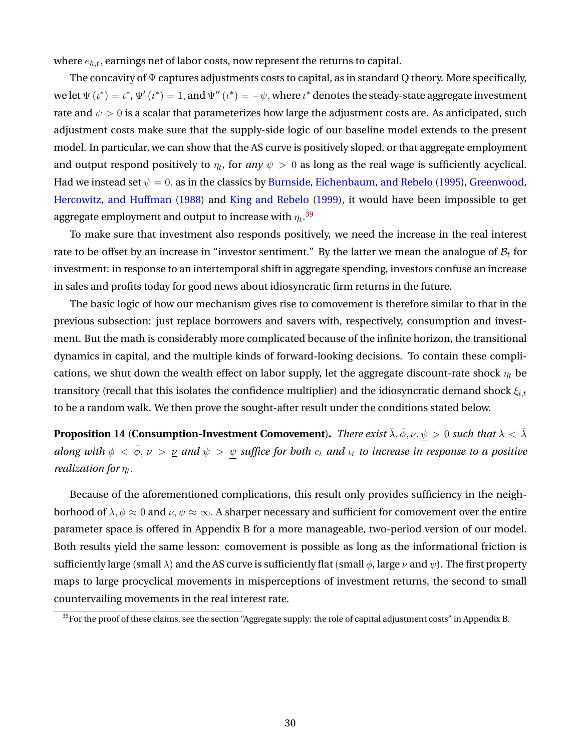where  $e_{h,t}$ , earnings net of labor costs, now represent the returns to capital.

The concavity of  $\Psi$  captures adjustments costs to capital, as in standard Q theory. More specifically, we let  $\Psi(\iota^*)=\iota^*$ ,  $\Psi'(\iota^*)=1$ , and  $\Psi''(\iota^*)=-\psi$ , where  $\iota^*$  denotes the steady-state aggregate investment rate and  $\psi > 0$  is a scalar that parameterizes how large the adjustment costs are. As anticipated, such adjustment costs make sure that the supply-side logic of our baseline model extends to the present model. In particular, we can show that the AS curve is positively sloped, or that aggregate employment and output respond positively to  $\eta_t$ , for  $\textit{any}~\psi>0$  as long as the real wage is sufficiently acyclical. Had we instead set  $\psi = 0$ , as in the classics by [Burnside, Eichenbaum, and Rebelo](#page-57-9) [\(1995\)](#page-57-9), [Greenwood,](#page-58-0) [Hercowitz, and Huffman](#page-58-0) [\(1988\)](#page-58-0) and [King and Rebelo](#page-59-12) [\(1999\)](#page-59-12), it would have been impossible to get aggregate employment and output to increase with  $\eta_t. ^{39}$  $\eta_t. ^{39}$  $\eta_t. ^{39}$ 

To make sure that investment also responds positively, we need the increase in the real interest rate to be offset by an increase in "investor sentiment." By the latter we mean the analogue of  $B_t$  for investment: in response to an intertemporal shift in aggregate spending, investors confuse an increase in sales and profits today for good news about idiosyncratic firm returns in the future.

The basic logic of how our mechanism gives rise to comovement is therefore similar to that in the previous subsection: just replace borrowers and savers with, respectively, consumption and investment. But the math is considerably more complicated because of the infinite horizon, the transitional dynamics in capital, and the multiple kinds of forward-looking decisions. To contain these complications, we shut down the wealth effect on labor supply, let the aggregate discount-rate shock  $\eta_t$  be transitory (recall that this isolates the confidence multiplier) and the idiosyncratic demand shock  $\xi_{i,t}$ to be a random walk. We then prove the sought-after result under the conditions stated below.

<span id="page-30-0"></span>**Proposition 14** (**Consumption-Investment Comovement**). *There exist*  $\bar{\lambda}$ ,  $\bar{\phi}$ ,  $\underline{\nu}$ ,  $\psi > 0$  *such that*  $\lambda < \bar{\lambda}$ *along with*  $\phi < \bar{\phi}, \nu > \nu$  and  $\psi > \psi$  suffice for both  $c_t$  and  $\iota_t$  to increase in response to a positive realization for  $\eta_t.$ 

Because of the aforementioned complications, this result only provides sufficiency in the neighborhood of  $\lambda, \phi \approx 0$  and  $\nu, \psi \approx \infty$ . A sharper necessary and sufficient for comovement over the entire parameter space is offered in Appendix B for a more manageable, two-period version of our model. Both results yield the same lesson: comovement is possible as long as the informational friction is sufficiently large (small  $\lambda$ ) and the AS curve is sufficiently flat (small  $\phi$ , large  $\nu$  and  $\psi$ ). The first property maps to large procyclical movements in misperceptions of investment returns, the second to small countervailing movements in the real interest rate.

<span id="page-30-1"></span> $39$ For the proof of these claims, see the section "Aggregate supply: the role of capital adjustment costs" in Appendix B.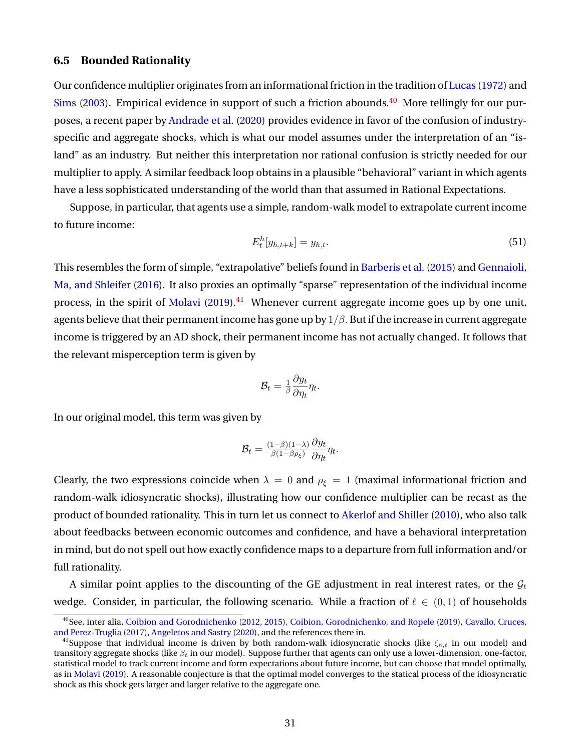#### <span id="page-31-0"></span>**6.5 Bounded Rationality**

Our confidence multiplier originates from an informational friction in the tradition of [Lucas](#page-59-8) [\(1972\)](#page-59-8) and [Sims](#page-60-0) [\(2003\)](#page-60-0). Empirical evidence in support of such a friction abounds.<sup>[40](#page-31-1)</sup> More tellingly for our purposes, a recent paper by [Andrade et al.](#page-56-6) [\(2020\)](#page-56-6) provides evidence in favor of the confusion of industryspecific and aggregate shocks, which is what our model assumes under the interpretation of an "island" as an industry. But neither this interpretation nor rational confusion is strictly needed for our multiplier to apply. A similar feedback loop obtains in a plausible "behavioral" variant in which agents have a less sophisticated understanding of the world than that assumed in Rational Expectations.

Suppose, in particular, that agents use a simple, random-walk model to extrapolate current income to future income:

$$
E_t^h[y_{h,t+k}] = y_{h,t}.\tag{51}
$$

This resembles the form of simple, "extrapolative" beliefs found in [Barberis et al.](#page-56-14) [\(2015\)](#page-56-14) and [Gennaioli,](#page-58-4) [Ma, and Shleifer](#page-58-4) [\(2016\)](#page-58-4). It also proxies an optimally "sparse" representation of the individual income process, in the spirit of [Molavi](#page-60-1)  $(2019).<sup>41</sup>$  $(2019).<sup>41</sup>$  $(2019).<sup>41</sup>$  $(2019).<sup>41</sup>$  Whenever current aggregate income goes up by one unit, agents believe that their permanent income has gone up by  $1/\beta$ . But if the increase in current aggregate income is triggered by an AD shock, their permanent income has not actually changed. It follows that the relevant misperception term is given by

$$
\mathcal{B}_t = \frac{1}{\beta} \frac{\partial y_t}{\partial \eta_t} \eta_t.
$$

In our original model, this term was given by

$$
\mathcal{B}_t = \frac{(1-\beta)(1-\lambda)}{\beta(1-\beta\rho_{\xi})} \frac{\partial y_t}{\partial \eta_t} \eta_t.
$$

Clearly, the two expressions coincide when  $\lambda = 0$  and  $\rho_{\xi} = 1$  (maximal informational friction and random-walk idiosyncratic shocks), illustrating how our confidence multiplier can be recast as the product of bounded rationality. This in turn let us connect to [Akerlof and Shiller](#page-56-2) [\(2010\)](#page-56-2), who also talk about feedbacks between economic outcomes and confidence, and have a behavioral interpretation in mind, but do not spell out how exactly confidence maps to a departure from full information and/or full rationality.

A similar point applies to the discounting of the GE adjustment in real interest rates, or the  $\mathcal{G}_t$ wedge. Consider, in particular, the following scenario. While a fraction of  $\ell \in (0,1)$  of households

<span id="page-31-1"></span><sup>40</sup>See, inter alia, [Coibion and Gorodnichenko](#page-57-10) [\(2012,](#page-57-10) [2015\)](#page-58-8), [Coibion, Gorodnichenko, and Ropele](#page-58-9) [\(2019\)](#page-58-9), [Cavallo, Cruces,](#page-57-11) [and Perez-Truglia](#page-57-11) [\(2017\)](#page-57-11), [Angeletos and Sastry](#page-56-13) [\(2020\)](#page-56-13), and the references there in.

<span id="page-31-2"></span><sup>&</sup>lt;sup>41</sup>Suppose that individual income is driven by both random-walk idiosyncratic shocks (like  $\xi_{h,t}$  in our model) and transitory aggregate shocks (like  $\beta_t$  in our model). Suppose further that agents can only use a lower-dimension, one-factor, statistical model to track current income and form expectations about future income, but can choose that model optimally, as in [Molavi](#page-60-1) [\(2019\)](#page-60-1). A reasonable conjecture is that the optimal model converges to the statical process of the idiosyncratic shock as this shock gets larger and larger relative to the aggregate one.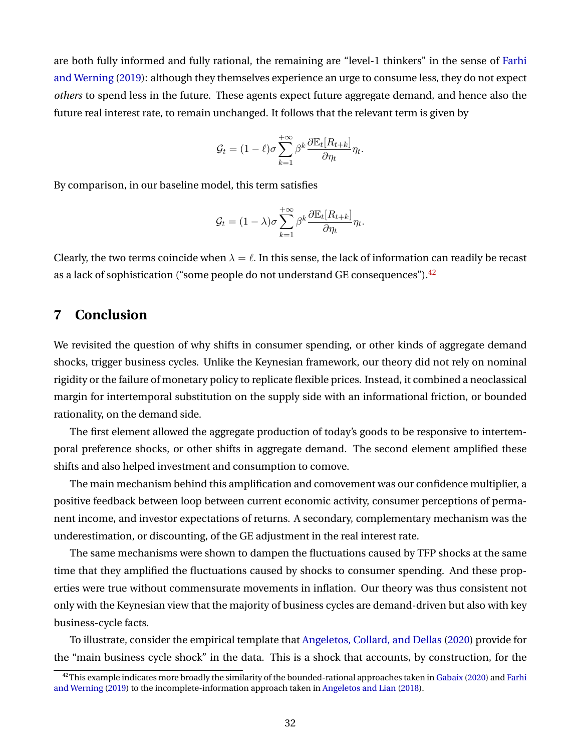are both fully informed and fully rational, the remaining are "level-1 thinkers" in the sense of [Farhi](#page-58-1) [and Werning](#page-58-1) [\(2019\)](#page-58-1): although they themselves experience an urge to consume less, they do not expect *others* to spend less in the future. These agents expect future aggregate demand, and hence also the future real interest rate, to remain unchanged. It follows that the relevant term is given by

$$
\mathcal{G}_t = (1 - \ell)\sigma \sum_{k=1}^{+\infty} \beta^k \frac{\partial \mathbb{E}_t[R_{t+k}]}{\partial \eta_t} \eta_t.
$$

By comparison, in our baseline model, this term satisfies

$$
\mathcal{G}_t = (1 - \lambda)\sigma \sum_{k=1}^{+\infty} \beta^k \frac{\partial \mathbb{E}_t[R_{t+k}]}{\partial \eta_t} \eta_t.
$$

Clearly, the two terms coincide when  $\lambda = \ell$ . In this sense, the lack of information can readily be recast as a lack of sophistication ("some people do not understand GE consequences").  $42$ 

# **7 Conclusion**

We revisited the question of why shifts in consumer spending, or other kinds of aggregate demand shocks, trigger business cycles. Unlike the Keynesian framework, our theory did not rely on nominal rigidity or the failure of monetary policy to replicate flexible prices. Instead, it combined a neoclassical margin for intertemporal substitution on the supply side with an informational friction, or bounded rationality, on the demand side.

The first element allowed the aggregate production of today's goods to be responsive to intertemporal preference shocks, or other shifts in aggregate demand. The second element amplified these shifts and also helped investment and consumption to comove.

The main mechanism behind this amplification and comovement was our confidence multiplier, a positive feedback between loop between current economic activity, consumer perceptions of permanent income, and investor expectations of returns. A secondary, complementary mechanism was the underestimation, or discounting, of the GE adjustment in the real interest rate.

The same mechanisms were shown to dampen the fluctuations caused by TFP shocks at the same time that they amplified the fluctuations caused by shocks to consumer spending. And these properties were true without commensurate movements in inflation. Our theory was thus consistent not only with the Keynesian view that the majority of business cycles are demand-driven but also with key business-cycle facts.

To illustrate, consider the empirical template that [Angeletos, Collard, and Dellas](#page-56-0) [\(2020\)](#page-56-0) provide for the "main business cycle shock" in the data. This is a shock that accounts, by construction, for the

<span id="page-32-0"></span> $^{42}$ This example indicates more broadly the similarity of the bounded-rational approaches taken in [Gabaix](#page-58-2) [\(2020\)](#page-58-2) and [Farhi](#page-58-1) [and Werning](#page-58-1) [\(2019\)](#page-58-1) to the incomplete-information approach taken in [Angeletos and Lian](#page-56-1) [\(2018\)](#page-56-1).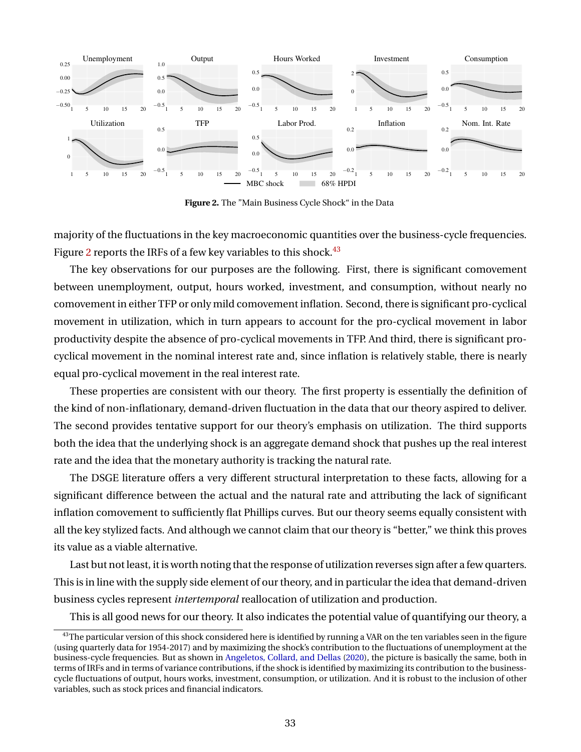<span id="page-33-0"></span>

**Figure 2.** The "Main Business Cycle Shock" in the Data

majority of the fluctuations in the key macroeconomic quantities over the business-cycle frequencies. Figure [2](#page-33-0) reports the IRFs of a few key variables to this shock.<sup>[43](#page-33-1)</sup>

The key observations for our purposes are the following. First, there is significant comovement between unemployment, output, hours worked, investment, and consumption, without nearly no comovement in either TFP or only mild comovement inflation. Second, there is significant pro-cyclical movement in utilization, which in turn appears to account for the pro-cyclical movement in labor productivity despite the absence of pro-cyclical movements in TFP. And third, there is significant procyclical movement in the nominal interest rate and, since inflation is relatively stable, there is nearly equal pro-cyclical movement in the real interest rate.

These properties are consistent with our theory. The first property is essentially the definition of the kind of non-inflationary, demand-driven fluctuation in the data that our theory aspired to deliver. The second provides tentative support for our theory's emphasis on utilization. The third supports both the idea that the underlying shock is an aggregate demand shock that pushes up the real interest rate and the idea that the monetary authority is tracking the natural rate.

The DSGE literature offers a very different structural interpretation to these facts, allowing for a significant difference between the actual and the natural rate and attributing the lack of significant inflation comovement to sufficiently flat Phillips curves. But our theory seems equally consistent with all the key stylized facts. And although we cannot claim that our theory is "better," we think this proves its value as a viable alternative.

Last but not least, it is worth noting that the response of utilization reverses sign after a few quarters. This is in line with the supply side element of our theory, and in particular the idea that demand-driven business cycles represent *intertemporal* reallocation of utilization and production.

This is all good news for our theory. It also indicates the potential value of quantifying our theory, a

<span id="page-33-1"></span><sup>&</sup>lt;sup>43</sup>The particular version of this shock considered here is identified by running a VAR on the ten variables seen in the figure (using quarterly data for 1954-2017) and by maximizing the shock's contribution to the fluctuations of unemployment at the business-cycle frequencies. But as shown in [Angeletos, Collard, and Dellas](#page-56-0) [\(2020\)](#page-56-0), the picture is basically the same, both in terms of IRFs and in terms of variance contributions, if the shock is identified by maximizing its contribution to the businesscycle fluctuations of output, hours works, investment, consumption, or utilization. And it is robust to the inclusion of other variables, such as stock prices and financial indicators.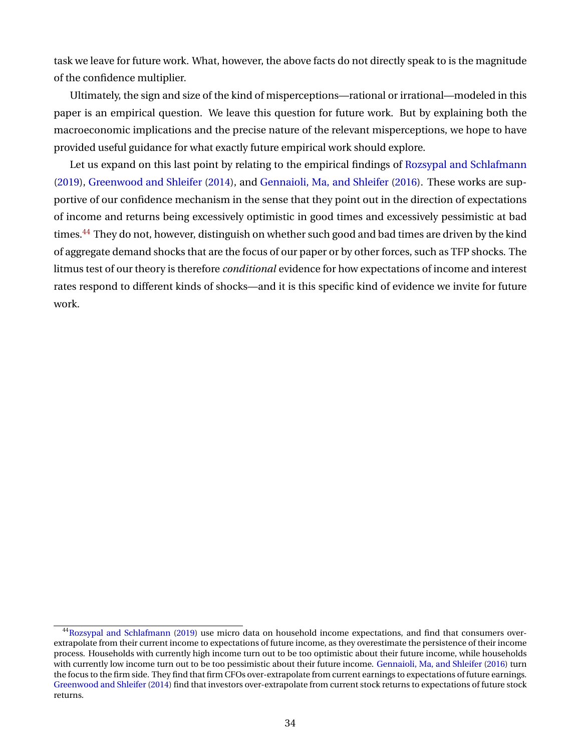task we leave for future work. What, however, the above facts do not directly speak to is the magnitude of the confidence multiplier.

Ultimately, the sign and size of the kind of misperceptions—rational or irrational—modeled in this paper is an empirical question. We leave this question for future work. But by explaining both the macroeconomic implications and the precise nature of the relevant misperceptions, we hope to have provided useful guidance for what exactly future empirical work should explore.

Let us expand on this last point by relating to the empirical findings of [Rozsypal and Schlafmann](#page-60-6) [\(2019\)](#page-60-6), [Greenwood and Shleifer](#page-58-3) [\(2014\)](#page-58-3), and [Gennaioli, Ma, and Shleifer](#page-58-4) [\(2016\)](#page-58-4). These works are supportive of our confidence mechanism in the sense that they point out in the direction of expectations of income and returns being excessively optimistic in good times and excessively pessimistic at bad times.<sup>[44](#page-34-0)</sup> They do not, however, distinguish on whether such good and bad times are driven by the kind of aggregate demand shocks that are the focus of our paper or by other forces, such as TFP shocks. The litmus test of our theory is therefore *conditional* evidence for how expectations of income and interest rates respond to different kinds of shocks—and it is this specific kind of evidence we invite for future work.

<span id="page-34-0"></span><sup>44</sup>[Rozsypal and Schlafmann](#page-60-6) [\(2019\)](#page-60-6) use micro data on household income expectations, and find that consumers overextrapolate from their current income to expectations of future income, as they overestimate the persistence of their income process. Households with currently high income turn out to be too optimistic about their future income, while households with currently low income turn out to be too pessimistic about their future income. [Gennaioli, Ma, and Shleifer](#page-58-4) [\(2016\)](#page-58-4) turn the focus to the firm side. They find that firm CFOs over-extrapolate from current earnings to expectations of future earnings. [Greenwood and Shleifer](#page-58-3) [\(2014\)](#page-58-3) find that investors over-extrapolate from current stock returns to expectations of future stock returns.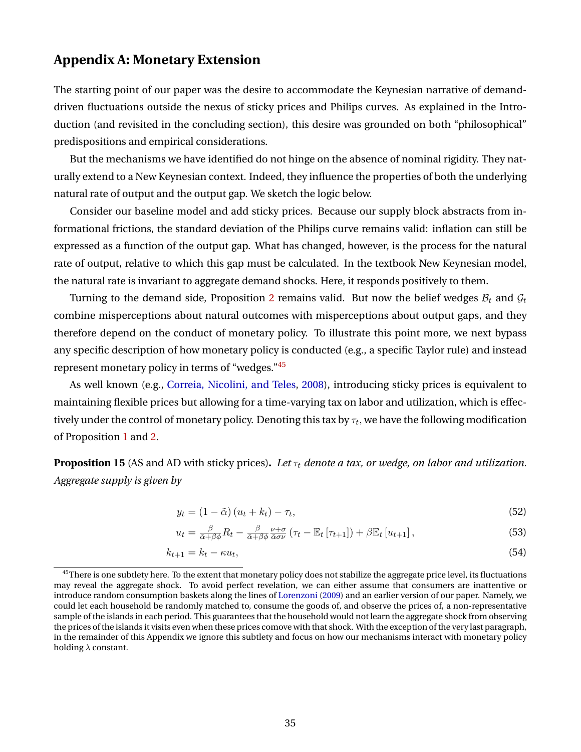# **Appendix A: Monetary Extension**

The starting point of our paper was the desire to accommodate the Keynesian narrative of demanddriven fluctuations outside the nexus of sticky prices and Philips curves. As explained in the Introduction (and revisited in the concluding section), this desire was grounded on both "philosophical" predispositions and empirical considerations.

But the mechanisms we have identified do not hinge on the absence of nominal rigidity. They naturally extend to a New Keynesian context. Indeed, they influence the properties of both the underlying natural rate of output and the output gap. We sketch the logic below.

Consider our baseline model and add sticky prices. Because our supply block abstracts from informational frictions, the standard deviation of the Philips curve remains valid: inflation can still be expressed as a function of the output gap. What has changed, however, is the process for the natural rate of output, relative to which this gap must be calculated. In the textbook New Keynesian model, the natural rate is invariant to aggregate demand shocks. Here, it responds positively to them.

Turning to the demand side, Proposition [2](#page-14-0) remains valid. But now the belief wedges  $B_t$  and  $G_t$ combine misperceptions about natural outcomes with misperceptions about output gaps, and they therefore depend on the conduct of monetary policy. To illustrate this point more, we next bypass any specific description of how monetary policy is conducted (e.g., a specific Taylor rule) and instead represent monetary policy in terms of "wedges."[45](#page-35-0)

As well known (e.g., [Correia, Nicolini, and Teles,](#page-58-15) [2008\)](#page-58-15), introducing sticky prices is equivalent to maintaining flexible prices but allowing for a time-varying tax on labor and utilization, which is effectively under the control of monetary policy. Denoting this tax by  $\tau_t,$  we have the following modification of Proposition [1](#page-12-0) and [2.](#page-14-0)

<span id="page-35-1"></span>**Proposition 15** (AS and AD with sticky prices). Let  $\tau_t$  denote a tax, or wedge, on labor and utilization. *Aggregate supply is given by*

<span id="page-35-4"></span><span id="page-35-3"></span><span id="page-35-2"></span>
$$
y_t = (1 - \tilde{\alpha}) \left( u_t + k_t \right) - \tau_t,
$$
\n<sup>(52)</sup>

$$
u_{t} = \frac{\beta}{\tilde{\alpha} + \beta \phi} R_{t} - \frac{\beta}{\tilde{\alpha} + \beta \phi} \frac{\nu + \sigma}{\tilde{\alpha} \sigma \nu} \left( \tau_{t} - \mathbb{E}_{t} \left[ \tau_{t+1} \right] \right) + \beta \mathbb{E}_{t} \left[ u_{t+1} \right], \tag{53}
$$

$$
k_{t+1} = k_t - \kappa u_t, \tag{54}
$$

<span id="page-35-0"></span><sup>&</sup>lt;sup>45</sup>There is one subtlety here. To the extent that monetary policy does not stabilize the aggregate price level, its fluctuations may reveal the aggregate shock. To avoid perfect revelation, we can either assume that consumers are inattentive or introduce random consumption baskets along the lines of [Lorenzoni](#page-59-9) [\(2009\)](#page-59-9) and an earlier version of our paper. Namely, we could let each household be randomly matched to, consume the goods of, and observe the prices of, a non-representative sample of the islands in each period. This guarantees that the household would not learn the aggregate shock from observing the prices of the islands it visits even when these prices comove with that shock. With the exception of the very last paragraph, in the remainder of this Appendix we ignore this subtlety and focus on how our mechanisms interact with monetary policy holding  $\lambda$  constant.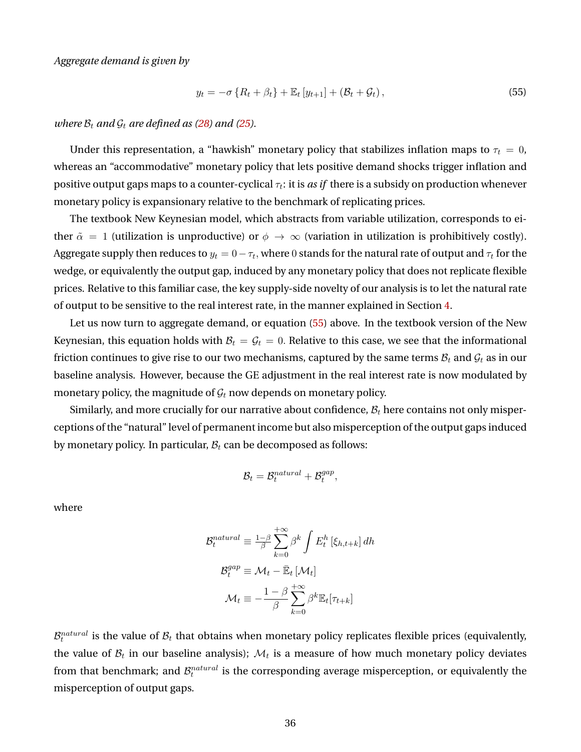<span id="page-36-0"></span>
$$
y_t = -\sigma \left\{ R_t + \beta_t \right\} + \mathbb{E}_t \left[ y_{t+1} \right] + \left( \mathcal{B}_t + \mathcal{G}_t \right), \tag{55}
$$

*where*  $B_t$  *and*  $G_t$  *are defined as [\(28\)](#page-14-3) and [\(25\)](#page-14-2).* 

Under this representation, a "hawkish" monetary policy that stabilizes inflation maps to  $\tau_t = 0$ , whereas an "accommodative" monetary policy that lets positive demand shocks trigger inflation and positive output gaps maps to a counter-cyclical  $\tau_t$ : it is *as if* there is a subsidy on production whenever monetary policy is expansionary relative to the benchmark of replicating prices.

The textbook New Keynesian model, which abstracts from variable utilization, corresponds to either  $\tilde{\alpha} = 1$  (utilization is unproductive) or  $\phi \to \infty$  (variation in utilization is prohibitively costly). Aggregate supply then reduces to  $y_t = 0-\tau_t,$  where  $0$  stands for the natural rate of output and  $\tau_t$  for the wedge, or equivalently the output gap, induced by any monetary policy that does not replicate flexible prices. Relative to this familiar case, the key supply-side novelty of our analysis is to let the natural rate of output to be sensitive to the real interest rate, in the manner explained in Section [4.](#page-10-4)

Let us now turn to aggregate demand, or equation [\(55\)](#page-36-0) above. In the textbook version of the New Keynesian, this equation holds with  $B_t = G_t = 0$ . Relative to this case, we see that the informational friction continues to give rise to our two mechanisms, captured by the same terms  $B_t$  and  $G_t$  as in our baseline analysis. However, because the GE adjustment in the real interest rate is now modulated by monetary policy, the magnitude of  $\mathcal{G}_t$  now depends on monetary policy.

Similarly, and more crucially for our narrative about confidence,  $B_t$  here contains not only misperceptions of the "natural" level of permanent income but also misperception of the output gaps induced by monetary policy. In particular,  $B_t$  can be decomposed as follows:

$$
\mathcal{B}_t = \mathcal{B}_t^{natural} + \mathcal{B}_t^{gap},
$$

where

$$
\mathcal{B}_{t}^{natural} \equiv \frac{1-\beta}{\beta} \sum_{k=0}^{+\infty} \beta^{k} \int E_{t}^{h} \left[\xi_{h,t+k}\right] dh
$$

$$
\mathcal{B}_{t}^{gap} \equiv \mathcal{M}_{t} - \bar{\mathbb{E}}_{t} \left[\mathcal{M}_{t}\right]
$$

$$
\mathcal{M}_{t} \equiv -\frac{1-\beta}{\beta} \sum_{k=0}^{+\infty} \beta^{k} \mathbb{E}_{t} \left[\tau_{t+k}\right]
$$

 $\mathcal{B}_t^{natural}$  is the value of  $\mathcal{B}_t$  that obtains when monetary policy replicates flexible prices (equivalently, the value of  $\mathcal{B}_t$  in our baseline analysis);  $\mathcal{M}_t$  is a measure of how much monetary policy deviates from that benchmark; and  $\mathcal{B}_t^{natural}$  is the corresponding average misperception, or equivalently the misperception of output gaps.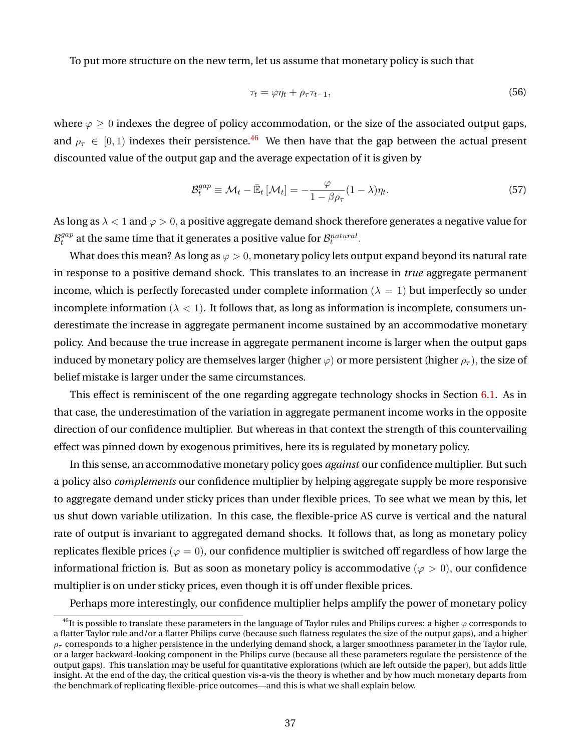To put more structure on the new term, let us assume that monetary policy is such that

<span id="page-37-1"></span>
$$
\tau_t = \varphi \eta_t + \rho_\tau \tau_{t-1},\tag{56}
$$

where  $\varphi \geq 0$  indexes the degree of policy accommodation, or the size of the associated output gaps, and  $\rho_{\tau} \in [0, 1)$  indexes their persistence.<sup>[46](#page-37-0)</sup> We then have that the gap between the actual present discounted value of the output gap and the average expectation of it is given by

<span id="page-37-2"></span>
$$
\mathcal{B}_t^{gap} \equiv \mathcal{M}_t - \bar{\mathbb{E}}_t \left[ \mathcal{M}_t \right] = -\frac{\varphi}{1 - \beta \rho_\tau} (1 - \lambda) \eta_t.
$$
 (57)

As long as  $\lambda < 1$  and  $\varphi > 0$ , a positive aggregate demand shock therefore generates a negative value for  $\mathcal{B}_t^{gap}$  $t^{gap}_t$  at the same time that it generates a positive value for  $\mathcal{B}_t^{natural}.$ 

What does this mean? As long as  $\varphi > 0$ , monetary policy lets output expand beyond its natural rate in response to a positive demand shock. This translates to an increase in *true* aggregate permanent income, which is perfectly forecasted under complete information ( $\lambda = 1$ ) but imperfectly so under incomplete information  $(\lambda < 1)$ . It follows that, as long as information is incomplete, consumers underestimate the increase in aggregate permanent income sustained by an accommodative monetary policy. And because the true increase in aggregate permanent income is larger when the output gaps induced by monetary policy are themselves larger (higher  $\varphi$ ) or more persistent (higher  $\rho_{\tau}$ ), the size of belief mistake is larger under the same circumstances.

This effect is reminiscent of the one regarding aggregate technology shocks in Section [6.1.](#page-24-3) As in that case, the underestimation of the variation in aggregate permanent income works in the opposite direction of our confidence multiplier. But whereas in that context the strength of this countervailing effect was pinned down by exogenous primitives, here its is regulated by monetary policy.

In this sense, an accommodative monetary policy goes *against* our confidence multiplier. But such a policy also *complements* our confidence multiplier by helping aggregate supply be more responsive to aggregate demand under sticky prices than under flexible prices. To see what we mean by this, let us shut down variable utilization. In this case, the flexible-price AS curve is vertical and the natural rate of output is invariant to aggregated demand shocks. It follows that, as long as monetary policy replicates flexible prices ( $\varphi = 0$ ), our confidence multiplier is switched off regardless of how large the informational friction is. But as soon as monetary policy is accommodative ( $\varphi > 0$ ), our confidence multiplier is on under sticky prices, even though it is off under flexible prices.

Perhaps more interestingly, our confidence multiplier helps amplify the power of monetary policy

<span id="page-37-0"></span><sup>&</sup>lt;sup>46</sup>It is possible to translate these parameters in the language of Taylor rules and Philips curves: a higher  $\varphi$  corresponds to a flatter Taylor rule and/or a flatter Philips curve (because such flatness regulates the size of the output gaps), and a higher  $\rho_{\tau}$  corresponds to a higher persistence in the underlying demand shock, a larger smoothness parameter in the Taylor rule, or a larger backward-looking component in the Philips curve (because all these parameters regulate the persistence of the output gaps). This translation may be useful for quantitative explorations (which are left outside the paper), but adds little insight. At the end of the day, the critical question vis-a-vis the theory is whether and by how much monetary departs from the benchmark of replicating flexible-price outcomes—and this is what we shall explain below.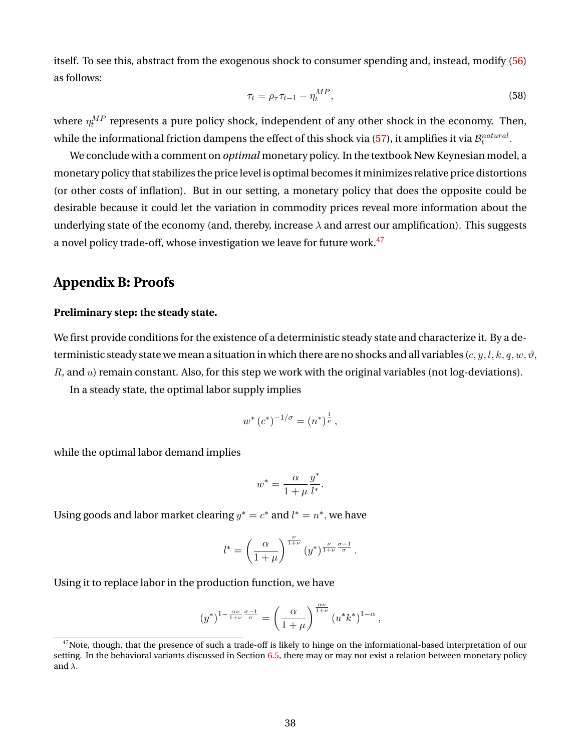itself. To see this, abstract from the exogenous shock to consumer spending and, instead, modify [\(56\)](#page-37-1) as follows:

$$
\tau_t = \rho_\tau \tau_{t-1} - \eta_t^{MP},\tag{58}
$$

where  $\eta_t^{MP}$  represents a pure policy shock, independent of any other shock in the economy. Then, while the informational friction dampens the effect of this shock via [\(57\)](#page-37-2), it amplifies it via  $\mathcal{B}_t^{natural}$ .

We conclude with a comment on *optimal* monetary policy. In the textbook New Keynesian model, a monetary policy that stabilizes the price level is optimal becomes it minimizes relative price distortions (or other costs of inflation). But in our setting, a monetary policy that does the opposite could be desirable because it could let the variation in commodity prices reveal more information about the underlying state of the economy (and, thereby, increase  $\lambda$  and arrest our amplification). This suggests a novel policy trade-off, whose investigation we leave for future work.<sup>[47](#page-38-0)</sup>

# **Appendix B: Proofs**

### **Preliminary step: the steady state.**

We first provide conditions for the existence of a deterministic steady state and characterize it. By a deterministic steady state we mean a situation in which there are no shocks and all variables  $(c, y, l, k, q, w, \vartheta,$  $R$ , and  $u$ ) remain constant. Also, for this step we work with the original variables (not log-deviations).

In a steady state, the optimal labor supply implies

$$
w^* (c^*)^{-1/\sigma} = (n^*)^{\frac{1}{\nu}},
$$

while the optimal labor demand implies

$$
w^* = \frac{\alpha}{1+\mu} \frac{y^*}{l^*}.
$$

Using goods and labor market clearing  $y^* = c^*$  and  $l^* = n^*$ , we have

$$
l^* = \left(\frac{\alpha}{1+\mu}\right)^{\frac{\nu}{1+\nu}} (y^*)^{\frac{\nu}{1+\nu}\frac{\sigma-1}{\sigma}}.
$$

Using it to replace labor in the production function, we have

$$
(y^*)^{1-\frac{\alpha\nu}{1+\nu}\frac{\sigma-1}{\sigma}}=\left(\frac{\alpha}{1+\mu}\right)^{\frac{\alpha\nu}{1+\nu}}(u^*k^*)^{1-\alpha}\,,
$$

<span id="page-38-0"></span> $47$ Note, though, that the presence of such a trade-off is likely to hinge on the informational-based interpretation of our setting. In the behavioral variants discussed in Section [6.5,](#page-31-0) there may or may not exist a relation between monetary policy and  $\lambda$ .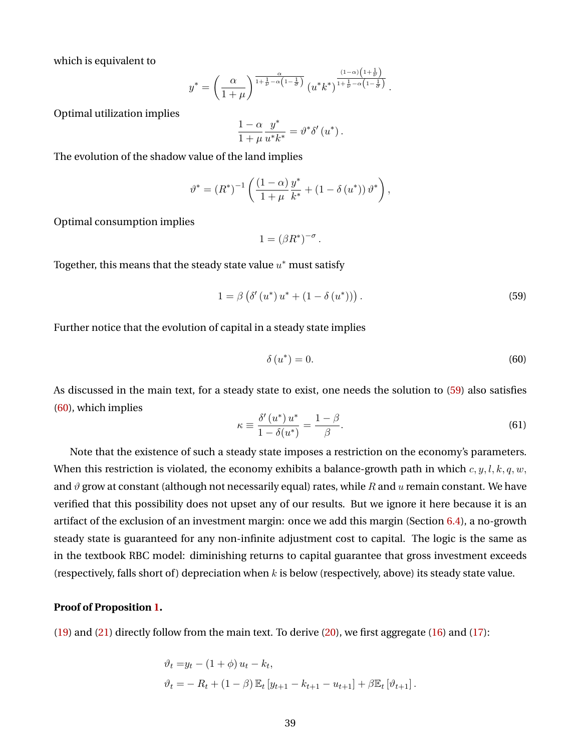which is equivalent to

$$
y^* = \left(\frac{\alpha}{1+\mu}\right)^{\frac{\alpha}{1+\frac{1}{\nu}-\alpha\left(1-\frac{1}{\sigma}\right)}} \left(u^*k^*\right)^{\frac{(1-\alpha)\left(1+\frac{1}{\nu}\right)}{1+\frac{1}{\nu}-\alpha\left(1-\frac{1}{\sigma}\right)}}.
$$

Optimal utilization implies

$$
\frac{1-\alpha}{1+\mu}\frac{y^*}{u^*k^*}=\vartheta^*\delta'\left(u^*\right).
$$

The evolution of the shadow value of the land implies

$$
\vartheta^* = (R^*)^{-1} \left( \frac{(1-\alpha)}{1+\mu} \frac{y^*}{k^*} + (1-\delta(u^*)) \vartheta^* \right),
$$

Optimal consumption implies

$$
1 = (\beta R^*)^{-\sigma}
$$

.

Together, this means that the steady state value  $u^*$  must satisfy

<span id="page-39-0"></span>
$$
1 = \beta \left( \delta'(u^*) u^* + (1 - \delta(u^*)) \right). \tag{59}
$$

Further notice that the evolution of capital in a steady state implies

<span id="page-39-1"></span>
$$
\delta\left(u^*\right) = 0.\tag{60}
$$

As discussed in the main text, for a steady state to exist, one needs the solution to [\(59\)](#page-39-0) also satisfies [\(60\)](#page-39-1), which implies

<span id="page-39-2"></span>
$$
\kappa \equiv \frac{\delta'(u^*) u^*}{1 - \delta(u^*)} = \frac{1 - \beta}{\beta}.
$$
\n(61)

Note that the existence of such a steady state imposes a restriction on the economy's parameters. When this restriction is violated, the economy exhibits a balance-growth path in which  $c, y, l, k, q, w$ , and  $\vartheta$  grow at constant (although not necessarily equal) rates, while R and u remain constant. We have verified that this possibility does not upset any of our results. But we ignore it here because it is an artifact of the exclusion of an investment margin: once we add this margin (Section [6.4\)](#page-29-0), a no-growth steady state is guaranteed for any non-infinite adjustment cost to capital. The logic is the same as in the textbook RBC model: diminishing returns to capital guarantee that gross investment exceeds (respectively, falls short of) depreciation when  $k$  is below (respectively, above) its steady state value.

### **Proof of Proposition [1.](#page-12-0)**

 $(19)$  and  $(21)$  directly follow from the main text. To derive  $(20)$ , we first aggregate  $(16)$  and  $(17)$ :

$$
\vartheta_t = y_t - (1 + \phi) u_t - k_t,
$$
  

$$
\vartheta_t = -R_t + (1 - \beta) \mathbb{E}_t [y_{t+1} - k_{t+1} - u_{t+1}] + \beta \mathbb{E}_t [\vartheta_{t+1}].
$$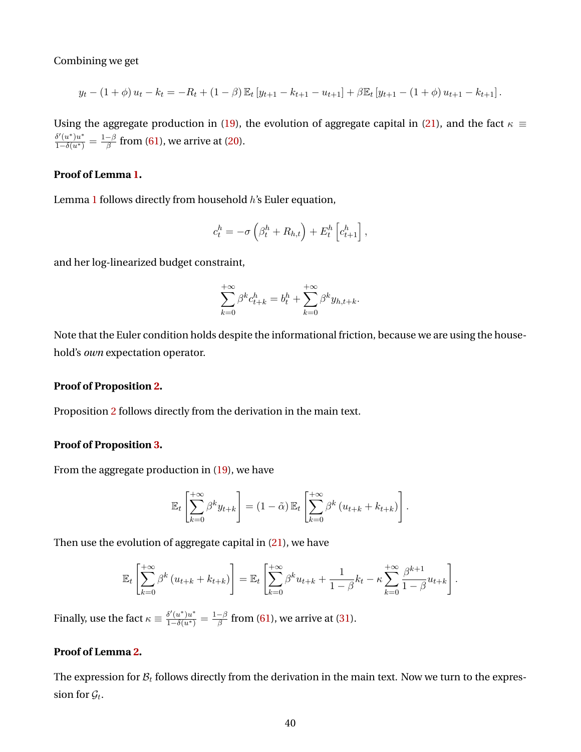Combining we get

$$
y_{t} - (1 + \phi) u_{t} - k_{t} = -R_{t} + (1 - \beta) \mathbb{E}_{t} \left[ y_{t+1} - k_{t+1} - u_{t+1} \right] + \beta \mathbb{E}_{t} \left[ y_{t+1} - (1 + \phi) u_{t+1} - k_{t+1} \right].
$$

Using the aggregate production in [\(19\)](#page-12-3), the evolution of aggregate capital in [\(21\)](#page-12-4), and the fact  $\kappa \equiv$  $\frac{\delta'(u^*)u^*}{1-\delta(u^*)} = \frac{1-\beta}{\beta}$  $\frac{-\beta}{\beta}$  from [\(61\)](#page-39-2), we arrive at [\(20\)](#page-12-5).

### **Proof of Lemma [1.](#page-13-2)**

Lemma [1](#page-13-2) follows directly from household h's Euler equation,

$$
c_t^h = -\sigma \left(\beta_t^h + R_{h,t}\right) + E_t^h \left[c_{t+1}^h\right],
$$

and her log-linearized budget constraint,

$$
\sum_{k=0}^{+\infty} \beta^k c_{t+k}^h = b_t^h + \sum_{k=0}^{+\infty} \beta^k y_{h,t+k}.
$$

Note that the Euler condition holds despite the informational friction, because we are using the household's *own* expectation operator.

### **Proof of Proposition [2.](#page-14-0)**

Proposition [2](#page-14-0) follows directly from the derivation in the main text.

### **Proof of Proposition [3.](#page-15-1)**

From the aggregate production in [\(19\)](#page-12-3), we have

$$
\mathbb{E}_{t}\left[\sum_{k=0}^{+\infty}\beta^{k}y_{t+k}\right] = (1-\tilde{\alpha})\,\mathbb{E}_{t}\left[\sum_{k=0}^{+\infty}\beta^{k}\left(u_{t+k}+k_{t+k}\right)\right].
$$

Then use the evolution of aggregate capital in [\(21\)](#page-12-4), we have

$$
\mathbb{E}_t\left[\sum_{k=0}^{+\infty}\beta^k\left(u_{t+k}+k_{t+k}\right)\right]=\mathbb{E}_t\left[\sum_{k=0}^{+\infty}\beta^k u_{t+k}+\frac{1}{1-\beta}k_t-\kappa\sum_{k=0}^{+\infty}\frac{\beta^{k+1}}{1-\beta}u_{t+k}\right].
$$

Finally, use the fact  $\kappa\equiv\frac{\delta'(u^*)u^*}{1-\delta(u^*)}=\frac{1-\beta}{\beta}$  $\frac{-\beta}{\beta}$  from [\(61\)](#page-39-2), we arrive at [\(31\)](#page-15-3).

### **Proof of Lemma [2.](#page-16-1)**

The expression for  $B_t$  follows directly from the derivation in the main text. Now we turn to the expression for  $\mathcal{G}_t$ .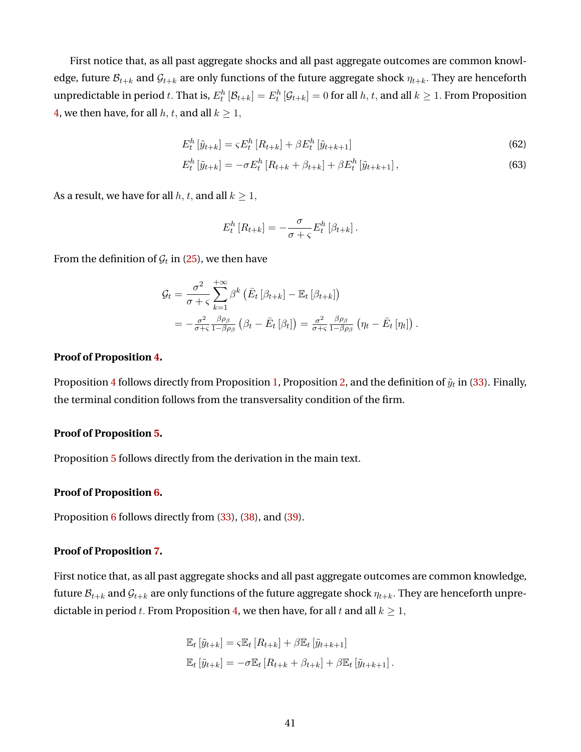First notice that, as all past aggregate shocks and all past aggregate outcomes are common knowledge, future  $\mathcal{B}_{t+k}$  and  $\mathcal{G}_{t+k}$  are only functions of the future aggregate shock  $\eta_{t+k}$ . They are henceforth unpredictable in period  $t.$  That is,  $E_t^h$   $[\mathcal{B}_{t+k}]=E_t^h$   $[\mathcal{G}_{t+k}]=0$  for all  $h,t,$  and all  $k\geq 1.$  From Proposition [4,](#page-17-4) we then have, for all  $h, t$ , and all  $k \geq 1$ ,

$$
E_t^h \left[ \tilde{y}_{t+k} \right] = \varsigma E_t^h \left[ R_{t+k} \right] + \beta E_t^h \left[ \tilde{y}_{t+k+1} \right] \tag{62}
$$

$$
E_t^h \left[ \tilde{y}_{t+k} \right] = -\sigma E_t^h \left[ R_{t+k} + \beta_{t+k} \right] + \beta E_t^h \left[ \tilde{y}_{t+k+1} \right], \tag{63}
$$

As a result, we have for all  $h, t$ , and all  $k \geq 1$ ,

<span id="page-41-1"></span><span id="page-41-0"></span>
$$
E_t^h [R_{t+k}] = -\frac{\sigma}{\sigma + \varsigma} E_t^h [\beta_{t+k}].
$$

From the definition of  $\mathcal{G}_t$  in [\(25\)](#page-14-2), we then have

$$
\mathcal{G}_{t} = \frac{\sigma^{2}}{\sigma + \varsigma} \sum_{k=1}^{+\infty} \beta^{k} \left( \bar{E}_{t} \left[ \beta_{t+k} \right] - \mathbb{E}_{t} \left[ \beta_{t+k} \right] \right)
$$

$$
= -\frac{\sigma^{2}}{\sigma + \varsigma} \frac{\beta \rho_{\beta}}{1 - \beta \rho_{\beta}} \left( \beta_{t} - \bar{E}_{t} \left[ \beta_{t} \right] \right) = \frac{\sigma^{2}}{\sigma + \varsigma} \frac{\beta \rho_{\beta}}{1 - \beta \rho_{\beta}} \left( \eta_{t} - \bar{E}_{t} \left[ \eta_{t} \right] \right).
$$

### **Proof of Proposition [4.](#page-17-4)**

Proposition [4](#page-17-4) follows directly from Proposition [1,](#page-12-0) Proposition [2,](#page-14-0) and the definition of  $\tilde y_t$  in [\(33\)](#page-17-5). Finally, the terminal condition follows from the transversality condition of the firm.

### **Proof of Proposition [5.](#page-18-3)**

Proposition [5](#page-18-3) follows directly from the derivation in the main text.

#### **Proof of Proposition [6.](#page-19-1)**

Proposition [6](#page-19-1) follows directly from [\(33\)](#page-17-5), [\(38\)](#page-19-2), and [\(39\)](#page-19-3).

#### **Proof of Proposition [7.](#page-20-2)**

First notice that, as all past aggregate shocks and all past aggregate outcomes are common knowledge, future  $\mathcal{B}_{t+k}$  and  $\mathcal{G}_{t+k}$  are only functions of the future aggregate shock  $\eta_{t+k}$ . They are henceforth unpre-dictable in period t. From Proposition [4,](#page-17-4) we then have, for all t and all  $k \geq 1$ ,

$$
\mathbb{E}_t \left[ \tilde{y}_{t+k} \right] = \varsigma \mathbb{E}_t \left[ R_{t+k} \right] + \beta \mathbb{E}_t \left[ \tilde{y}_{t+k+1} \right]
$$
  

$$
\mathbb{E}_t \left[ \tilde{y}_{t+k} \right] = -\sigma \mathbb{E}_t \left[ R_{t+k} + \beta_{t+k} \right] + \beta \mathbb{E}_t \left[ \tilde{y}_{t+k+1} \right].
$$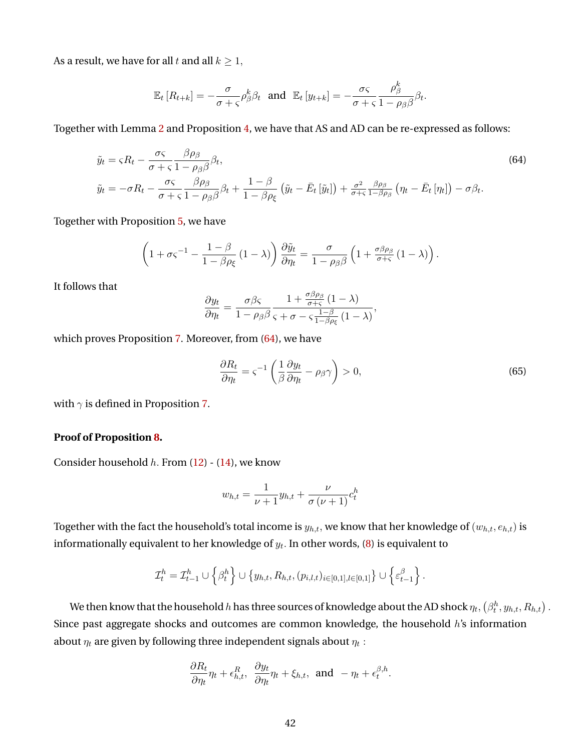As a result, we have for all t and all  $k \geq 1$ ,

$$
\mathbb{E}_t [R_{t+k}] = -\frac{\sigma}{\sigma + \varsigma} \rho_{\beta}^k \beta_t \text{ and } \mathbb{E}_t [y_{t+k}] = -\frac{\sigma \varsigma}{\sigma + \varsigma} \frac{\rho_{\beta}^k}{1 - \rho_{\beta} \beta} \beta_t.
$$

Together with Lemma [2](#page-16-1) and Proposition [4,](#page-17-4) we have that AS and AD can be re-expressed as follows:

$$
\tilde{y}_t = \varsigma R_t - \frac{\sigma \varsigma}{\sigma + \varsigma} \frac{\beta \rho_\beta}{1 - \rho_\beta \beta} \beta_t, \tag{64}
$$
\n
$$
\tilde{y}_t = -\sigma R_t - \frac{\sigma \varsigma}{\sigma + \varsigma} \frac{\beta \rho_\beta}{1 - \rho_\beta \beta} \beta_t + \frac{1 - \beta}{1 - \beta \rho_\xi} \left( \tilde{y}_t - \bar{E}_t \left[ \tilde{y}_t \right] \right) + \frac{\sigma^2}{\sigma + \varsigma} \frac{\beta \rho_\beta}{1 - \beta \rho_\beta} \left( \eta_t - \bar{E}_t \left[ \eta_t \right] \right) - \sigma \beta_t.
$$

Together with Proposition [5,](#page-18-3) we have

$$
\left(1+\sigma\varsigma^{-1}-\frac{1-\beta}{1-\beta\rho_{\xi}}\left(1-\lambda\right)\right)\frac{\partial\tilde{y}_{t}}{\partial\eta_{t}}=\frac{\sigma}{1-\rho_{\beta}\beta}\left(1+\frac{\sigma\beta\rho_{\beta}}{\sigma+\varsigma}\left(1-\lambda\right)\right).
$$

It follows that

<span id="page-42-0"></span>
$$
\frac{\partial y_t}{\partial \eta_t} = \frac{\sigma \beta \varsigma}{1 - \rho_\beta \beta} \frac{1 + \frac{\sigma \beta \rho_\beta}{\sigma + \varsigma} (1 - \lambda)}{\varsigma + \sigma - \varsigma \frac{1 - \beta}{1 - \beta \rho_\varsigma} (1 - \lambda)},
$$

which proves Proposition [7.](#page-20-2) Moreover, from [\(64\)](#page-42-0), we have

<span id="page-42-1"></span>
$$
\frac{\partial R_t}{\partial \eta_t} = \varsigma^{-1} \left( \frac{1}{\beta} \frac{\partial y_t}{\partial \eta_t} - \rho_\beta \gamma \right) > 0,\tag{65}
$$

with  $\gamma$  is defined in Proposition [7.](#page-20-2)

### **Proof of Proposition [8.](#page-22-1)**

Consider household  $h$ . From [\(12\)](#page-10-3) - [\(14\)](#page-11-5), we know

$$
w_{h,t} = \frac{1}{\nu + 1} y_{h,t} + \frac{\nu}{\sigma(\nu + 1)} c_t^h
$$

Together with the fact the household's total income is  $y_{h,t}$ , we know that her knowledge of  $(w_{h,t}, e_{h,t})$  is informationally equivalent to her knowledge of  $y_t.$  In other words, [\(8\)](#page-9-2) is equivalent to

$$
\mathcal{I}_t^h = \mathcal{I}_{t-1}^h \cup \left\{ \beta_t^h \right\} \cup \left\{ y_{h,t}, R_{h,t}, (p_{i,l,t})_{i \in [0,1], l \in [0,1]} \right\} \cup \left\{ \varepsilon_{t-1}^\beta \right\}.
$$

We then know that the household  $h$  has three sources of knowledge about the AD shock  $\eta_t, (\beta^h_t,y_{h,t},R_{h,t})$  . Since past aggregate shocks and outcomes are common knowledge, the household  $h$ 's information about  $\eta_t$  are given by following three independent signals about  $\eta_t$  :

$$
\frac{\partial R_t}{\partial \eta_t} \eta_t + \epsilon_{h,t}^R, \ \ \frac{\partial y_t}{\partial \eta_t} \eta_t + \xi_{h,t}, \ \ \text{and} \ \ -\eta_t + \epsilon_t^{\beta,h}.
$$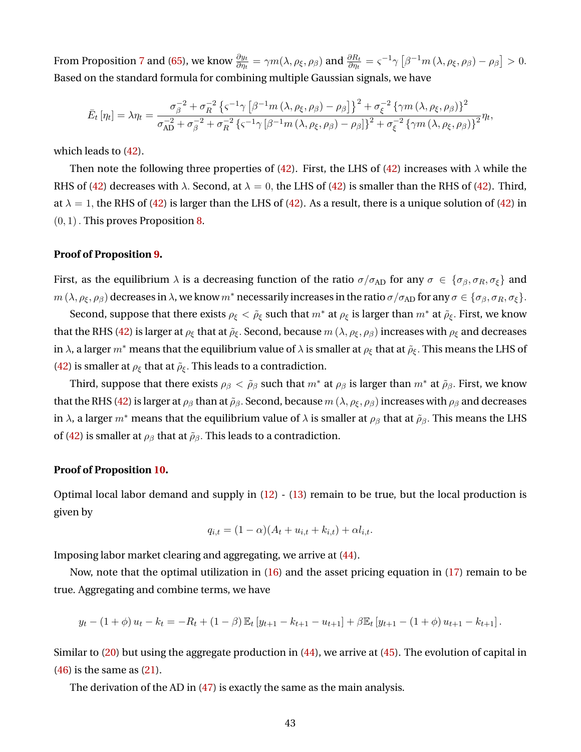From Proposition [7](#page-20-2) and [\(65\)](#page-42-1), we know  $\frac{\partial y_t}{\partial \eta_t} = \gamma m(\lambda, \rho_\xi, \rho_\beta)$  and  $\frac{\partial R_t}{\partial \eta_t} = \varsigma^{-1} \gamma \left[\beta^{-1} m\left(\lambda, \rho_\xi, \rho_\beta\right) - \rho_\beta\right] > 0.$ Based on the standard formula for combining multiple Gaussian signals, we have

$$
\bar{E}_{t}\left[\eta_{t}\right] = \lambda\eta_{t} = \frac{\sigma_{\beta}^{-2} + \sigma_{R}^{-2}\left\{\varsigma^{-1}\gamma\left[\beta^{-1}m\left(\lambda,\rho_{\xi},\rho_{\beta}\right) - \rho_{\beta}\right]\right\}^{2} + \sigma_{\xi}^{-2}\left\{\gamma m\left(\lambda,\rho_{\xi},\rho_{\beta}\right)\right\}^{2}}{\sigma_{AD}^{-2} + \sigma_{\beta}^{-2} + \sigma_{R}^{-2}\left\{\varsigma^{-1}\gamma\left[\beta^{-1}m\left(\lambda,\rho_{\xi},\rho_{\beta}\right) - \rho_{\beta}\right]\right\}^{2} + \sigma_{\xi}^{-2}\left\{\gamma m\left(\lambda,\rho_{\xi},\rho_{\beta}\right)\right\}^{2}}\eta_{t},
$$

which leads to [\(42\)](#page-22-0).

Then note the following three properties of [\(42\)](#page-22-0). First, the LHS of (42) increases with  $\lambda$  while the RHS of [\(42\)](#page-22-0) decreases with  $\lambda$ . Second, at  $\lambda = 0$ , the LHS of (42) is smaller than the RHS of (42). Third, at  $\lambda = 1$ , the RHS of [\(42\)](#page-22-0) is larger than the LHS of (42). As a result, there is a unique solution of (42) in  $(0, 1)$ . This proves Proposition [8.](#page-22-1)

#### **Proof of Proposition [9.](#page-23-1)**

First, as the equilibrium  $\lambda$  is a decreasing function of the ratio  $\sigma/\sigma_{AD}$  for any  $\sigma \in \{\sigma_\beta, \sigma_R, \sigma_\xi\}$  and  $m(\lambda, \rho_{\xi}, \rho_{\beta})$  decreases in  $\lambda$ , we know  $m^*$  necessarily increases in the ratio  $\sigma/\sigma_{AD}$  for any  $\sigma \in {\sigma_{\beta}, \sigma_R, \sigma_{\xi}}$ .

Second, suppose that there exists  $\rho_{\xi} < \tilde{\rho}_{\xi}$  such that  $m^*$  at  $\rho_{\xi}$  is larger than  $m^*$  at  $\tilde{\rho}_{\xi}$ . First, we know that the RHS [\(42\)](#page-22-0) is larger at  $\rho_\xi$  that at  $\tilde{\rho}_\xi$ . Second, because  $m(\lambda, \rho_\xi, \rho_\beta)$  increases with  $\rho_\xi$  and decreases in  $\lambda$ , a larger  $m^*$  means that the equilibrium value of  $\lambda$  is smaller at  $\rho_{\xi}$  that at  $\tilde{\rho}_{\xi}$ . This means the LHS of [\(42\)](#page-22-0) is smaller at  $\rho_{\xi}$  that at  $\tilde{\rho}_{\xi}$ . This leads to a contradiction.

Third, suppose that there exists  $\rho_\beta < \tilde{\rho}_\beta$  such that  $m^*$  at  $\rho_\beta$  is larger than  $m^*$  at  $\tilde{\rho}_\beta$ . First, we know that the RHS [\(42\)](#page-22-0) is larger at  $\rho_\beta$  than at  $\tilde{\rho}_\beta$ . Second, because  $m(\lambda, \rho_\xi, \rho_\beta)$  increases with  $\rho_\beta$  and decreases in  $\lambda$ , a larger  $m^*$  means that the equilibrium value of  $\lambda$  is smaller at  $\rho_\beta$  that at  $\tilde{\rho}_\beta$ . This means the LHS of [\(42\)](#page-22-0) is smaller at  $\rho_\beta$  that at  $\tilde{\rho}_\beta$ . This leads to a contradiction.

### **Proof of Proposition [10.](#page-24-4)**

Optimal local labor demand and supply in [\(12\)](#page-10-3) - [\(13\)](#page-10-5) remain to be true, but the local production is given by

$$
q_{i,t} = (1 - \alpha)(A_t + u_{i,t} + k_{i,t}) + \alpha l_{i,t}.
$$

Imposing labor market clearing and aggregating, we arrive at [\(44\)](#page-24-1).

Now, note that the optimal utilization in [\(16\)](#page-11-2) and the asset pricing equation in [\(17\)](#page-11-3) remain to be true. Aggregating and combine terms, we have

$$
y_{t} - (1 + \phi) u_{t} - k_{t} = -R_{t} + (1 - \beta) \mathbb{E}_{t} \left[ y_{t+1} - k_{t+1} - u_{t+1} \right] + \beta \mathbb{E}_{t} \left[ y_{t+1} - (1 + \phi) u_{t+1} - k_{t+1} \right].
$$

Similar to [\(20\)](#page-12-5) but using the aggregate production in [\(44\)](#page-24-1), we arrive at [\(45\)](#page-24-2). The evolution of capital in [\(46\)](#page-24-5) is the same as [\(21\)](#page-12-4).

The derivation of the AD in [\(47\)](#page-24-6) is exactly the same as the main analysis.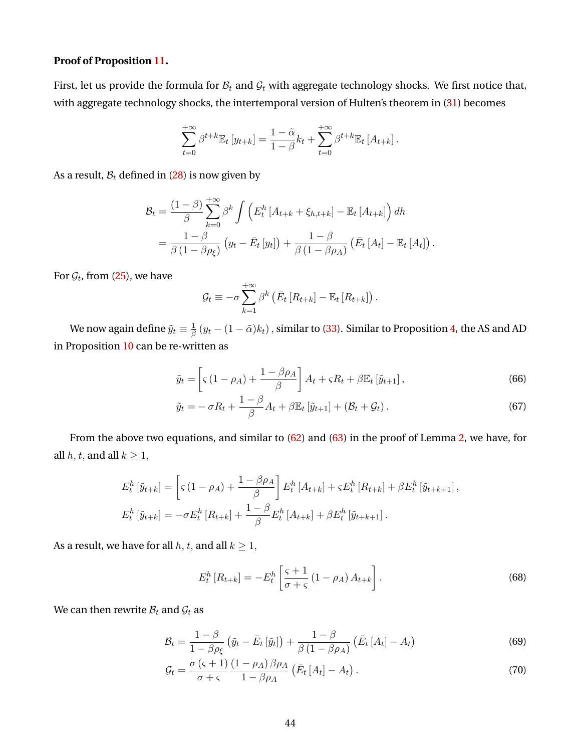### **Proof of Proposition [11.](#page-25-1)**

First, let us provide the formula for  $B_t$  and  $G_t$  with aggregate technology shocks. We first notice that, with aggregate technology shocks, the intertemporal version of Hulten's theorem in [\(31\)](#page-15-3) becomes

$$
\sum_{t=0}^{+\infty} \beta^{t+k} \mathbb{E}_t \left[ y_{t+k} \right] = \frac{1-\tilde{\alpha}}{1-\beta} k_t + \sum_{t=0}^{+\infty} \beta^{t+k} \mathbb{E}_t \left[ A_{t+k} \right].
$$

As a result,  $B_t$  defined in [\(28\)](#page-14-3) is now given by

$$
\mathcal{B}_{t} = \frac{(1-\beta)}{\beta} \sum_{k=0}^{+\infty} \beta^{k} \int \left( E_{t}^{h} \left[ A_{t+k} + \xi_{h,t+k} \right] - \mathbb{E}_{t} \left[ A_{t+k} \right] \right) dh
$$
  
= 
$$
\frac{1-\beta}{\beta \left( 1 - \beta \rho_{\xi} \right)} \left( y_{t} - \bar{E}_{t} \left[ y_{t} \right] \right) + \frac{1-\beta}{\beta \left( 1 - \beta \rho_{A} \right)} \left( \bar{E}_{t} \left[ A_{t} \right] - \mathbb{E}_{t} \left[ A_{t} \right] \right).
$$

For  $\mathcal{G}_t$ , from [\(25\)](#page-14-2), we have

<span id="page-44-2"></span><span id="page-44-1"></span>
$$
\mathcal{G}_t \equiv -\sigma \sum_{k=1}^{+\infty} \beta^k \left( \bar{E}_t \left[ R_{t+k} \right] - \mathbb{E}_t \left[ R_{t+k} \right] \right).
$$

We now again define  $\tilde{y}_t \equiv \frac{1}{\beta}$  $\frac{1}{\beta}\left(y_t-(1-\tilde{\alpha})k_t\right),$  similar to  $(33)$ . Similar to Proposition [4,](#page-17-4) the AS and AD in Proposition [10](#page-24-4) can be re-written as

$$
\tilde{y}_t = \left[ \varsigma \left( 1 - \rho_A \right) + \frac{1 - \beta \rho_A}{\beta} \right] A_t + \varsigma R_t + \beta \mathbb{E}_t \left[ \tilde{y}_{t+1} \right],\tag{66}
$$

$$
\tilde{y}_t = -\sigma R_t + \frac{1-\beta}{\beta} A_t + \beta \mathbb{E}_t \left[ \tilde{y}_{t+1} \right] + (\mathcal{B}_t + \mathcal{G}_t).
$$
\n(67)

From the above two equations, and similar to [\(62\)](#page-41-0) and [\(63\)](#page-41-1) in the proof of Lemma [2,](#page-16-1) we have, for all  $h, t$ , and all  $k \geq 1$ ,

$$
E_t^h [\tilde{y}_{t+k}] = \left[ \varsigma (1 - \rho_A) + \frac{1 - \beta \rho_A}{\beta} \right] E_t^h [A_{t+k}] + \varsigma E_t^h [R_{t+k}] + \beta E_t^h [\tilde{y}_{t+k+1}],
$$
  

$$
E_t^h [\tilde{y}_{t+k}] = -\sigma E_t^h [R_{t+k}] + \frac{1 - \beta}{\beta} E_t^h [A_{t+k}] + \beta E_t^h [\tilde{y}_{t+k+1}].
$$

As a result, we have for all  $h, t$ , and all  $k \geq 1$ ,

<span id="page-44-4"></span><span id="page-44-3"></span><span id="page-44-0"></span>
$$
E_t^h [R_{t+k}] = -E_t^h \left[ \frac{\varsigma + 1}{\sigma + \varsigma} (1 - \rho_A) A_{t+k} \right].
$$
 (68)

We can then rewrite  $\mathcal{B}_t$  and  $\mathcal{G}_t$  as

$$
\mathcal{B}_{t} = \frac{1-\beta}{1-\beta\rho_{\xi}}\left(\tilde{y}_{t} - \bar{E}_{t}\left[\tilde{y}_{t}\right]\right) + \frac{1-\beta}{\beta\left(1-\beta\rho_{A}\right)}\left(\bar{E}_{t}\left[A_{t}\right] - A_{t}\right)
$$
\n(69)

$$
\mathcal{G}_t = \frac{\sigma\left(\varsigma + 1\right)}{\sigma + \varsigma} \frac{\left(1 - \rho_A\right)\beta\rho_A}{1 - \beta\rho_A} \left(\bar{E}_t\left[A_t\right] - A_t\right). \tag{70}
$$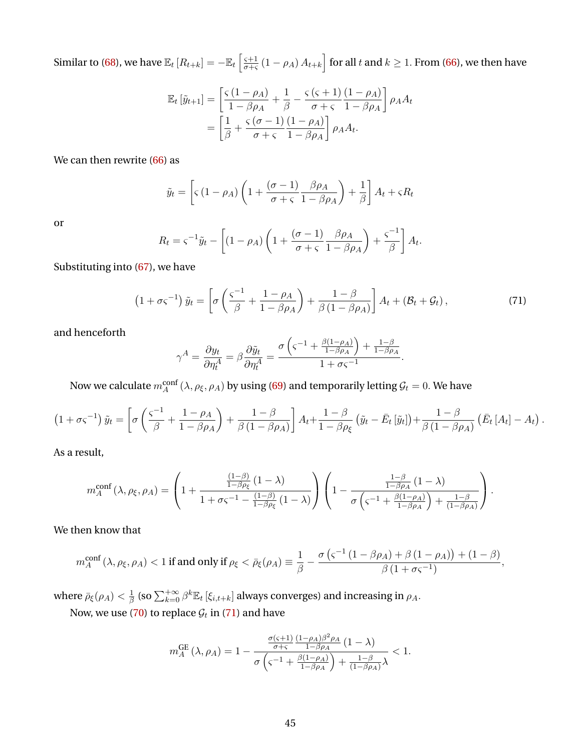Similar to [\(68\)](#page-44-0), we have  $\mathbb{E}_t\left[R_{t+k}\right]=-\mathbb{E}_t\left[\frac{\varsigma+1}{\sigma+\varsigma}\right]$  $\left[\frac{d-1}{d-1}\left(1-\rho_{A}\right)A_{t+k}\right]$  for all  $t$  and  $k\geq1.$  From [\(66\)](#page-44-1), we then have

$$
\mathbb{E}_{t} \left[ \tilde{y}_{t+1} \right] = \left[ \frac{\varsigma \left( 1 - \rho_{A} \right)}{1 - \beta \rho_{A}} + \frac{1}{\beta} - \frac{\varsigma \left( \varsigma + 1 \right)}{\sigma + \varsigma} \frac{\left( 1 - \rho_{A} \right)}{1 - \beta \rho_{A}} \right] \rho_{A} A_{t}
$$
\n
$$
= \left[ \frac{1}{\beta} + \frac{\varsigma \left( \sigma - 1 \right)}{\sigma + \varsigma} \frac{\left( 1 - \rho_{A} \right)}{1 - \beta \rho_{A}} \right] \rho_{A} A_{t}.
$$

We can then rewrite [\(66\)](#page-44-1) as

$$
\tilde{y}_t = \left[ \varsigma \left( 1 - \rho_A \right) \left( 1 + \frac{(\sigma - 1)}{\sigma + \varsigma} \frac{\beta \rho_A}{1 - \beta \rho_A} \right) + \frac{1}{\beta} \right] A_t + \varsigma R_t
$$

or

$$
R_t = \varsigma^{-1} \tilde{y}_t - \left[ (1 - \rho_A) \left( 1 + \frac{(\sigma - 1)}{\sigma + \varsigma} \frac{\beta \rho_A}{1 - \beta \rho_A} \right) + \frac{\varsigma^{-1}}{\beta} \right] A_t.
$$

Substituting into [\(67\)](#page-44-2), we have

<span id="page-45-0"></span>
$$
\left(1+\sigma\varsigma^{-1}\right)\tilde{y}_t = \left[\sigma\left(\frac{\varsigma^{-1}}{\beta} + \frac{1-\rho_A}{1-\beta\rho_A}\right) + \frac{1-\beta}{\beta\left(1-\beta\rho_A\right)}\right]A_t + \left(\mathcal{B}_t + \mathcal{G}_t\right),\tag{71}
$$

.

and henceforth

$$
\gamma^A = \frac{\partial y_t}{\partial \eta_t^A} = \beta \frac{\partial \tilde{y}_t}{\partial \eta_t^A} = \frac{\sigma \left( \varsigma^{-1} + \frac{\beta (1 - \rho_A)}{1 - \beta \rho_A} \right) + \frac{1 - \beta}{1 - \beta \rho_A}}{1 + \sigma \varsigma^{-1}}.
$$

Now we calculate  $m_A^{\rm conf}(\lambda,\rho_\xi,\rho_A)$  by using [\(69\)](#page-44-3) and temporarily letting  $\mathcal{G}_t=0.$  We have

$$
(1 + \sigma\varsigma^{-1})\tilde{y}_t = \left[\sigma\left(\frac{\varsigma^{-1}}{\beta} + \frac{1 - \rho_A}{1 - \beta\rho_A}\right) + \frac{1 - \beta}{\beta(1 - \beta\rho_A)}\right]A_t + \frac{1 - \beta}{1 - \beta\rho_{\xi}}\left(\tilde{y}_t - \bar{E}_t\left[\tilde{y}_t\right]\right) + \frac{1 - \beta}{\beta(1 - \beta\rho_A)}\left(\bar{E}_t\left[A_t\right] - A_t\right)
$$

As a result,

$$
m_A^{\text{conf}}(\lambda, \rho_\xi, \rho_A) = \left(1 + \frac{\frac{(1-\beta)}{1-\beta\rho_\xi}(1-\lambda)}{1+\sigma\varsigma^{-1}-\frac{(1-\beta)}{1-\beta\rho_\xi}(1-\lambda)}\right)\left(1 - \frac{\frac{1-\beta}{1-\beta\rho_A}(1-\lambda)}{\sigma\left(\varsigma^{-1}+\frac{\beta(1-\rho_A)}{1-\beta\rho_A}\right)+\frac{1-\beta}{(1-\beta\rho_A)}}\right).
$$

We then know that

$$
m_A^{\text{conf}}\left(\lambda,\rho_{\xi},\rho_A\right) < 1 \text{ if and only if } \rho_{\xi} < \bar{\rho}_{\xi}(\rho_A) \equiv \frac{1}{\beta} - \frac{\sigma\left(\varsigma^{-1}\left(1 - \beta\rho_A\right) + \beta\left(1 - \rho_A\right)\right) + \left(1 - \beta\right)}{\beta\left(1 + \sigma\varsigma^{-1}\right)},
$$

where  $\bar{\rho}_{\xi}(\rho_{A})<\frac{1}{\beta}$  $\frac{1}{\beta}$  (so  $\sum_{k=0}^{+\infty}\beta^k\mathbb{E}_t\left[\xi_{i,t+k}\right]$  always converges) and increasing in  $\rho_A.$ 

Now, we use [\(70\)](#page-44-4) to replace  $\mathcal{G}_t$  in [\(71\)](#page-45-0) and have

$$
m_A^{\text{GE}}\left(\lambda,\rho_A\right) = 1 - \frac{\frac{\sigma(\varsigma+1)}{\sigma+\varsigma}\frac{(1-\rho_A)\beta^2\rho_A}{1-\beta\rho_A}\left(1-\lambda\right)}{\sigma\left(\varsigma^{-1} + \frac{\beta(1-\rho_A)}{1-\beta\rho_A}\right) + \frac{1-\beta}{(1-\beta\rho_A)}\lambda} < 1.
$$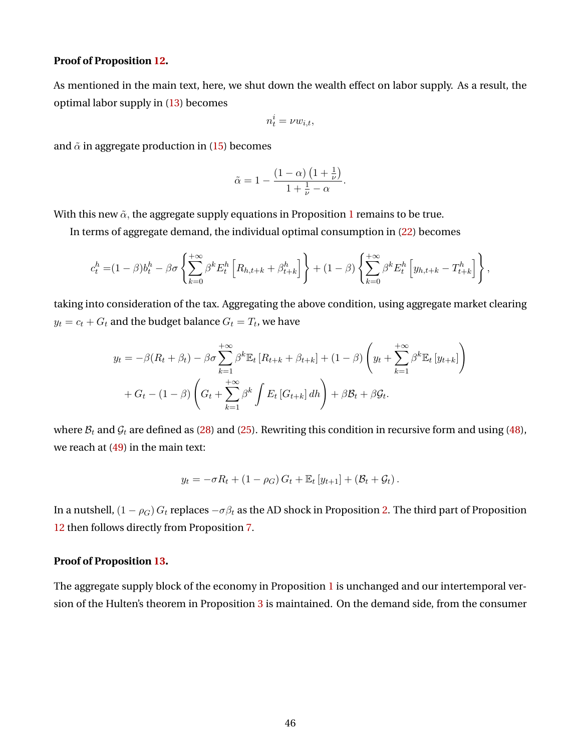### **Proof of Proposition [12.](#page-27-0)**

As mentioned in the main text, here, we shut down the wealth effect on labor supply. As a result, the optimal labor supply in [\(13\)](#page-10-5) becomes

$$
n_t^i = \nu w_{i,t},
$$

and  $\tilde{\alpha}$  in aggregate production in [\(15\)](#page-11-4) becomes

$$
\tilde{\alpha} = 1 - \frac{\left(1 - \alpha\right)\left(1 + \frac{1}{\nu}\right)}{1 + \frac{1}{\nu} - \alpha}.
$$

With this new  $\tilde{\alpha}$ , the aggregate supply equations in Proposition [1](#page-12-0) remains to be true.

In terms of aggregate demand, the individual optimal consumption in [\(22\)](#page-13-1) becomes

$$
c_t^h = (1 - \beta)b_t^h - \beta \sigma \left\{ \sum_{k=0}^{+\infty} \beta^k E_t^h \left[ R_{h,t+k} + \beta_{t+k}^h \right] \right\} + (1 - \beta) \left\{ \sum_{k=0}^{+\infty} \beta^k E_t^h \left[ y_{h,t+k} - T_{t+k}^h \right] \right\},\,
$$

taking into consideration of the tax. Aggregating the above condition, using aggregate market clearing  $y_t = c_t + G_t$  and the budget balance  $G_t = T_t$ , we have

$$
y_t = -\beta (R_t + \beta_t) - \beta \sigma \sum_{k=1}^{+\infty} \beta^k \mathbb{E}_t [R_{t+k} + \beta_{t+k}] + (1 - \beta) \left( y_t + \sum_{k=1}^{+\infty} \beta^k \mathbb{E}_t [y_{t+k}] \right)
$$

$$
+ G_t - (1 - \beta) \left( G_t + \sum_{k=1}^{+\infty} \beta^k \int E_t [G_{t+k}] dh \right) + \beta \mathcal{B}_t + \beta \mathcal{G}_t.
$$

where  $B_t$  and  $G_t$  are defined as [\(28\)](#page-14-3) and [\(25\)](#page-14-2). Rewriting this condition in recursive form and using [\(48\)](#page-26-4), we reach at [\(49\)](#page-27-1) in the main text:

$$
y_t = -\sigma R_t + (1 - \rho_G) G_t + \mathbb{E}_t [y_{t+1}] + (\mathcal{B}_t + \mathcal{G}_t).
$$

In a nutshell,  $(1 - \rho_G) G_t$  replaces  $-\sigma \beta_t$  as the AD shock in Proposition [2.](#page-14-0) The third part of Proposition [12](#page-27-0) then follows directly from Proposition [7.](#page-20-2)

### **Proof of Proposition [13.](#page-29-1)**

The aggregate supply block of the economy in Proposition [1](#page-12-0) is unchanged and our intertemporal version of the Hulten's theorem in Proposition [3](#page-15-1) is maintained. On the demand side, from the consumer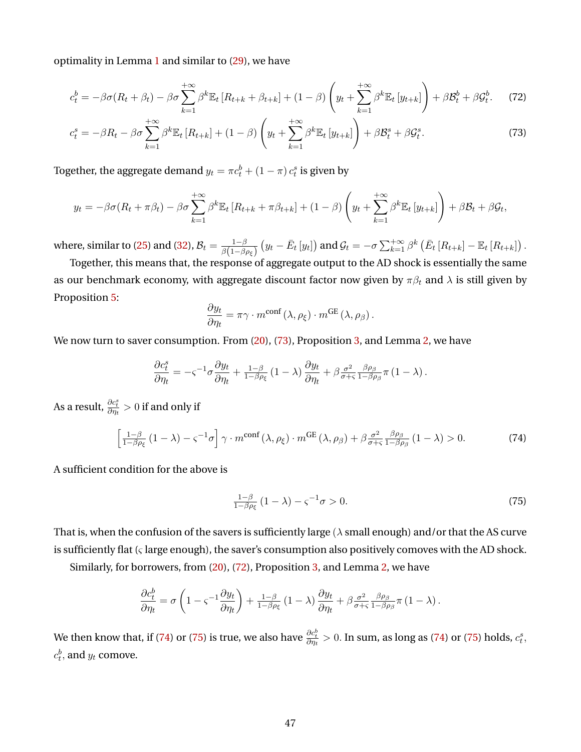optimality in Lemma  $1$  and similar to  $(29)$ , we have

$$
c_t^b = -\beta \sigma (R_t + \beta_t) - \beta \sigma \sum_{k=1}^{+\infty} \beta^k \mathbb{E}_t \left[ R_{t+k} + \beta_{t+k} \right] + (1 - \beta) \left( y_t + \sum_{k=1}^{+\infty} \beta^k \mathbb{E}_t \left[ y_{t+k} \right] \right) + \beta \mathcal{B}_t^b + \beta \mathcal{G}_t^b. \tag{72}
$$

$$
c_t^s = -\beta R_t - \beta \sigma \sum_{k=1}^{+\infty} \beta^k \mathbb{E}_t \left[ R_{t+k} \right] + (1-\beta) \left( y_t + \sum_{k=1}^{+\infty} \beta^k \mathbb{E}_t \left[ y_{t+k} \right] \right) + \beta \mathcal{B}_t^s + \beta \mathcal{G}_t^s. \tag{73}
$$

Together, the aggregate demand  $y_t = \pi c_t^b + (1 - \pi) c_t^s$  is given by

$$
y_t = -\beta \sigma (R_t + \pi \beta_t) - \beta \sigma \sum_{k=1}^{+\infty} \beta^k \mathbb{E}_t [R_{t+k} + \pi \beta_{t+k}] + (1-\beta) \left( y_t + \sum_{k=1}^{+\infty} \beta^k \mathbb{E}_t [y_{t+k}] \right) + \beta \mathcal{B}_t + \beta \mathcal{G}_t,
$$

where, similar to [\(25\)](#page-14-2) and [\(32\)](#page-16-2),  $\mathcal{B}_t = \frac{1-\beta}{\beta(1-\beta)}$  $\frac{1-\beta}{\beta(1-\beta\rho_\xi)}\left(y_t-\bar{E}_t\left[y_t\right]\right)$  and  $\mathcal{G}_t=-\sigma\sum_{k=1}^{+\infty}\beta^k\left(\bar{E}_t\left[R_{t+k}\right]-\mathbb{E}_t\left[R_{t+k}\right]\right)$  .

Together, this means that, the response of aggregate output to the AD shock is essentially the same as our benchmark economy, with aggregate discount factor now given by  $\pi \beta_t$  and  $\lambda$  is still given by Proposition [5:](#page-18-3)

<span id="page-47-1"></span><span id="page-47-0"></span>
$$
\frac{\partial y_t}{\partial \eta_t} = \pi \gamma \cdot m^{\text{conf}}(\lambda, \rho_{\xi}) \cdot m^{\text{GE}}(\lambda, \rho_{\beta}).
$$

We now turn to saver consumption. From [\(20\)](#page-12-5), [\(73\)](#page-47-0), Proposition [3,](#page-15-1) and Lemma [2,](#page-16-1) we have

$$
\frac{\partial c_t^s}{\partial \eta_t} = -\varsigma^{-1} \sigma \frac{\partial y_t}{\partial \eta_t} + \frac{1-\beta}{1-\beta \rho_\xi} (1-\lambda) \frac{\partial y_t}{\partial \eta_t} + \beta \frac{\sigma^2}{\sigma + \varsigma} \frac{\beta \rho_\beta}{1-\beta \rho_\beta} \pi (1-\lambda).
$$

As a result,  $\frac{\partial c_{t}^{s}}{\partial \eta_{t}}>0$  if and only if

<span id="page-47-2"></span>
$$
\left[\frac{1-\beta}{1-\beta\rho_{\xi}}\left(1-\lambda\right)-\varsigma^{-1}\sigma\right]\gamma \cdot m^{\text{conf}}\left(\lambda,\rho_{\xi}\right)\cdot m^{\text{GE}}\left(\lambda,\rho_{\beta}\right)+\beta\frac{\sigma^{2}}{\sigma+\varsigma}\frac{\beta\rho_{\beta}}{1-\beta\rho_{\beta}}\left(1-\lambda\right)>0.\tag{74}
$$

A sufficient condition for the above is

<span id="page-47-3"></span>
$$
\frac{1-\beta}{1-\beta\rho_{\xi}}\left(1-\lambda\right)-\varsigma^{-1}\sigma>0.\tag{75}
$$

That is, when the confusion of the savers is sufficiently large ( $\lambda$  small enough) and/or that the AS curve is sufficiently flat ( $\varsigma$  large enough), the saver's consumption also positively comoves with the AD shock.

Similarly, for borrowers, from [\(20\)](#page-12-5), [\(72\)](#page-47-1), Proposition [3,](#page-15-1) and Lemma [2,](#page-16-1) we have

$$
\frac{\partial c_t^b}{\partial \eta_t} = \sigma \left( 1 - \varsigma^{-1} \frac{\partial y_t}{\partial \eta_t} \right) + \frac{1 - \beta}{1 - \beta \rho_{\xi}} \left( 1 - \lambda \right) \frac{\partial y_t}{\partial \eta_t} + \beta \frac{\sigma^2}{\sigma + \varsigma} \frac{\beta \rho_{\beta}}{1 - \beta \rho_{\beta}} \pi \left( 1 - \lambda \right).
$$

We then know that, if [\(74\)](#page-47-2) or [\(75\)](#page-47-3) is true, we also have  $\frac{\partial c^b_t}{\partial \eta_t}>0.$  In sum, as long as (74) or (75) holds,  $c^s_t,$  $c_{t}^{b},$  and  $y_{t}$  comove.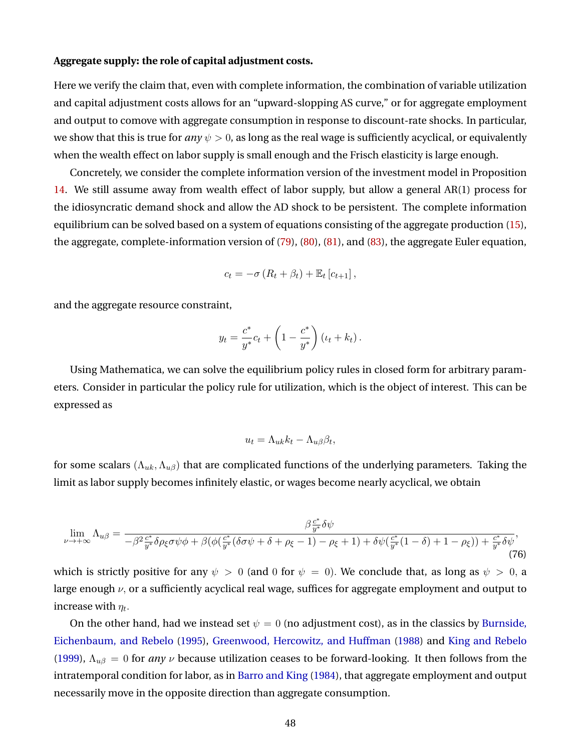#### **Aggregate supply: the role of capital adjustment costs.**

Here we verify the claim that, even with complete information, the combination of variable utilization and capital adjustment costs allows for an "upward-slopping AS curve," or for aggregate employment and output to comove with aggregate consumption in response to discount-rate shocks. In particular, we show that this is true for *any*  $\psi > 0$ , as long as the real wage is sufficiently acyclical, or equivalently when the wealth effect on labor supply is small enough and the Frisch elasticity is large enough.

Concretely, we consider the complete information version of the investment model in Proposition [14.](#page-30-0) We still assume away from wealth effect of labor supply, but allow a general AR(1) process for the idiosyncratic demand shock and allow the AD shock to be persistent. The complete information equilibrium can be solved based on a system of equations consisting of the aggregate production [\(15\)](#page-11-4), the aggregate, complete-information version of [\(79\)](#page-49-0), [\(80\)](#page-50-0), [\(81\)](#page-50-1), and [\(83\)](#page-50-2), the aggregate Euler equation,

$$
c_t = -\sigma (R_t + \beta_t) + \mathbb{E}_t [c_{t+1}],
$$

and the aggregate resource constraint,

$$
y_t = \frac{c^*}{y^*}c_t + \left(1 - \frac{c^*}{y^*}\right)(\iota_t + k_t).
$$

Using Mathematica, we can solve the equilibrium policy rules in closed form for arbitrary parameters. Consider in particular the policy rule for utilization, which is the object of interest. This can be expressed as

$$
u_t = \Lambda_{uk} k_t - \Lambda_{u\beta} \beta_t,
$$

for some scalars ( $\Lambda_{uk}, \Lambda_{u\beta}$ ) that are complicated functions of the underlying parameters. Taking the limit as labor supply becomes infinitely elastic, or wages become nearly acyclical, we obtain

$$
\lim_{\nu \to +\infty} \Lambda_{u\beta} = \frac{\beta_{y^*}^{\,c^*} \delta \psi}{-\beta^2 \frac{c^*}{y^*} \delta \rho_{\xi} \sigma \psi \phi + \beta (\phi(\frac{c^*}{y^*}(\delta \sigma \psi + \delta + \rho_{\xi} - 1) - \rho_{\xi} + 1) + \delta \psi(\frac{c^*}{y^*}(1 - \delta) + 1 - \rho_{\xi})) + \frac{c^*}{y^*} \delta \psi},\tag{76}
$$

which is strictly positive for any  $\psi > 0$  (and 0 for  $\psi = 0$ ). We conclude that, as long as  $\psi > 0$ , a large enough  $\nu$ , or a sufficiently acyclical real wage, suffices for aggregate employment and output to increase with  $\eta_t.$ 

On the other hand, had we instead set  $\psi = 0$  (no adjustment cost), as in the classics by [Burnside,](#page-57-9) [Eichenbaum, and Rebelo](#page-57-9) [\(1995\)](#page-57-9), [Greenwood, Hercowitz, and Huffman](#page-58-0) [\(1988\)](#page-58-0) and [King and Rebelo](#page-59-12) [\(1999\)](#page-59-12),  $\Lambda_{u\beta} = 0$  for *any*  $\nu$  because utilization ceases to be forward-looking. It then follows from the intratemporal condition for labor, as in [Barro and King](#page-56-8) [\(1984\)](#page-56-8), that aggregate employment and output necessarily move in the opposite direction than aggregate consumption.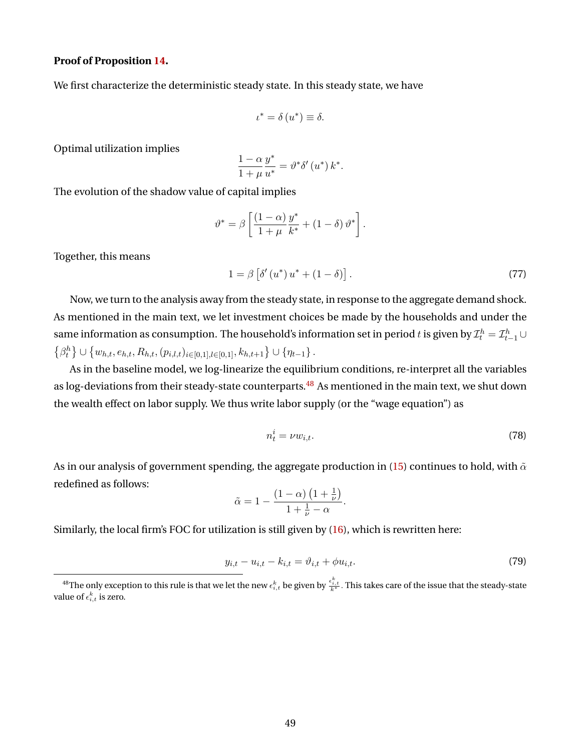### **Proof of Proposition [14.](#page-30-0)**

We first characterize the deterministic steady state. In this steady state, we have

$$
\iota ^{\ast }=\delta \left( u^{\ast }\right) \equiv \delta .
$$

Optimal utilization implies

$$
\frac{1-\alpha}{1+\mu}\frac{y^*}{u^*} = \vartheta^*\delta'\left(u^*\right)k^*.
$$

The evolution of the shadow value of capital implies

$$
\vartheta^* = \beta \left[ \frac{(1-\alpha)}{1+\mu} \frac{y^*}{k^*} + (1-\delta) \vartheta^* \right].
$$

Together, this means

<span id="page-49-2"></span>
$$
1 = \beta \left[ \delta'(u^*) u^* + (1 - \delta) \right]. \tag{77}
$$

Now, we turn to the analysis away from the steady state, in response to the aggregate demand shock. As mentioned in the main text, we let investment choices be made by the households and under the same information as consumption. The household's information set in period  $t$  is given by  $\mathcal{I}_t^h=\mathcal{I}_{t-1}^h\cup$  $\{\beta_t^h\} \cup \{w_{h,t}, e_{h,t}, R_{h,t}, (p_{i,l,t})_{i \in [0,1], l \in [0,1]}, k_{h,t+1}\} \cup \{\eta_{t-1}\}.$ 

As in the baseline model, we log-linearize the equilibrium conditions, re-interpret all the variables as log-deviations from their steady-state counterparts.<sup>[48](#page-49-1)</sup> As mentioned in the main text, we shut down the wealth effect on labor supply. We thus write labor supply (or the "wage equation") as

<span id="page-49-3"></span>
$$
n_t^i = \nu w_{i,t}.\tag{78}
$$

As in our analysis of government spending, the aggregate production in [\(15\)](#page-11-4) continues to hold, with  $\tilde{\alpha}$ redefined as follows:

$$
\tilde{\alpha} = 1 - \frac{\left(1 - \alpha\right)\left(1 + \frac{1}{\nu}\right)}{1 + \frac{1}{\nu} - \alpha}
$$

Similarly, the local firm's FOC for utilization is still given by [\(16\)](#page-11-2), which is rewritten here:

<span id="page-49-0"></span>
$$
y_{i,t} - u_{i,t} - k_{i,t} = \vartheta_{i,t} + \phi u_{i,t}.\tag{79}
$$

.

<span id="page-49-1"></span> $^{48}$ The only exception to this rule is that we let the new  $\epsilon^k_{i,t}$  be given by  $\frac{\epsilon^k_{i,t}}{k^*}$ . This takes care of the issue that the steady-state value of  $\epsilon_{i,t}^k$  is zero.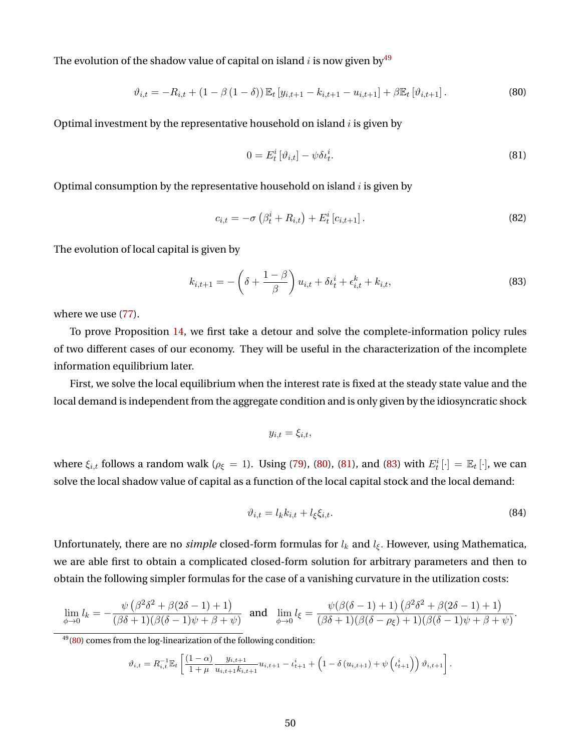The evolution of the shadow value of capital on island *i* is now given by<sup>[49](#page-50-3)</sup>

<span id="page-50-0"></span>
$$
\vartheta_{i,t} = -R_{i,t} + (1 - \beta (1 - \delta)) \mathbb{E}_t \left[ y_{i,t+1} - k_{i,t+1} - u_{i,t+1} \right] + \beta \mathbb{E}_t \left[ \vartheta_{i,t+1} \right]. \tag{80}
$$

Optimal investment by the representative household on island  $i$  is given by

<span id="page-50-1"></span>
$$
0 = E_t^i \left[ \vartheta_{i,t} \right] - \psi \delta \iota_t^i. \tag{81}
$$

Optimal consumption by the representative household on island  $i$  is given by

$$
c_{i,t} = -\sigma \left( \beta_t^i + R_{i,t} \right) + E_t^i \left[ c_{i,t+1} \right]. \tag{82}
$$

The evolution of local capital is given by

<span id="page-50-2"></span>
$$
k_{i,t+1} = -\left(\delta + \frac{1-\beta}{\beta}\right)u_{i,t} + \delta \iota_t^i + \epsilon_{i,t}^k + k_{i,t},\tag{83}
$$

where we use  $(77)$ .

To prove Proposition [14,](#page-30-0) we first take a detour and solve the complete-information policy rules of two different cases of our economy. They will be useful in the characterization of the incomplete information equilibrium later.

First, we solve the local equilibrium when the interest rate is fixed at the steady state value and the local demand is independent from the aggregate condition and is only given by the idiosyncratic shock

$$
y_{i,t} = \xi_{i,t},
$$

where  $\xi_{i,t}$  follows a random walk ( $\rho_{\xi} = 1$ ). Using [\(79\)](#page-49-0), [\(80\)](#page-50-0), [\(81\)](#page-50-1), and [\(83\)](#page-50-2) with  $E_t^i[\cdot] = \mathbb{E}_t[\cdot]$ , we can solve the local shadow value of capital as a function of the local capital stock and the local demand:

<span id="page-50-4"></span>
$$
\vartheta_{i,t} = l_k k_{i,t} + l_\xi \xi_{i,t}.\tag{84}
$$

Unfortunately, there are no *simple* closed-form formulas for  $l_k$  and  $l_{\xi}$ . However, using Mathematica, we are able first to obtain a complicated closed-form solution for arbitrary parameters and then to obtain the following simpler formulas for the case of a vanishing curvature in the utilization costs:

$$
\lim_{\phi \to 0} l_k = -\frac{\psi \left(\beta^2 \delta^2 + \beta (2\delta - 1) + 1\right)}{(\beta \delta + 1)(\beta(\delta - 1)\psi + \beta + \psi)} \text{ and } \lim_{\phi \to 0} l_{\xi} = \frac{\psi(\beta(\delta - 1) + 1)\left(\beta^2 \delta^2 + \beta (2\delta - 1) + 1\right)}{(\beta \delta + 1)(\beta(\delta - \rho_{\xi}) + 1)(\beta(\delta - 1)\psi + \beta + \psi)}.
$$

<span id="page-50-3"></span> $49(80)$  $49(80)$  comes from the log-linearization of the following condition:

$$
\vartheta_{i,t} = R_{i,t}^{-1} \mathbb{E}_t \left[ \frac{(1-\alpha)}{1+\mu} \frac{y_{i,t+1}}{u_{i,t+1}k_{i,t+1}} u_{i,t+1} - \iota_{t+1}^i + \left( 1 - \delta \left( u_{i,t+1} \right) + \psi \left( \iota_{t+1}^i \right) \right) \vartheta_{i,t+1} \right].
$$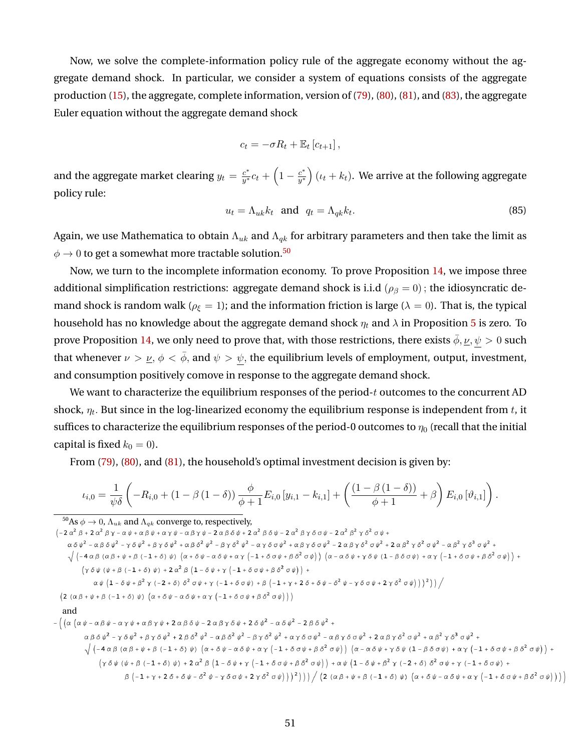Now, we solve the complete-information policy rule of the aggregate economy without the aggregate demand shock. In particular, we consider a system of equations consists of the aggregate production  $(15)$ , the aggregate, complete information, version of  $(79)$ ,  $(80)$ ,  $(81)$ , and  $(83)$ , the aggregate Euler equation without the aggregate demand shock

$$
c_t = -\sigma R_t + \mathbb{E}_t [c_{t+1}],
$$

and the aggregate market clearing  $y_t = \frac{c^*}{u^*}$  $\frac{c^*}{y^*}c_t + \left(1 - \frac{c^*}{y^*}\right)$  $\left(\frac{c^*}{y^*}\right)(\iota_t+k_t).$  We arrive at the following aggregate policy rule:

<span id="page-51-1"></span>
$$
u_t = \Lambda_{uk} k_t \quad \text{and} \quad q_t = \Lambda_{qk} k_t. \tag{85}
$$

Again, we use Mathematica to obtain  $\Lambda_{uk}$  and  $\Lambda_{dk}$  for arbitrary parameters and then take the limit as  $\phi \rightarrow 0$  to get a somewhat more tractable solution.<sup>[50](#page-51-0)</sup>

Now, we turn to the incomplete information economy. To prove Proposition [14,](#page-30-0) we impose three additional simplification restrictions: aggregate demand shock is i.i.d ( $\rho_{\beta} = 0$ ); the idiosyncratic demand shock is random walk ( $\rho_{\xi} = 1$ ); and the information friction is large ( $\lambda = 0$ ). That is, the typical household has no knowledge about the aggregate demand shock  $\eta_t$  and  $\lambda$  in Proposition [5](#page-18-3) is zero. To prove Proposition [14,](#page-30-0) we only need to prove that, with those restrictions, there exists  $\bar{\phi}, \underline{\nu}, \psi > 0$  such that whenever  $\nu > \nu$ ,  $\phi < \bar{\phi}$ , and  $\psi > \psi$ , the equilibrium levels of employment, output, investment, and consumption positively comove in response to the aggregate demand shock.

We want to characterize the equilibrium responses of the period- $t$  outcomes to the concurrent AD shock,  $\eta_t.$  But since in the log-linearized economy the equilibrium response is independent from  $t,$  it suffices to characterize the equilibrium responses of the period-0 outcomes to  $\eta_0$  (recall that the initial capital is fixed  $k_0 = 0$ ).

From [\(79\)](#page-49-0), [\(80\)](#page-50-0), and [\(81\)](#page-50-1), the household's optimal investment decision is given by:

$$
\iota_{i,0} = \frac{1}{\psi \delta} \left( -R_{i,0} + (1 - \beta (1 - \delta)) \frac{\phi}{\phi + 1} E_{i,0} \left[ y_{i,1} - k_{i,1} \right] + \left( \frac{(1 - \beta (1 - \delta))}{\phi + 1} + \beta \right) E_{i,0} \left[ \vartheta_{i,1} \right] \right).
$$

<span id="page-51-0"></span><sup>50</sup>As φ → 0,  $\Lambda_{uk}$  and  $\Lambda_{qk}$  converge to, respectively,<br>  $(-2α<sup>2</sup> β + 2α<sup>2</sup> βγ - αψ + αβψ + αγψ - αβγψ - 2αβδψ + 2α<sup>2</sup> βδψ - 2α<sup>2</sup> βγδσψ - 2α<sup>2</sup> β<sup>2</sup> γδ<sup>2</sup> σψ +$  $\alpha\delta\psi^2 - \alpha\beta\delta\psi^2 - \gamma\delta\psi^2 + \beta\gamma\delta\psi^2 + \alpha\beta\delta^2\psi^2 - \beta\gamma\delta^2\psi^2 - \alpha\gamma\delta\sigma\psi^2 + \alpha\beta\gamma\delta\sigma\psi^2 - 2\alpha\beta\gamma\delta^2\sigma\psi^2 + 2\alpha\beta^2\gamma\delta^2\sigma\psi^2 - \alpha\beta^2\gamma\delta^3\sigma\psi^2 + \alpha\beta\gamma\delta^2\sigma\psi^2 + 2\alpha\beta^2\gamma\delta^2\phi^2 + 2\alpha\beta^2\gamma\delta^2\phi^2 + 2\alpha\beta^2\gamma\delta$  $\begin{array}{l} \displaystyle \sqrt{\ \left(-4\,\alpha\,\beta\,\left(\alpha\,\beta+\psi+\beta\,\left(-1+\delta\right)\,\psi\right)\,\left(\alpha+\delta\,\psi-\alpha\,\delta\,\psi+\alpha\,\gamma\,\left(-1+\delta\,\sigma\,\psi+\beta\,\delta^2\,\sigma\,\psi\right)\right)\,\left(\alpha-\alpha\,\delta\,\psi+\gamma\,\delta\,\psi\,\left(1-\beta\,\delta\,\sigma\,\psi\right)+\alpha\,\gamma\,\left(-1+\delta\,\sigma\,\psi+\beta\,\delta^2\,\sigma\,\psi\right)\right)\right)}}\end{array} \label{eq:21}$  $\left(\gamma \delta \psi \left(\psi + \beta \left(-1 + \delta\right) \psi\right) + 2 \alpha^{2} \beta \left(1 - \delta \psi + \gamma \left(-1 + \delta \sigma \psi + \beta \delta^{2} \sigma \psi\right)\right) + \right.$  $\alpha\,\psi\,\left(1\,-\,\delta\,\psi\,+\,\beta^{\,2}\,\,\gamma\,\left(\,-\,2\,+\,\delta\right)\,\,\delta^{\,2}\,\,\sigma\,\psi\,+\,\gamma\,\left(\,-\,1\,+\,\delta\,\,\sigma\,\,\psi\right)\,\,+\,\beta\,\left(\,-\,1\,+\,\gamma\,+\,2\,\,\delta\,+\,\delta\,\,\psi\,-\,\delta^{\,2}\,\,\psi\,-\,\gamma\,\,\delta\,\,\sigma\,\,\psi\,+\,2\,\,\gamma\,\,\delta^{\,2}\,\,\sigma\,\,\psi\,\right)\,\right)\,\big/\,\right)$  $\left( \begin{array}{c|c|c|c|c|c} 2 & (\alpha\beta+\psi+\beta & (-1+\delta)\ \psi) & (\alpha+\delta\ \psi-\alpha\ \delta\ \psi+\alpha \ \gamma & (-1+\delta\ \sigma\ \psi+\beta\ \delta^2\ \sigma\ \psi \end{array} \right) \Big)$ and  $-\,\left(\,\left(\alpha\,\left(\alpha\,\psi\,-\,\alpha\,\beta\,\psi\,-\,\alpha\,\gamma\,\psi\,+\,\alpha\,\beta\,\gamma\,\psi\,+\,2\,\,\alpha\,\beta\,\delta\,\psi\,-\,2\,\,\alpha\,\beta\,\gamma\,\delta\,\psi\,+\,2\,\,\delta\,\psi^2\,-\,\alpha\,\delta\,\psi^2\,-\,2\,\,\beta\,\delta\,\psi^2\,\right.\right.\right.$  $\alpha\beta\delta\psi^2 - \gamma\delta\psi^2 + \beta\gamma\delta\psi^2 + 2\beta\delta^2\psi^2 - \alpha\beta\delta^2\psi^2 - \beta\gamma\delta^2\psi^2 + \alpha\gamma\delta\sigma\psi^2 - \alpha\beta\gamma\delta\sigma\psi^2 + 2\alpha\beta\gamma\delta^2\sigma\psi^2 + \alpha\beta^2\gamma\delta^3\sigma\psi^2 +$  $\sqrt{(-4\alpha\beta(\alpha\beta+\psi+\beta(-1+\delta)\psi)(\alpha+\delta\psi-\alpha\delta\psi+\alpha\gamma(-1+\delta\sigma\psi+\beta\delta^2\sigma\psi))}$   $(\alpha-\alpha\delta\psi+\gamma\delta\psi(1-\beta\delta\sigma\psi)+\alpha\gamma(-1+\delta\sigma\psi+\beta\delta^2\sigma\psi))$  $\left(\gamma\delta\,\psi\,\left(\psi+\beta\,\left(-1+\delta\right)\,\psi\right)\,+\,2\,\alpha^{2}\,\beta\,\left(1-\delta\,\psi+\gamma\,\left(-1+\delta\,\sigma\,\psi+\beta\,\delta^{2}\,\sigma\,\psi\right)\right)\,+\,\alpha\,\psi\,\left(1-\delta\,\psi+\beta^{2}\,\gamma\,\left(-2+\delta\right)\,\delta^{2}\,\sigma\,\psi+\gamma\,\left(-1+\delta\,\sigma\,\psi\right)\,\psi+\,\alpha^{2}\,\psi+\,\alpha^{2}\,\psi+\,\alpha^{2}\,\psi+\,\alpha^{2}\,\psi+\,\alpha^{2}\,\psi+\,\alpha^{2}\,\psi+\,\alpha^{2}\,\psi+\,\alpha^{2}\,\psi+\,\alpha^{2}\$  $\beta\,\left(\,-\,1\,+\,\gamma\,+\,2\,\,\delta\,+\,\delta\,\,\psi\,-\,\delta^{\,2}\,\,\psi\,-\,\gamma\,\,\delta\,\,\sigma\,\,\psi\,+\,2\,\,\gamma\,\,\delta^{\,2}\,\,\sigma\,\,\psi\,\right)\,\right)\,\Big/\,\left(\,2\,\,\left(\,\alpha\,\,\beta\,+\,\psi\,+\,\beta\,\,\left(\,-\,1\,+\,\delta\,\right)\,\,\psi\,\right)\,\,\left(\,\alpha\,+\,\delta\,\,\psi\,-\,\alpha\,\,\delta\,\,\psi\,+\,\alpha\,\,\gamma\,\,\left(\,-\,1\,+\,\delta\,\,\sigma\,\,\psi\,+\,\beta\,\,\delta^{\,$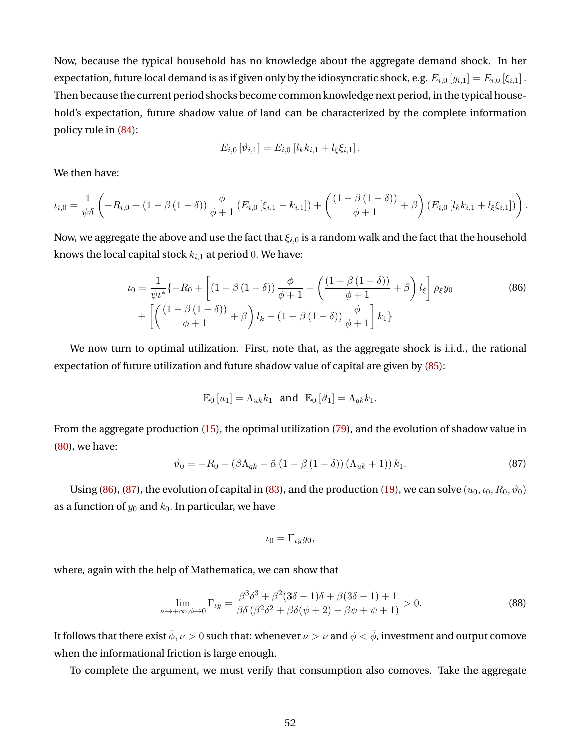Now, because the typical household has no knowledge about the aggregate demand shock. In her expectation, future local demand is as if given only by the idiosyncratic shock, e.g.  $E_{i,0}$  [ $y_{i,1}$ ] =  $E_{i,0}$  [ $\xi_{i,1}$ ]. Then because the current period shocks become common knowledge next period, in the typical household's expectation, future shadow value of land can be characterized by the complete information policy rule in [\(84\)](#page-50-4):

<span id="page-52-0"></span>
$$
E_{i,0} [\vartheta_{i,1}] = E_{i,0} [l_k k_{i,1} + l_\xi \xi_{i,1}].
$$

We then have:

$$
\iota_{i,0} = \frac{1}{\psi \delta} \left( -R_{i,0} + (1 - \beta (1 - \delta)) \frac{\phi}{\phi + 1} \left( E_{i,0} \left[ \xi_{i,1} - k_{i,1} \right] \right) + \left( \frac{(1 - \beta (1 - \delta))}{\phi + 1} + \beta \right) \left( E_{i,0} \left[ l_k k_{i,1} + l_\xi \xi_{i,1} \right] \right) \right).
$$

Now, we aggregate the above and use the fact that  $\xi_{i,0}$  is a random walk and the fact that the household knows the local capital stock  $k_{i,1}$  at period 0. We have:

$$
\iota_0 = \frac{1}{\psi \iota^*} \{-R_0 + \left[ (1 - \beta (1 - \delta)) \frac{\phi}{\phi + 1} + \left( \frac{(1 - \beta (1 - \delta))}{\phi + 1} + \beta \right) l_{\xi} \right] \rho_{\xi} y_0
$$
(86)  
+ 
$$
\left[ \left( \frac{(1 - \beta (1 - \delta))}{\phi + 1} + \beta \right) l_k - (1 - \beta (1 - \delta)) \frac{\phi}{\phi + 1} \right] k_1 \}
$$

We now turn to optimal utilization. First, note that, as the aggregate shock is *i.i.d.*, the rational expectation of future utilization and future shadow value of capital are given by [\(85\)](#page-51-1):

$$
\mathbb{E}_0\left[u_1\right] = \Lambda_{uk}k_1 \text{ and } \mathbb{E}_0\left[\vartheta_1\right] = \Lambda_{qk}k_1.
$$

From the aggregate production [\(15\)](#page-11-4), the optimal utilization [\(79\)](#page-49-0), and the evolution of shadow value in [\(80\)](#page-50-0), we have:

<span id="page-52-1"></span>
$$
\vartheta_0 = -R_0 + \left(\beta \Lambda_{qk} - \tilde{\alpha} \left(1 - \beta \left(1 - \delta\right)\right) \left(\Lambda_{uk} + 1\right)\right) k_1. \tag{87}
$$

Using [\(86\)](#page-52-0), [\(87\)](#page-52-1), the evolution of capital in [\(83\)](#page-50-2), and the production [\(19\)](#page-12-3), we can solve  $(u_0, u_0, R_0, \vartheta_0)$ as a function of  $y_0$  and  $k_0$ . In particular, we have

$$
t_0 = \Gamma_{\iota y} y_0,
$$

where, again with the help of Mathematica, we can show that

<span id="page-52-2"></span>
$$
\lim_{\nu \to +\infty, \phi \to 0} \Gamma_{\iota y} = \frac{\beta^3 \delta^3 + \beta^2 (3\delta - 1)\delta + \beta (3\delta - 1) + 1}{\beta \delta \left(\beta^2 \delta^2 + \beta \delta (\psi + 2) - \beta \psi + \psi + 1\right)} > 0.
$$
\n(88)

It follows that there exist  $\bar\phi, \underline\nu>0$  such that: whenever  $\nu>\underline\nu$  and  $\phi<\bar\phi$ , investment and output comove when the informational friction is large enough.

To complete the argument, we must verify that consumption also comoves. Take the aggregate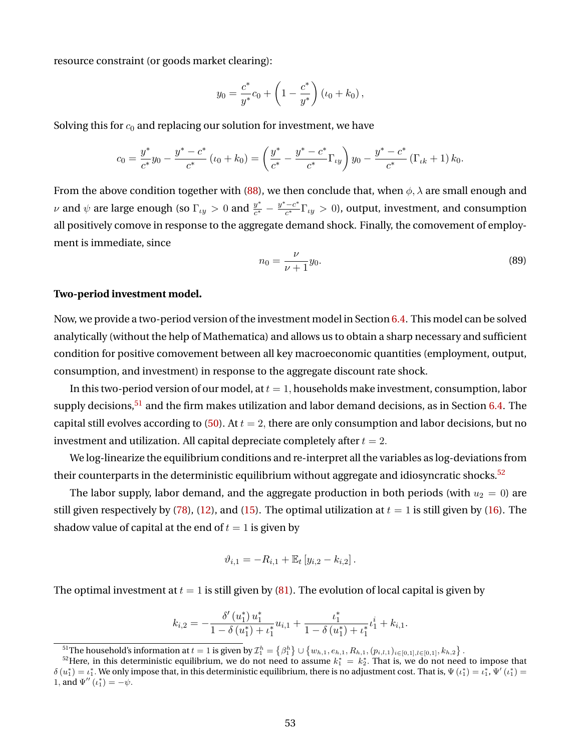resource constraint (or goods market clearing):

$$
y_0 = \frac{c^*}{y^*}c_0 + \left(1 - \frac{c^*}{y^*}\right)(\iota_0 + k_0),
$$

Solving this for  $c_0$  and replacing our solution for investment, we have

$$
c_0 = \frac{y^*}{c^*}y_0 - \frac{y^*-c^*}{c^*}(\iota_0 + k_0) = \left(\frac{y^*}{c^*} - \frac{y^*-c^*}{c^*}\Gamma_{\iota y}\right)y_0 - \frac{y^*-c^*}{c^*}(\Gamma_{\iota k} + 1)k_0.
$$

From the above condition together with [\(88\)](#page-52-2), we then conclude that, when  $\phi$ ,  $\lambda$  are small enough and  $\nu$  and  $\psi$  are large enough (so  $\Gamma_{\iota y} > 0$  and  $\frac{y^*}{c^*}$  $\frac{y^*}{c^*} - \frac{y^*-c^*}{c^*}$  $\frac{-c^{v}}{c^{*}}\Gamma_{ty}>0$ ), output, investment, and consumption all positively comove in response to the aggregate demand shock. Finally, the comovement of employment is immediate, since

<span id="page-53-2"></span>
$$
n_0 = \frac{\nu}{\nu + 1} y_0.
$$
\n(89)

### **Two-period investment model.**

Now, we provide a two-period version of the investment model in Section [6.4.](#page-29-0) This model can be solved analytically (without the help of Mathematica) and allows us to obtain a sharp necessary and sufficient condition for positive comovement between all key macroeconomic quantities (employment, output, consumption, and investment) in response to the aggregate discount rate shock.

In this two-period version of our model, at  $t = 1$ , households make investment, consumption, labor supply decisions,  $51$  and the firm makes utilization and labor demand decisions, as in Section [6.4.](#page-29-0) The capital still evolves according to [\(50\)](#page-29-2). At  $t = 2$ , there are only consumption and labor decisions, but no investment and utilization. All capital depreciate completely after  $t = 2$ .

We log-linearize the equilibrium conditions and re-interpret all the variables as log-deviations from their counterparts in the deterministic equilibrium without aggregate and idiosyncratic shocks.<sup>[52](#page-53-1)</sup>

The labor supply, labor demand, and the aggregate production in both periods (with  $u_2 = 0$ ) are still given respectively by [\(78\)](#page-49-3), [\(12\)](#page-10-3), and [\(15\)](#page-11-4). The optimal utilization at  $t = 1$  is still given by [\(16\)](#page-11-2). The shadow value of capital at the end of  $t = 1$  is given by

$$
\vartheta_{i,1} = -R_{i,1} + \mathbb{E}_t [y_{i,2} - k_{i,2}].
$$

The optimal investment at  $t = 1$  is still given by [\(81\)](#page-50-1). The evolution of local capital is given by

$$
k_{i,2} = -\frac{\delta'\left(u_1^*\right)u_1^*}{1-\delta\left(u_1^*\right)+\iota_1^*}u_{i,1} + \frac{\iota_1^*}{1-\delta\left(u_1^*\right)+\iota_1^*}\iota_1^i + k_{i,1}.
$$

<span id="page-53-1"></span><span id="page-53-0"></span><sup>&</sup>lt;sup>51</sup>The household's information at  $t=1$  is given by  $\mathcal{I}_1^h=\{\beta_1^h\}\cup\{w_{h,1},e_{h,1},R_{h,1}, (p_{i,l,1})_{i\in[0,1],l\in[0,1]},k_{h,2}\}$ .

<sup>&</sup>lt;sup>52</sup>Here, in this deterministic equilibrium, we do not need to assume  $k_1^* = k_2^*$ . That is, we do not need to impose that  $\delta(u_1^*) = \iota_1^*$ . We only impose that, in this deterministic equilibrium, there is no adjustment cost. That is,  $\Psi(\iota_1^*) = \iota_1^*, \Psi'(\iota_1^*) = \iota_1^*$ 1, and  $\Psi''(\iota_1^*) = -\psi$ .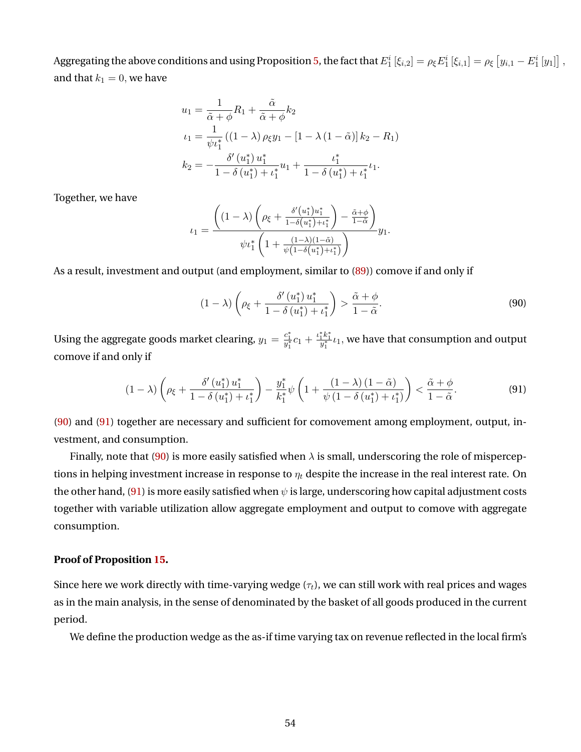Aggregating the above conditions and using Proposition [5,](#page-18-3) the fact that  $E^i_1\left[\xi_{i,2}\right]=\rho_\xi E^i_1\left[\xi_{i,1}\right]=\rho_\xi\left[y_{i,1}-E^i_1\left[y_1\right]\right]$  , and that  $k_1 = 0$ , we have

$$
u_1 = \frac{1}{\tilde{\alpha} + \phi} R_1 + \frac{\tilde{\alpha}}{\tilde{\alpha} + \phi} k_2
$$
  
\n
$$
\iota_1 = \frac{1}{\psi \iota_1^*} ((1 - \lambda) \rho_{\xi} y_1 - [1 - \lambda (1 - \tilde{\alpha})] k_2 - R_1)
$$
  
\n
$$
k_2 = -\frac{\delta' (u_1^*) u_1^*}{1 - \delta (u_1^*) + \iota_1^*} u_1 + \frac{\iota_1^*}{1 - \delta (u_1^*) + \iota_1^*} \iota_1.
$$

Together, we have

$$
\iota_1 = \frac{\left( (1-\lambda)\left( \rho_{\xi} + \frac{\delta'(u_1^*) u_1^*}{1-\delta(u_1^*) + \iota_1^*} \right) - \frac{\tilde{\alpha} + \phi}{1-\tilde{\alpha}} \right)}{\psi \iota_1^* \left( 1 + \frac{(1-\lambda)(1-\tilde{\alpha})}{\psi(1-\delta(u_1^*) + \iota_1^*)} \right)} y_1.
$$

As a result, investment and output (and employment, similar to [\(89\)](#page-53-2)) comove if and only if

<span id="page-54-0"></span>
$$
(1 - \lambda) \left( \rho_{\xi} + \frac{\delta' \left( u_1^* \right) u_1^*}{1 - \delta \left( u_1^* \right) + \iota_1^*} \right) > \frac{\tilde{\alpha} + \phi}{1 - \tilde{\alpha}}. \tag{90}
$$

Using the aggregate goods market clearing,  $y_1=\frac{c_1^*}{y_1^*}c_1+\frac{\iota_1^*k_1^*}{y_1^*}\iota_1,$  we have that consumption and output comove if and only if

<span id="page-54-1"></span>
$$
(1 - \lambda) \left(\rho_{\xi} + \frac{\delta'(u_1^*) u_1^*}{1 - \delta(u_1^*) + \iota_1^*}\right) - \frac{y_1^*}{k_1^*} \psi\left(1 + \frac{(1 - \lambda)(1 - \tilde{\alpha})}{\psi(1 - \delta(u_1^*) + \iota_1^*)}\right) < \frac{\tilde{\alpha} + \phi}{1 - \tilde{\alpha}}.\tag{91}
$$

[\(90\)](#page-54-0) and [\(91\)](#page-54-1) together are necessary and sufficient for comovement among employment, output, investment, and consumption.

Finally, note that [\(90\)](#page-54-0) is more easily satisfied when  $\lambda$  is small, underscoring the role of misperceptions in helping investment increase in response to  $\eta_t$  despite the increase in the real interest rate. On the other hand, [\(91\)](#page-54-1) is more easily satisfied when  $\psi$  is large, underscoring how capital adjustment costs together with variable utilization allow aggregate employment and output to comove with aggregate consumption.

### **Proof of Proposition [15.](#page-35-1)**

Since here we work directly with time-varying wedge  $(\tau_t)$ , we can still work with real prices and wages as in the main analysis, in the sense of denominated by the basket of all goods produced in the current period.

We define the production wedge as the as-if time varying tax on revenue reflected in the local firm's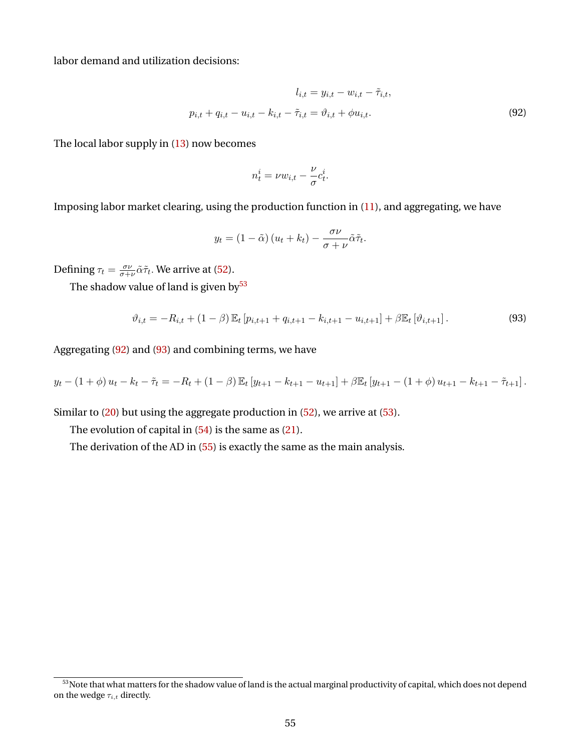labor demand and utilization decisions:

$$
l_{i,t} = y_{i,t} - w_{i,t} - \tilde{\tau}_{i,t},
$$
  

$$
p_{i,t} + q_{i,t} - u_{i,t} - k_{i,t} - \tilde{\tau}_{i,t} = \vartheta_{i,t} + \phi u_{i,t}.
$$
 (92)

The local labor supply in [\(13\)](#page-10-5) now becomes

<span id="page-55-1"></span>
$$
n_t^i = \nu w_{i,t} - \frac{\nu}{\sigma} c_t^i.
$$

Imposing labor market clearing, using the production function in [\(11\)](#page-10-6), and aggregating, we have

$$
y_t = (1 - \tilde{\alpha}) (u_t + k_t) - \frac{\sigma \nu}{\sigma + \nu} \tilde{\alpha} \tilde{\tau}_t.
$$

Defining  $\tau_t = \frac{\sigma \nu}{\sigma + i}$  $\frac{\sigma \nu}{\sigma + \nu} \tilde{\alpha} \tilde{\tau}_t$ . We arrive at [\(52\)](#page-35-2).

The shadow value of land is given by<sup>[53](#page-55-0)</sup>

<span id="page-55-2"></span>
$$
\vartheta_{i,t} = -R_{i,t} + (1-\beta) \mathbb{E}_t \left[ p_{i,t+1} + q_{i,t+1} - k_{i,t+1} - u_{i,t+1} \right] + \beta \mathbb{E}_t \left[ \vartheta_{i,t+1} \right]. \tag{93}
$$

Aggregating [\(92\)](#page-55-1) and [\(93\)](#page-55-2) and combining terms, we have

$$
y_{t} - (1 + \phi) u_{t} - k_{t} - \tilde{\tau}_{t} = -R_{t} + (1 - \beta) \mathbb{E}_{t} \left[ y_{t+1} - k_{t+1} - u_{t+1} \right] + \beta \mathbb{E}_{t} \left[ y_{t+1} - (1 + \phi) u_{t+1} - k_{t+1} - \tilde{\tau}_{t+1} \right].
$$

Similar to [\(20\)](#page-12-5) but using the aggregate production in [\(52\)](#page-35-2), we arrive at [\(53\)](#page-35-3).

The evolution of capital in  $(54)$  is the same as  $(21)$ .

The derivation of the AD in [\(55\)](#page-36-0) is exactly the same as the main analysis.

<span id="page-55-0"></span><sup>&</sup>lt;sup>53</sup>Note that what matters for the shadow value of land is the actual marginal productivity of capital, which does not depend on the wedge  $\tau_{i,t}$  directly.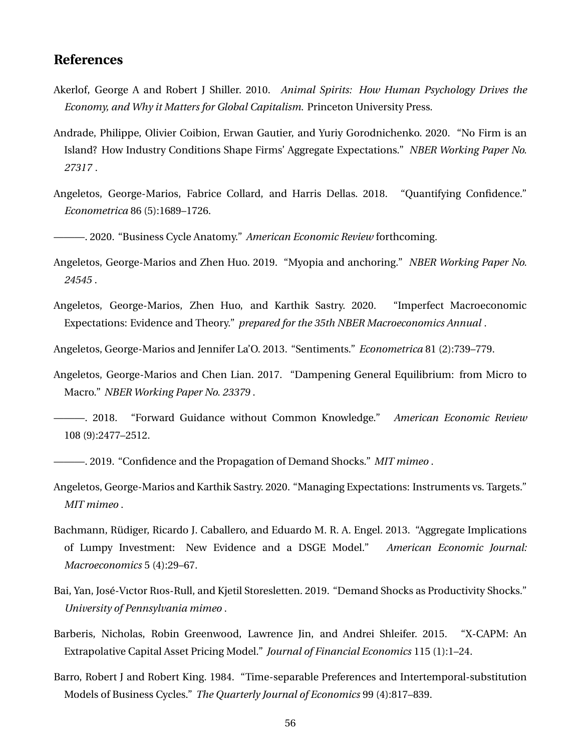# **References**

- <span id="page-56-2"></span>Akerlof, George A and Robert J Shiller. 2010. *Animal Spirits: How Human Psychology Drives the Economy, and Why it Matters for Global Capitalism*. Princeton University Press.
- <span id="page-56-6"></span>Andrade, Philippe, Olivier Coibion, Erwan Gautier, and Yuriy Gorodnichenko. 2020. "No Firm is an Island? How Industry Conditions Shape Firms' Aggregate Expectations." *NBER Working Paper No. 27317* .
- <span id="page-56-3"></span>Angeletos, George-Marios, Fabrice Collard, and Harris Dellas. 2018. "Quantifying Confidence." *Econometrica* 86 (5):1689–1726.

<span id="page-56-0"></span>———. 2020. "Business Cycle Anatomy." *American Economic Review* forthcoming.

- <span id="page-56-10"></span>Angeletos, George-Marios and Zhen Huo. 2019. "Myopia and anchoring." *NBER Working Paper No. 24545* .
- <span id="page-56-7"></span>Angeletos, George-Marios, Zhen Huo, and Karthik Sastry. 2020. "Imperfect Macroeconomic Expectations: Evidence and Theory." *prepared for the 35th NBER Macroeconomics Annual* .

<span id="page-56-4"></span>Angeletos, George-Marios and Jennifer La'O. 2013. "Sentiments." *Econometrica* 81 (2):739–779.

<span id="page-56-12"></span>Angeletos, George-Marios and Chen Lian. 2017. "Dampening General Equilibrium: from Micro to Macro." *NBER Working Paper No. 23379* .

<span id="page-56-1"></span>———. 2018. "Forward Guidance without Common Knowledge." *American Economic Review* 108 (9):2477–2512.

<span id="page-56-9"></span>———. 2019. "Confidence and the Propagation of Demand Shocks." *MIT mimeo* .

- <span id="page-56-13"></span>Angeletos, George-Marios and Karthik Sastry. 2020. "Managing Expectations: Instruments vs. Targets." *MIT mimeo* .
- <span id="page-56-11"></span>Bachmann, Rüdiger, Ricardo J. Caballero, and Eduardo M. R. A. Engel. 2013. "Aggregate Implications of Lumpy Investment: New Evidence and a DSGE Model." *American Economic Journal: Macroeconomics* 5 (4):29–67.
- <span id="page-56-5"></span>Bai, Yan, Jose-Vıctor Rıos-Rull, and Kjetil Storesletten. 2019. "Demand Shocks as Productivity Shocks." ´ *University of Pennsylvania mimeo* .
- <span id="page-56-14"></span>Barberis, Nicholas, Robin Greenwood, Lawrence Jin, and Andrei Shleifer. 2015. "X-CAPM: An Extrapolative Capital Asset Pricing Model." *Journal of Financial Economics* 115 (1):1–24.
- <span id="page-56-8"></span>Barro, Robert J and Robert King. 1984. "Time-separable Preferences and Intertemporal-substitution Models of Business Cycles." *The Quarterly Journal of Economics* 99 (4):817–839.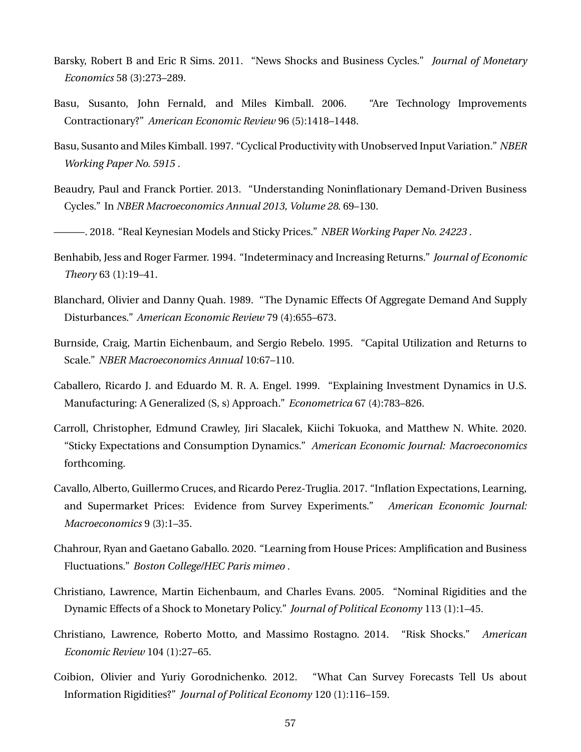- <span id="page-57-3"></span>Barsky, Robert B and Eric R Sims. 2011. "News Shocks and Business Cycles." *Journal of Monetary Economics* 58 (3):273–289.
- <span id="page-57-1"></span>Basu, Susanto, John Fernald, and Miles Kimball. 2006. "Are Technology Improvements Contractionary?" *American Economic Review* 96 (5):1418–1448.
- <span id="page-57-14"></span>Basu, Susanto and Miles Kimball. 1997. "Cyclical Productivity with Unobserved Input Variation." *NBER Working Paper No. 5915* .
- <span id="page-57-5"></span>Beaudry, Paul and Franck Portier. 2013. "Understanding Noninflationary Demand-Driven Business Cycles." In *NBER Macroeconomics Annual 2013, Volume 28*. 69–130.
- <span id="page-57-6"></span>———. 2018. "Real Keynesian Models and Sticky Prices." *NBER Working Paper No. 24223* .
- <span id="page-57-7"></span>Benhabib, Jess and Roger Farmer. 1994. "Indeterminacy and Increasing Returns." *Journal of Economic Theory* 63 (1):19–41.
- <span id="page-57-2"></span>Blanchard, Olivier and Danny Quah. 1989. "The Dynamic Effects Of Aggregate Demand And Supply Disturbances." *American Economic Review* 79 (4):655–673.
- <span id="page-57-9"></span>Burnside, Craig, Martin Eichenbaum, and Sergio Rebelo. 1995. "Capital Utilization and Returns to Scale." *NBER Macroeconomics Annual* 10:67–110.
- <span id="page-57-12"></span>Caballero, Ricardo J. and Eduardo M. R. A. Engel. 1999. "Explaining Investment Dynamics in U.S. Manufacturing: A Generalized (S, s) Approach." *Econometrica* 67 (4):783–826.
- <span id="page-57-0"></span>Carroll, Christopher, Edmund Crawley, Jiri Slacalek, Kiichi Tokuoka, and Matthew N. White. 2020. "Sticky Expectations and Consumption Dynamics." *American Economic Journal: Macroeconomics* forthcoming.
- <span id="page-57-11"></span>Cavallo, Alberto, Guillermo Cruces, and Ricardo Perez-Truglia. 2017. "Inflation Expectations, Learning, and Supermarket Prices: Evidence from Survey Experiments." *American Economic Journal: Macroeconomics* 9 (3):1–35.
- <span id="page-57-8"></span>Chahrour, Ryan and Gaetano Gaballo. 2020. "Learning from House Prices: Amplification and Business Fluctuations." *Boston College/HEC Paris mimeo* .
- <span id="page-57-13"></span>Christiano, Lawrence, Martin Eichenbaum, and Charles Evans. 2005. "Nominal Rigidities and the Dynamic Effects of a Shock to Monetary Policy." *Journal of Political Economy* 113 (1):1–45.
- <span id="page-57-4"></span>Christiano, Lawrence, Roberto Motto, and Massimo Rostagno. 2014. "Risk Shocks." *American Economic Review* 104 (1):27–65.
- <span id="page-57-10"></span>Coibion, Olivier and Yuriy Gorodnichenko. 2012. "What Can Survey Forecasts Tell Us about Information Rigidities?" *Journal of Political Economy* 120 (1):116–159.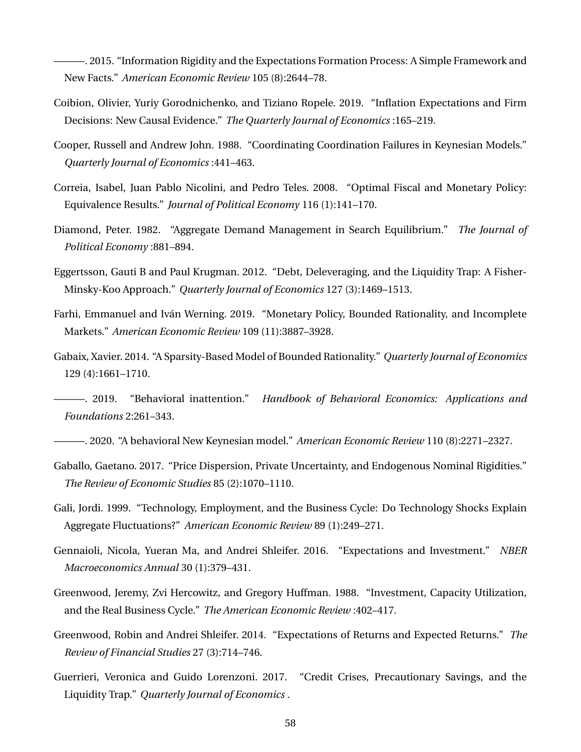<span id="page-58-8"></span>———. 2015. "Information Rigidity and the Expectations Formation Process: A Simple Framework and New Facts." *American Economic Review* 105 (8):2644–78.

- <span id="page-58-9"></span>Coibion, Olivier, Yuriy Gorodnichenko, and Tiziano Ropele. 2019. "Inflation Expectations and Firm Decisions: New Causal Evidence." *The Quarterly Journal of Economics* :165–219.
- <span id="page-58-6"></span>Cooper, Russell and Andrew John. 1988. "Coordinating Coordination Failures in Keynesian Models." *Quarterly Journal of Economics* :441–463.
- <span id="page-58-15"></span>Correia, Isabel, Juan Pablo Nicolini, and Pedro Teles. 2008. "Optimal Fiscal and Monetary Policy: Equivalence Results." *Journal of Political Economy* 116 (1):141–170.
- <span id="page-58-7"></span>Diamond, Peter. 1982. "Aggregate Demand Management in Search Equilibrium." *The Journal of Political Economy* :881–894.
- <span id="page-58-13"></span>Eggertsson, Gauti B and Paul Krugman. 2012. "Debt, Deleveraging, and the Liquidity Trap: A Fisher-Minsky-Koo Approach." *Quarterly Journal of Economics* 127 (3):1469–1513.
- <span id="page-58-1"></span>Farhi, Emmanuel and Iván Werning. 2019. "Monetary Policy, Bounded Rationality, and Incomplete Markets." *American Economic Review* 109 (11):3887–3928.
- <span id="page-58-11"></span>Gabaix, Xavier. 2014. "A Sparsity-Based Model of Bounded Rationality." *Quarterly Journal of Economics* 129 (4):1661–1710.

<span id="page-58-10"></span>———. 2019. "Behavioral inattention." *Handbook of Behavioral Economics: Applications and Foundations* 2:261–343.

<span id="page-58-2"></span>———. 2020. "A behavioral New Keynesian model." *American Economic Review* 110 (8):2271–2327.

- <span id="page-58-12"></span>Gaballo, Gaetano. 2017. "Price Dispersion, Private Uncertainty, and Endogenous Nominal Rigidities." *The Review of Economic Studies* 85 (2):1070–1110.
- <span id="page-58-5"></span>Gali, Jordi. 1999. "Technology, Employment, and the Business Cycle: Do Technology Shocks Explain Aggregate Fluctuations?" *American Economic Review* 89 (1):249–271.
- <span id="page-58-4"></span>Gennaioli, Nicola, Yueran Ma, and Andrei Shleifer. 2016. "Expectations and Investment." *NBER Macroeconomics Annual* 30 (1):379–431.
- <span id="page-58-0"></span>Greenwood, Jeremy, Zvi Hercowitz, and Gregory Huffman. 1988. "Investment, Capacity Utilization, and the Real Business Cycle." *The American Economic Review* :402–417.
- <span id="page-58-3"></span>Greenwood, Robin and Andrei Shleifer. 2014. "Expectations of Returns and Expected Returns." *The Review of Financial Studies* 27 (3):714–746.
- <span id="page-58-14"></span>Guerrieri, Veronica and Guido Lorenzoni. 2017. "Credit Crises, Precautionary Savings, and the Liquidity Trap." *Quarterly Journal of Economics* .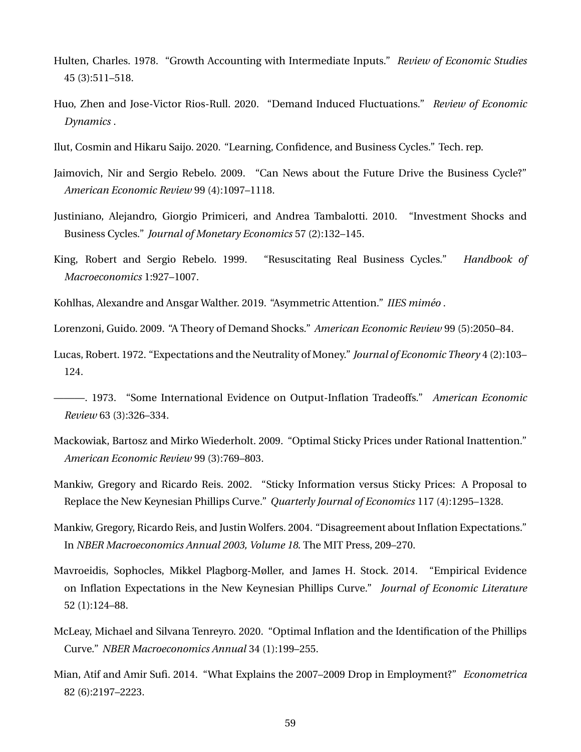- <span id="page-59-15"></span>Hulten, Charles. 1978. "Growth Accounting with Intermediate Inputs." *Review of Economic Studies* 45 (3):511–518.
- <span id="page-59-6"></span>Huo, Zhen and Jose-Victor Rios-Rull. 2020. "Demand Induced Fluctuations." *Review of Economic Dynamics* .
- <span id="page-59-7"></span>Ilut, Cosmin and Hikaru Saijo. 2020. "Learning, Confidence, and Business Cycles." Tech. rep.
- <span id="page-59-14"></span>Jaimovich, Nir and Sergio Rebelo. 2009. "Can News about the Future Drive the Business Cycle?" *American Economic Review* 99 (4):1097–1118.
- <span id="page-59-5"></span>Justiniano, Alejandro, Giorgio Primiceri, and Andrea Tambalotti. 2010. "Investment Shocks and Business Cycles." *Journal of Monetary Economics* 57 (2):132–145.
- <span id="page-59-12"></span>King, Robert and Sergio Rebelo. 1999. "Resuscitating Real Business Cycles." *Handbook of Macroeconomics* 1:927–1007.
- <span id="page-59-11"></span>Kohlhas, Alexandre and Ansgar Walther. 2019. "Asymmetric Attention." IIES miméo.

<span id="page-59-9"></span>Lorenzoni, Guido. 2009. "A Theory of Demand Shocks." *American Economic Review* 99 (5):2050–84.

- <span id="page-59-8"></span>Lucas, Robert. 1972. "Expectations and the Neutrality of Money." *Journal of Economic Theory* 4 (2):103– 124.
- <span id="page-59-3"></span>———. 1973. "Some International Evidence on Output-Inflation Tradeoffs." *American Economic Review* 63 (3):326–334.
- <span id="page-59-4"></span>Mackowiak, Bartosz and Mirko Wiederholt. 2009. "Optimal Sticky Prices under Rational Inattention." *American Economic Review* 99 (3):769–803.
- <span id="page-59-13"></span>Mankiw, Gregory and Ricardo Reis. 2002. "Sticky Information versus Sticky Prices: A Proposal to Replace the New Keynesian Phillips Curve." *Quarterly Journal of Economics* 117 (4):1295–1328.
- <span id="page-59-10"></span>Mankiw, Gregory, Ricardo Reis, and Justin Wolfers. 2004. "Disagreement about Inflation Expectations." In *NBER Macroeconomics Annual 2003, Volume 18*. The MIT Press, 209–270.
- <span id="page-59-1"></span>Mavroeidis, Sophocles, Mikkel Plagborg-Møller, and James H. Stock. 2014. "Empirical Evidence on Inflation Expectations in the New Keynesian Phillips Curve." *Journal of Economic Literature* 52 (1):124–88.
- <span id="page-59-2"></span>McLeay, Michael and Silvana Tenreyro. 2020. "Optimal Inflation and the Identification of the Phillips Curve." *NBER Macroeconomics Annual* 34 (1):199–255.
- <span id="page-59-0"></span>Mian, Atif and Amir Sufi. 2014. "What Explains the 2007–2009 Drop in Employment?" *Econometrica* 82 (6):2197–2223.